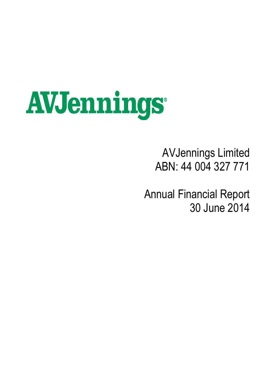## AVJennings

## AVJennings Limited ABN: 44 004 327 771

Annual Financial Report 30 June 2014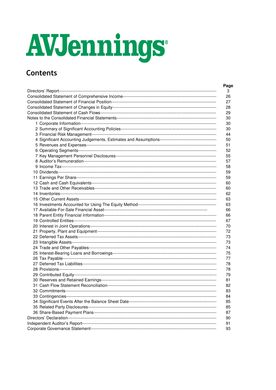# AVJennings

## **Contents**

| Page |
|------|
| 3    |
| 26   |
| 27   |
| 28   |
| 29   |
| 30   |
| 30   |
| 30   |
| 44   |
| 50   |
| 51   |
| 52   |
| 55   |
| 57   |
| 58   |
| 59   |
| 59   |
| 60   |
| 60   |
| 62   |
| 63   |
| 63   |
| 66   |
| 66   |
| 67   |
| 70   |
| 72   |
| 73   |
| 73   |
| 74   |
| 75   |
| 77   |
| 78   |
| 78   |
| 79   |
| 81   |
| 82   |
| 83   |
| 84   |
| 85   |
| 85   |
| 87   |
| 90   |
| 91   |
| 93   |
|      |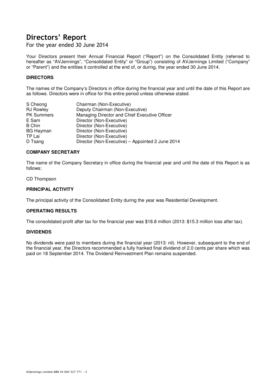For the year ended 30 June 2014

Your Directors present their Annual Financial Report ("Report") on the Consolidated Entity (referred to hereafter as "AVJennings", "Consolidated Entity" or "Group") consisting of AVJennings Limited ("Company" or "Parent") and the entities it controlled at the end of, or during, the year ended 30 June 2014.

#### **DIRECTORS**

The names of the Company's Directors in office during the financial year and until the date of this Report are as follows. Directors were in office for this entire period unless otherwise stated.

| S Cheong          | Chairman (Non-Executive)                         |
|-------------------|--------------------------------------------------|
| <b>RJ Rowley</b>  | Deputy Chairman (Non-Executive)                  |
| <b>PK Summers</b> | Managing Director and Chief Executive Officer    |
| E Sam             | Director (Non-Executive)                         |
| <b>B</b> Chin     | Director (Non-Executive)                         |
| <b>BG Hayman</b>  | Director (Non-Executive)                         |
| TP Lai            | Director (Non-Executive)                         |
| D Tsang           | Director (Non-Executive) - Appointed 2 June 2014 |

#### **COMPANY SECRETARY**

The name of the Company Secretary in office during the financial year and until the date of this Report is as follows:

CD Thompson

#### **PRINCIPAL ACTIVITY**

The principal activity of the Consolidated Entity during the year was Residential Development.

#### **OPERATING RESULTS**

The consolidated profit after tax for the financial year was \$18.8 million (2013: \$15.3 million loss after tax).

#### **DIVIDENDS**

No dividends were paid to members during the financial year (2013: nil). However, subsequent to the end of the financial year, the Directors recommended a fully franked final dividend of 2.0 cents per share which was paid on 18 September 2014. The Dividend Reinvestment Plan remains suspended.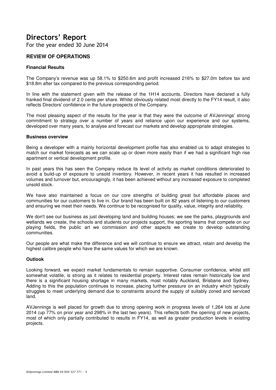For the year ended 30 June 2014

#### **REVIEW OF OPERATIONS**

#### **Financial Results**

The Company's revenue was up 58.1% to \$250.6m and profit increased 216% to \$27.0m before tax and \$18.8m after tax compared to the previous corresponding period.

In line with the statement given with the release of the 1H14 accounts, Directors have declared a fully franked final dividend of 2.0 cents per share. Whilst obviously related most directly to the FY14 result, it also reflects Directors' confidence in the future prospects of the Company.

The most pleasing aspect of the results for the year is that they were the outcome of AVJennings' strong commitment to strategy over a number of years and reliance upon our experience and our systems, developed over many years, to analyse and forecast our markets and develop appropriate strategies.

#### **Business overview**

Being a developer with a mainly horizontal development profile has also enabled us to adapt strategies to match our market forecasts as we can scale up or down more easily than if we had a significant high rise apartment or vertical development profile.

In past years this has seen the Company reduce its level of activity as market conditions deteriorated to avoid a build-up of exposure to unsold inventory. However, in recent years it has resulted in increased volumes and turnover but, encouragingly, it has been achieved without any increased exposure to completed unsold stock.

We have also maintained a focus on our core strengths of building great but affordable places and communities for our customers to live in. Our brand has been built on 82 years of listening to our customers and ensuring we meet their needs. We continue to be recognised for quality, value, integrity and reliability.

We don't see our business as just developing land and building houses; we see the parks, playgrounds and wetlands we create, the schools and students our projects support, the sporting teams that compete on our playing fields, the public art we commission and other aspects we create to develop outstanding communities.

Our people are what make the difference and we will continue to ensure we attract, retain and develop the highest calibre people who have the same values for which we are known.

#### **Outlook**

Looking forward, we expect market fundamentals to remain supportive. Consumer confidence, whilst still somewhat volatile, is strong as it relates to residential property. Interest rates remain historically low and there is a significant housing shortage in many markets, most notably Auckland, Brisbane and Sydney. Adding to this the population continues to increase, placing further pressure on an industry which typically struggles to meet underlying demand due to constraints around the supply of suitably zoned and serviced land.

AVJennings is well placed for growth due to strong opening work in progress levels of 1,264 lots at June 2014 (up 77% on prior year and 298% in the last two years). This reflects both the opening of new projects, most of which only partially contributed to results in FY14, as well as greater production levels in existing projects.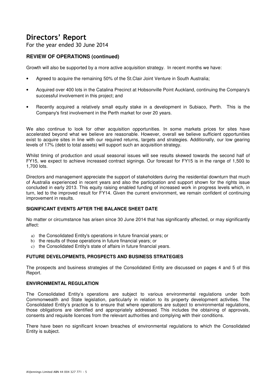For the year ended 30 June 2014

#### **REVIEW OF OPERATIONS (continued)**

Growth will also be supported by a more active acquisition strategy. In recent months we have:

- Agreed to acquire the remaining 50% of the St.Clair Joint Venture in South Australia;
- Acquired over 400 lots in the Catalina Precinct at Hobsonville Point Auckland, continuing the Company's successful involvement in this project; and
- Recently acquired a relatively small equity stake in a development in Subiaco, Perth. This is the Company's first involvement in the Perth market for over 20 years.

We also continue to look for other acquisition opportunities. In some markets prices for sites have accelerated beyond what we believe are reasonable. However, overall we believe sufficient opportunities exist to acquire sites in line with our required returns, targets and strategies. Additionally, our low gearing levels of 17% (debt to total assets) will support such an acquisition strategy.

Whilst timing of production and usual seasonal issues will see results skewed towards the second half of FY15, we expect to achieve increased contract signings. Our forecast for FY15 is in the range of 1,500 to 1,700 lots.

Directors and management appreciate the support of stakeholders during the residential downturn that much of Australia experienced in recent years and also the participation and support shown for the rights issue concluded in early 2013. This equity raising enabled funding of increased work in progress levels which, in turn, led to the improved result for FY14. Given the current environment, we remain confident of continuing improvement in results.

#### **SIGNIFICANT EVENTS AFTER THE BALANCE SHEET DATE**

No matter or circumstance has arisen since 30 June 2014 that has significantly affected, or may significantly affect:

- a) the Consolidated Entity's operations in future financial years; or
- b) the results of those operations in future financial vears; or
- c) the Consolidated Entity's state of affairs in future financial years.

#### **FUTURE DEVELOPMENTS, PROSPECTS AND BUSINESS STRATEGIES**

The prospects and business strategies of the Consolidated Entity are discussed on pages 4 and 5 of this Report.

#### **ENVIRONMENTAL REGULATION**

The Consolidated Entity's operations are subject to various environmental regulations under both Commonwealth and State legislation, particularly in relation to its property development activities. The Consolidated Entity's practice is to ensure that where operations are subject to environmental regulations, those obligations are identified and appropriately addressed. This includes the obtaining of approvals, consents and requisite licences from the relevant authorities and complying with their conditions.

There have been no significant known breaches of environmental regulations to which the Consolidated Entity is subject.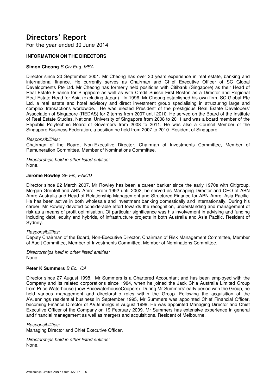For the year ended 30 June 2014

#### **INFORMATION ON THE DIRECTORS**

#### **Simon Cheong** B.Civ.Eng. MBA

Director since 20 September 2001. Mr Cheong has over 30 years experience in real estate, banking and international finance. He currently serves as Chairman and Chief Executive Officer of SC Global Developments Pte Ltd. Mr Cheong has formerly held positions with Citibank (Singapore) as their Head of Real Estate Finance for Singapore as well as with Credit Suisse First Boston as a Director and Regional Real Estate Head for Asia (excluding Japan). In 1996, Mr Cheong established his own firm, SC Global Pte Ltd, a real estate and hotel advisory and direct investment group specialising in structuring large and complex transactions worldwide. He was elected President of the prestigious Real Estate Developers' Association of Singapore (REDAS) for 2 terms from 2007 until 2010. He served on the Board of the Institute of Real Estate Studies, National University of Singapore from 2008 to 2011 and was a board member of the Republic Polytechnic Board of Governors from 2008 to 2011. He was also a Council Member of the Singapore Business Federation, a position he held from 2007 to 2010. Resident of Singapore.

#### Responsibilities:

Chairman of the Board, Non-Executive Director, Chairman of Investments Committee, Member of Remuneration Committee, Member of Nominations Committee.

Directorships held in other listed entities: None.

#### **Jerome Rowley** SF Fin, FAICD

Director since 22 March 2007. Mr Rowley has been a career banker since the early 1970s with Citigroup, Morgan Grenfell and ABN Amro. From 1992 until 2002, he served as Managing Director and CEO of ABN Amro Australia and Head of Relationship Management and Structured Finance for ABN Amro, Asia Pacific. He has been active in both wholesale and investment banking domestically and internationally. During his career, Mr Rowley devoted considerable effort towards the recognition, understanding and management of risk as a means of profit optimisation. Of particular significance was his involvement in advising and funding including debt, equity and hybrids, of infrastructure projects in both Australia and Asia Pacific. Resident of Sydney.

#### Responsibilities:

Deputy Chairman of the Board, Non-Executive Director, Chairman of Risk Management Committee, Member of Audit Committee, Member of Investments Committee, Member of Nominations Committee.

Directorships held in other listed entities: None.

#### **Peter K Summers** B Fc. CA

Director since 27 August 1998. Mr Summers is a Chartered Accountant and has been employed with the Company and its related corporations since 1984, when he joined the Jack Chia Australia Limited Group from Price Waterhouse (now PricewaterhouseCoopers). During Mr Summers' early period with the Group, he held various management and directorship roles within the Group. Following the acquisition of the AVJennings residential business in September 1995, Mr Summers was appointed Chief Financial Officer, becoming Finance Director of AVJennings in August 1998. He was appointed Managing Director and Chief Executive Officer of the Company on 19 February 2009. Mr Summers has extensive experience in general and financial management as well as mergers and acquisitions. Resident of Melbourne.

#### Responsibilities:

Managing Director and Chief Executive Officer.

Directorships held in other listed entities: None.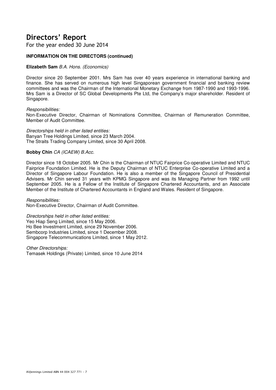For the year ended 30 June 2014

#### **INFORMATION ON THE DIRECTORS (continued)**

#### **Elizabeth Sam** B.A. Hons. (Economics)

Director since 20 September 2001. Mrs Sam has over 40 years experience in international banking and finance. She has served on numerous high level Singaporean government financial and banking review committees and was the Chairman of the International Monetary Exchange from 1987-1990 and 1993-1996. Mrs Sam is a Director of SC Global Developments Pte Ltd, the Company's major shareholder. Resident of Singapore.

#### Responsibilities:

Non-Executive Director, Chairman of Nominations Committee, Chairman of Remuneration Committee, Member of Audit Committee.

Directorships held in other listed entities: Banyan Tree Holdings Limited, since 23 March 2004. The Straits Trading Company Limited, since 30 April 2008.

#### **Bobby Chin** CA (ICAEW) B.Acc.

Director since 18 October 2005. Mr Chin is the Chairman of NTUC Fairprice Co-operative Limited and NTUC Fairprice Foundation Limited. He is the Deputy Chairman of NTUC Enterprise Co-operative Limited and a Director of Singapore Labour Foundation. He is also a member of the Singapore Council of Presidential Advisers. Mr Chin served 31 years with KPMG Singapore and was its Managing Partner from 1992 until September 2005. He is a Fellow of the Institute of Singapore Chartered Accountants, and an Associate Member of the Institute of Chartered Accountants in England and Wales. Resident of Singapore.

#### Responsibilities:

Non-Executive Director, Chairman of Audit Committee.

Directorships held in other listed entities:

Yeo Hiap Seng Limited, since 15 May 2006. Ho Bee Investment Limited, since 29 November 2006. Sembcorp Industries Limited, since 1 December 2008. Singapore Telecommunications Limited, since 1 May 2012.

Other Directorships: Temasek Holdings (Private) Limited, since 10 June 2014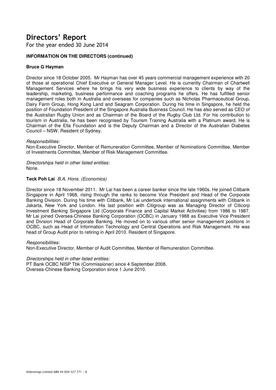For the year ended 30 June 2014

#### **INFORMATION ON THE DIRECTORS (continued)**

#### **Bruce G Hayman**

Director since 18 October 2005. Mr Hayman has over 45 years commercial management experience with 20 of those at operational Chief Executive or General Manager Level. He is currently Chairman of Chartwell Management Services where he brings his very wide business experience to clients by way of the leadership, marketing, business performance and coaching programs he offers. He has fulfilled senior management roles both in Australia and overseas for companies such as Nicholas Pharmaceutical Group, Dairy Farm Group, Hong Kong Land and Seagram Corporation. During his time in Singapore, he held the position of Foundation President of the Singapore Australia Business Council. He has also served as CEO of the Australian Rugby Union and as Chairman of the Board of the Rugby Club Ltd. For his contribution to tourism in Australia, he has been recognised by Tourism Training Australia with a Platinum award. He is Chairman of the Ella Foundation and is the Deputy Chairman and a Director of the Australian Diabetes Council – NSW. Resident of Sydney.

#### Responsibilities:

Non-Executive Director, Member of Remuneration Committee, Member of Nominations Committee, Member of Investments Committee, Member of Risk Management Committee.

Directorships held in other listed entities: None.

#### **Teck Poh Lai** B.A. Hons. (Economics)

Director since 18 November 2011. Mr Lai has been a career banker since the late 1960s. He joined Citibank Singapore in April 1968, rising through the ranks to become Vice President and Head of the Corporate Banking Division. During his time with Citibank, Mr Lai undertook international assignments with Citibank in Jakarta, New York and London. His last position with Citigroup was as Managing Director of Citicorp Investment Banking Singapore Ltd (Corporate Finance and Capital Market Activities) from 1986 to 1987. Mr Lai joined Oversea-Chinese Banking Corporation (OCBC) in January 1988 as Executive Vice President and Division Head of Corporate Banking. He moved on to various other senior management positions in OCBC, such as Head of Information Technology and Central Operations and Risk Management. He was head of Group Audit prior to retiring in April 2010. Resident of Singapore.

#### Responsibilities:

Non-Executive Director, Member of Audit Committee, Member of Remuneration Committee.

#### Directorships held in other listed entities:

PT Bank OCBC NISP Tbk (Commissioner) since 4 September 2008. Oversea-Chinese Banking Corporation since 1 June 2010.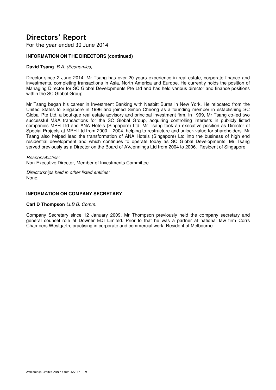For the year ended 30 June 2014

#### **INFORMATION ON THE DIRECTORS (continued)**

#### **David Tsang** B.A. (Economics)

Director since 2 June 2014. Mr Tsang has over 20 years experience in real estate, corporate finance and investments, completing transactions in Asia, North America and Europe. He currently holds the position of Managing Director for SC Global Developments Pte Ltd and has held various director and finance positions within the SC Global Group.

Mr Tsang began his career in Investment Banking with Nesbitt Burns in New York. He relocated from the United States to Singapore in 1996 and joined Simon Cheong as a founding member in establishing SC Global Pte Ltd, a boutique real estate advisory and principal investment firm. In 1999, Mr Tsang co-led two successful M&A transactions for the SC Global Group, acquiring controlling interests in publicly listed companies MPH Ltd and ANA Hotels (Singapore) Ltd. Mr Tsang took an executive position as Director of Special Projects at MPH Ltd from 2000 – 2004, helping to restructure and unlock value for shareholders. Mr Tsang also helped lead the transformation of ANA Hotels (Singapore) Ltd into the business of high end residential development and which continues to operate today as SC Global Developments. Mr Tsang served previously as a Director on the Board of AVJennings Ltd from 2004 to 2006. Resident of Singapore.

Responsibilities: Non-Executive Director, Member of Investments Committee.

Directorships held in other listed entities: None.

#### **INFORMATION ON COMPANY SECRETARY**

**Carl D Thompson** LLB B. Comm.

Company Secretary since 12 January 2009. Mr Thompson previously held the company secretary and general counsel role at Downer EDI Limited. Prior to that he was a partner at national law firm Corrs Chambers Westgarth, practising in corporate and commercial work. Resident of Melbourne.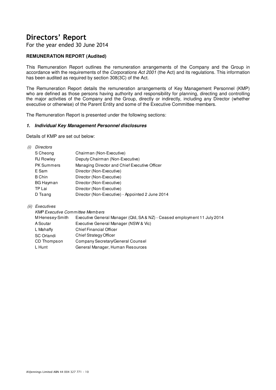For the year ended 30 June 2014

#### **REMUNERATION REPORT (Audited)**

This Remuneration Report outlines the remuneration arrangements of the Company and the Group in accordance with the requirements of the Corporations Act 2001 (the Act) and its regulations. This information has been audited as required by section 308(3C) of the Act.

The Remuneration Report details the remuneration arrangements of Key Management Personnel (KMP) who are defined as those persons having authority and responsibility for planning, directing and controlling the major activities of the Company and the Group, directly or indirectly, including any Director (whether executive or otherwise) of the Parent Entity and some of the Executive Committee members.

The Remuneration Report is presented under the following sections:

#### **1. Individual Key Management Personnel disclosures**

Details of KMP are set out below:

| Directors         |                                                  |
|-------------------|--------------------------------------------------|
| S Cheong          | Chairman (Non-Executive)                         |
| <b>RJ Rowley</b>  | Deputy Chairman (Non-Executive)                  |
| <b>PK Summers</b> | Managing Director and Chief Executive Officer    |
| E Sam             | Director (Non-Executive)                         |
| B Chin            | Director (Non-Executive)                         |
| <b>BG Hayman</b>  | Director (Non-Executive)                         |
| TP Lai            | Director (Non-Executive)                         |
| D Tsang           | Director (Non-Executive) - Appointed 2 June 2014 |
|                   |                                                  |

(ii) Executives

| <b>KMP Executive Committee Members</b> |                 |                                                                          |  |  |  |  |  |
|----------------------------------------|-----------------|--------------------------------------------------------------------------|--|--|--|--|--|
|                                        | M Henesey-Smith | Executive General Manager (Qld, SA& NZ) - Ceased employment 11 July 2014 |  |  |  |  |  |
|                                        | A Soutar        | Executive General Manager (NSW & Vic)                                    |  |  |  |  |  |
|                                        | L Mahaffy       | <b>Chief Financial Officer</b>                                           |  |  |  |  |  |
|                                        | SC Orlandi      | <b>Chief Strategy Officer</b>                                            |  |  |  |  |  |
|                                        | CD Thompson     | Company Secretary/General Counsel                                        |  |  |  |  |  |
|                                        | L Hunt          | General Manager, Human Resources                                         |  |  |  |  |  |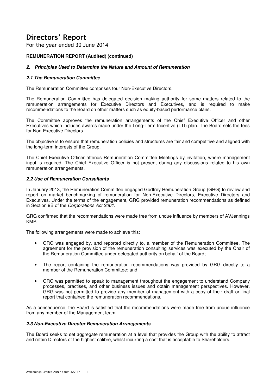For the year ended 30 June 2014

#### **REMUNERATION REPORT (Audited) (continued)**

#### **2. Principles Used to Determine the Nature and Amount of Remuneration**

#### **2.1 The Remuneration Committee**

The Remuneration Committee comprises four Non-Executive Directors.

The Remuneration Committee has delegated decision making authority for some matters related to the remuneration arrangements for Executive Directors and Executives, and is required to make recommendations to the Board on other matters such as equity-based performance plans.

The Committee approves the remuneration arrangements of the Chief Executive Officer and other Executives which includes awards made under the Long-Term Incentive (LTI) plan. The Board sets the fees for Non-Executive Directors.

The objective is to ensure that remuneration policies and structures are fair and competitive and aligned with the long-term interests of the Group.

The Chief Executive Officer attends Remuneration Committee Meetings by invitation, where management input is required. The Chief Executive Officer is not present during any discussions related to his own remuneration arrangements.

#### **2.2 Use of Remuneration Consultants**

In January 2013, the Remuneration Committee engaged Godfrey Remuneration Group (GRG) to review and report on market benchmarking of remuneration for Non-Executive Directors, Executive Directors and Executives. Under the terms of the engagement, GRG provided remuneration recommendations as defined in Section 9B of the Corporations Act 2001.

GRG confirmed that the recommendations were made free from undue influence by members of AVJennings KMP.

The following arrangements were made to achieve this:

- GRG was engaged by, and reported directly to, a member of the Remuneration Committee. The agreement for the provision of the remuneration consulting services was executed by the Chair of the Remuneration Committee under delegated authority on behalf of the Board;
- The report containing the remuneration recommendations was provided by GRG directly to a member of the Remuneration Committee; and
- GRG was permitted to speak to management throughout the engagement to understand Company processes, practises, and other business issues and obtain management perspectives. However, GRG was not permitted to provide any member of management with a copy of their draft or final report that contained the remuneration recommendations.

As a consequence, the Board is satisfied that the recommendations were made free from undue influence from any member of the Management team.

#### **2.3 Non-Executive Director Remuneration Arrangements**

The Board seeks to set aggregate remuneration at a level that provides the Group with the ability to attract and retain Directors of the highest calibre, whilst incurring a cost that is acceptable to Shareholders.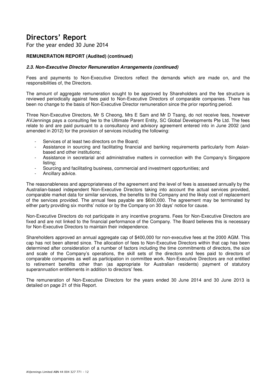For the year ended 30 June 2014

#### **REMUNERATION REPORT (Audited) (continued)**

#### **2.3. Non-Executive Director Remuneration Arrangements (continued)**

Fees and payments to Non-Executive Directors reflect the demands which are made on, and the responsibilities of, the Directors.

The amount of aggregate remuneration sought to be approved by Shareholders and the fee structure is reviewed periodically against fees paid to Non-Executive Directors of comparable companies. There has been no change to the basis of Non-Executive Director remuneration since the prior reporting period.

Three Non-Executive Directors, Mr S Cheong, Mrs E Sam and Mr D Tsang, do not receive fees, however AVJennings pays a consulting fee to the Ultimate Parent Entity, SC Global Developments Pte Ltd. The fees relate to and are paid pursuant to a consultancy and advisory agreement entered into in June 2002 (and amended in 2012) for the provision of services including the following:

- Services of at least two directors on the Board;
- Assistance in sourcing and facilitating financial and banking requirements particularly from Asianbased and other institutions;
- Assistance in secretarial and administrative matters in connection with the Company's Singapore listing;
- Sourcing and facilitating business, commercial and investment opportunities; and
- Ancillary advice.

The reasonableness and appropriateness of the agreement and the level of fees is assessed annually by the Australian-based independent Non-Executive Directors taking into account the actual services provided, comparable market data for similar services, the benefits to the Company and the likely cost of replacement of the services provided. The annual fees payable are \$600,000. The agreement may be terminated by either party providing six months' notice or by the Company on 30 days' notice for cause.

Non-Executive Directors do not participate in any incentive programs. Fees for Non-Executive Directors are fixed and are not linked to the financial performance of the Company. The Board believes this is necessary for Non-Executive Directors to maintain their independence.

Shareholders approved an annual aggregate cap of \$400,000 for non-executive fees at the 2000 AGM. This cap has not been altered since. The allocation of fees to Non-Executive Directors within that cap has been determined after consideration of a number of factors including the time commitments of directors, the size and scale of the Company's operations, the skill sets of the directors and fees paid to directors of comparable companies as well as participation in committee work. Non-Executive Directors are not entitled to retirement benefits other than (as appropriate for Australian residents) payment of statutory superannuation entitlements in addition to directors' fees.

The remuneration of Non-Executive Directors for the years ended 30 June 2014 and 30 June 2013 is detailed on page 21 of this Report.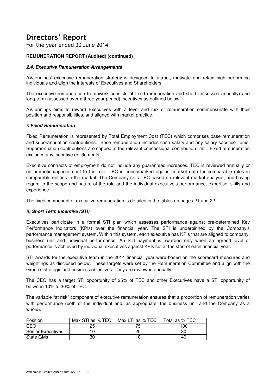For the year ended 30 June 2014

#### **REMUNERATION REPORT (Audited) (continued)**

#### **2.4. Executive Remuneration Arrangements**

AVJennings' executive remuneration strategy is designed to attract, motivate and retain high performing individuals and align the interests of Executives and Shareholders.

The executive remuneration framework consists of fixed remuneration and short (assessed annually) and long-term (assessed over a three year period) incentives as outlined below.

AVJennings aims to reward Executives with a level and mix of remuneration commensurate with their position and responsibilities, and aligned with market practice.

#### **i) Fixed Remuneration**

Fixed Remuneration is represented by Total Employment Cost (TEC) which comprises base remuneration and superannuation contributions. Base remuneration includes cash salary and any salary sacrifice items. Superannuation contributions are capped at the relevant concessional contribution limit. Fixed remuneration excludes any incentive entitlements.

Executive contracts of employment do not include any guaranteed increases. TEC is reviewed annually or on promotion/appointment to the role. TEC is benchmarked against market data for comparable roles in comparable entities in the market. The Company sets TEC based on relevant market analysis, and having regard to the scope and nature of the role and the individual executive's performance, expertise, skills and experience.

The fixed component of executive remuneration is detailed in the tables on pages 21 and 22.

#### **ii) Short Term Incentive (STI)**

Executives participate in a formal STI plan which assesses performance against pre-determined Key Performance Indicators (KPIs) over the financial year. The STI is underpinned by the Company's performance management system. Within this system, each executive has KPIs that are aligned to company, business unit and individual performance. An STI payment is awarded only when an agreed level of performance is achieved by individual executives against KPIs set at the start of each financial year.

STI awards for the executive team in the 2014 financial year were based on the scorecard measures and weightings as disclosed below. These targets were set by the Remuneration Committee and align with the Group's strategic and business objectives. They are reviewed annually.

The CEO has a target STI opportunity of 25% of TEC and other Executives have a STI opportunity of between 10% to 30% of TEC.

The variable "at risk" component of executive remuneration ensures that a proportion of remuneration varies with performance (both of the individual and, as appropriate, the business unit and the Company as a whole).

| Position                 | Max STI as % TEC | Max LTI as % TEC | Total as % TEC |
|--------------------------|------------------|------------------|----------------|
| CEO                      |                  |                  | 100            |
| <b>Senior Executives</b> |                  | 20               | 30             |
| State GMs                |                  | I C              | 40             |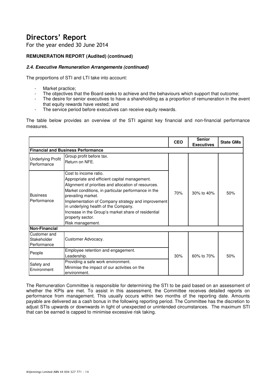For the year ended 30 June 2014

#### **REMUNERATION REPORT (Audited) (continued)**

#### **2.4. Executive Remuneration Arrangements (continued)**

The proportions of STI and LTI take into account:

- Market practice;
- The objectives that the Board seeks to achieve and the behaviours which support that outcome;
- The desire for senior executives to have a shareholding as a proportion of remuneration in the event that equity rewards have vested; and
- The service period before executives can receive equity rewards.

The table below provides an overview of the STI against key financial and non-financial performance measures.

|                                            |                                                                                                                                                                                                                                                                                                                                                                                                          | <b>CEO</b> | <b>Senior</b><br><b>Executives</b> | <b>State GMs</b> |
|--------------------------------------------|----------------------------------------------------------------------------------------------------------------------------------------------------------------------------------------------------------------------------------------------------------------------------------------------------------------------------------------------------------------------------------------------------------|------------|------------------------------------|------------------|
|                                            | <b>Financial and Business Performance</b>                                                                                                                                                                                                                                                                                                                                                                |            |                                    |                  |
| <b>Underlying Profit</b><br>Performance    | Group profit before tax.<br>Return on NFE.                                                                                                                                                                                                                                                                                                                                                               |            |                                    |                  |
| <b>Business</b><br>Performance             | Cost to income ratio.<br>Appropriate and efficient capital management.<br>Alignment of priorities and allocation of resources.<br>Market conditions, in particular performance in the<br>prevailing market.<br>Implementation of Company strategy and improvement<br>in underlying health of the Company.<br>Increase in the Group's market share of residential<br>property sector.<br>Risk management. | 70%        | 30% to 40%                         | 50%              |
| <b>Non-Financial</b>                       |                                                                                                                                                                                                                                                                                                                                                                                                          |            |                                    |                  |
| Customer and<br>Stakeholder<br>Performance | Customer Advocacy.                                                                                                                                                                                                                                                                                                                                                                                       |            |                                    |                  |
| People                                     | Employee retention and engagement.<br>Leadership.                                                                                                                                                                                                                                                                                                                                                        | 30%        | 60% to 70%                         | 50%              |
| Safety and<br>Environment                  | Providing a safe work environment.<br>Minimise the impact of our activities on the<br>environment.                                                                                                                                                                                                                                                                                                       |            |                                    |                  |

The Remuneration Committee is responsible for determining the STI to be paid based on an assessment of whether the KPIs are met. To assist in this assessment, the Committee receives detailed reports on performance from management. This usually occurs within two months of the reporting date. Amounts payable are delivered as a cash bonus in the following reporting period. The Committee has the discretion to adjust STIs upwards or downwards in light of unexpected or unintended circumstances. The maximum STI that can be earned is capped to minimise excessive risk taking.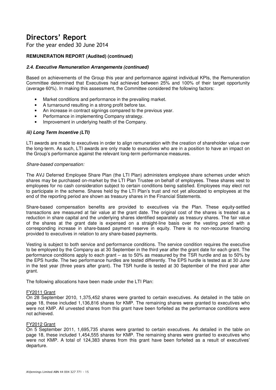For the year ended 30 June 2014

#### **REMUNERATION REPORT (Audited) (continued)**

#### **2.4. Executive Remuneration Arrangements (continued)**

Based on achievements of the Group this year and performance against individual KPIs, the Remuneration Committee determined that Executives had achieved between 25% and 100% of their target opportunity (average 60%). In making this assessment, the Committee considered the following factors:

- Market conditions and performance in the prevailing market.
- A turnaround resulting in a strong profit before tax.
- An increase in contract signings compared to the previous year.
- Performance in implementing Company strategy.
- Improvement in underlying health of the Company.

#### **iii) Long Term Incentive (LTI)**

LTI awards are made to executives in order to align remuneration with the creation of shareholder value over the long-term. As such, LTI awards are only made to executives who are in a position to have an impact on the Group's performance against the relevant long-term performance measures.

#### Share-based compensation:

The AVJ Deferred Employee Share Plan (the LTI Plan) administers employee share schemes under which shares may be purchased on-market by the LTI Plan Trustee on behalf of employees. These shares vest to employees for no cash consideration subject to certain conditions being satisfied. Employees may elect not to participate in the scheme. Shares held by the LTI Plan's trust and not yet allocated to employees at the end of the reporting period are shown as treasury shares in the Financial Statements.

Share-based compensation benefits are provided to executives via the Plan. These equity-settled transactions are measured at fair value at the grant date. The original cost of the shares is treated as a reduction in share capital and the underlying shares identified separately as treasury shares. The fair value of the shares at the grant date is expensed on a straight-line basis over the vesting period with a corresponding increase in share-based payment reserve in equity. There is no non-recourse financing provided to executives in relation to any share-based payments.

Vesting is subject to both service and performance conditions. The service condition requires the executive to be employed by the Company as at 30 September in the third year after the grant date for each grant. The performance conditions apply to each grant – as to 50% as measured by the TSR hurdle and as to 50% by the EPS hurdle. The two performance hurdles are tested differently. The EPS hurdle is tested as at 30 June in the test year (three years after grant). The TSR hurdle is tested at 30 September of the third year after grant.

The following allocations have been made under the LTI Plan:

#### FY2011 Grant

On 28 September 2010, 1,375,452 shares were granted to certain executives. As detailed in the table on page 18, these included 1,136,816 shares for KMP. The remaining shares were granted to executives who were not KMP. All unvested shares from this grant have been forfeited as the performance conditions were not achieved.

#### FY2012 Grant

On 5 September 2011, 1,695,735 shares were granted to certain executives. As detailed in the table on page 18, these included 1,454,555 shares for KMP. The remaining shares were granted to executives who were not KMP. A total of 124,383 shares from this grant have been forfeited as a result of executives' departure.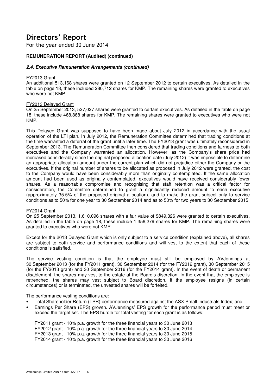For the year ended 30 June 2014

#### **REMUNERATION REPORT (Audited) (continued)**

#### **2.4. Executive Remuneration Arrangements (continued)**

#### FY2013 Grant

An additional 513,168 shares were granted on 12 September 2012 to certain executives. As detailed in the table on page 18, these included 280,712 shares for KMP. The remaining shares were granted to executives who were not KMP.

#### FY2013 Delayed Grant

On 25 September 2013, 527,027 shares were granted to certain executives. As detailed in the table on page 18, these include 468,868 shares for KMP. The remaining shares were granted to executives who were not KMP.

This Delayed Grant was supposed to have been made about July 2012 in accordance with the usual operation of the LTI plan. In July 2012, the Remuneration Committee determined that trading conditions at the time warranted a deferral of the grant until a later time. The FY2013 grant was ultimately reconsidered in September 2013. The Remuneration Committee then considered that trading conditions and fairness to both executives and the Company warranted an allocation. However, as the Company's share price had increased considerably since the original proposed allocation date (July 2012) it was impossible to determine an appropriate allocation amount under the current plan which did not prejudice either the Company or the executives. If the original number of shares to be allocated as proposed in July 2012 were granted, the cost to the Company would have been considerably more than originally contemplated. If the same allocation amount had been used as originally contemplated, executives would have received considerably fewer shares. As a reasonable compromise and recognising that staff retention was a critical factor for consideration, the Committee determined to grant a significantly reduced amount to each executive (approximately 35.5% of the proposed original allocation), and to make the grant subject only to service conditions as to 50% for one year to 30 September 2014 and as to 50% for two years to 30 September 2015.

#### FY2014 Grant

On 25 September 2013, 1,610,096 shares with a fair value of \$849,326 were granted to certain executives. As detailed in the table on page 18, these include 1,356,279 shares for KMP. The remaining shares were granted to executives who were not KMP.

Except for the 2013 Delayed Grant which is only subject to a service condition (explained above), all shares are subject to both service and performance conditions and will vest to the extent that each of these conditions is satisfied.

The service vesting condition is that the employee must still be employed by AVJennings at 30 September 2013 (for the FY2011 grant), 30 September 2014 (for the FY2012 grant), 30 September 2015 (for the FY2013 grant) and 30 September 2016 (for the FY2014 grant). In the event of death or permanent disablement, the shares may vest to the estate at the Board's discretion. In the event that the employee is retrenched, the shares may vest subject to Board discretion. If the employee resigns (in certain circumstances) or is terminated, the unvested shares will be forfeited.

The performance vesting conditions are:

- Total Shareholder Return (TSR) performance measured against the ASX Small Industrials Index; and
- Earnings Per Share (EPS) growth. AVJennings' EPS growth for the performance period must meet or exceed the target set. The EPS hurdle for total vesting for each grant is as follows:

FY2011 grant - 10% p.a. growth for the three financial years to 30 June 2013 FY2012 grant - 10% p.a. growth for the three financial years to 30 June 2014 FY2013 grant - 10% p.a. growth for the three financial years to 30 June 2015 FY2014 grant - 10% p.a. growth for the three financial years to 30 June 2016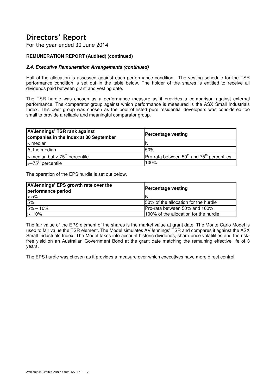For the year ended 30 June 2014

#### **REMUNERATION REPORT (Audited) (continued)**

#### **2.4. Executive Remuneration Arrangements (continued)**

Half of the allocation is assessed against each performance condition. The vesting schedule for the TSR performance condition is set out in the table below. The holder of the shares is entitled to receive all dividends paid between grant and vesting date.

The TSR hurdle was chosen as a performance measure as it provides a comparison against external performance. The comparator group against which performance is measured is the ASX Small Industrials Index. This peer group was chosen as the pool of listed pure residential developers was considered too small to provide a reliable and meaningful comparator group.

| <b>AVJennings' TSR rank against</b><br>companies in the Index at 30 September | <b>Percentage vesting</b>                                          |  |  |  |
|-------------------------------------------------------------------------------|--------------------------------------------------------------------|--|--|--|
| l< median                                                                     | <b>INil</b>                                                        |  |  |  |
| At the median                                                                 | 50%                                                                |  |  |  |
| $>$ median but < 75 <sup>th</sup> percentile                                  | Pro-rata between 50 <sup>th</sup> and 75 <sup>th</sup> percentiles |  |  |  |
| $\left  \right $ >=75 <sup>th</sup> percentile                                | 100%                                                               |  |  |  |

The operation of the EPS hurdle is set out below.

| <b>AVJennings' EPS growth rate over the</b><br>performance period | <b>Percentage vesting</b>             |  |  |  |
|-------------------------------------------------------------------|---------------------------------------|--|--|--|
| $< 5\%$                                                           | <b>INil</b>                           |  |  |  |
| 5%                                                                | 150% of the allocation for the hurdle |  |  |  |
| $15% - 10%$                                                       | Pro-rata between 50% and 100%         |  |  |  |
| $>=10%$                                                           | 100% of the allocation for the hurdle |  |  |  |

The fair value of the EPS element of the shares is the market value at grant date. The Monte Carlo Model is used to fair value the TSR element. The Model simulates AVJennings' TSR and compares it against the ASX Small Industrials Index. The Model takes into account historic dividends, share price volatilities and the riskfree yield on an Australian Government Bond at the grant date matching the remaining effective life of 3 years.

The EPS hurdle was chosen as it provides a measure over which executives have more direct control.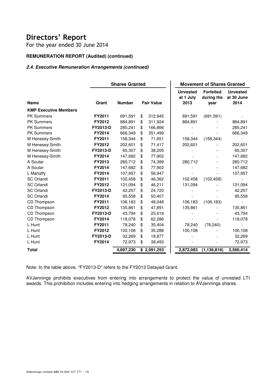For the year ended 30 June 2014

#### **REMUNERATION REPORT (Audited) (continued)**

#### **2.4. Executive Remuneration Arrangements (continued)**

|                              |                 | <b>Shares Granted</b> |                   | <b>Movement of Shares Granted</b> |                                      |                                        |                                       |
|------------------------------|-----------------|-----------------------|-------------------|-----------------------------------|--------------------------------------|----------------------------------------|---------------------------------------|
| <b>Name</b>                  | Grant           | <b>Number</b>         | <b>Fair Value</b> |                                   | <b>Unvested</b><br>at 1 July<br>2013 | <b>Forfeited</b><br>during the<br>year | <b>Unvested</b><br>at 30 June<br>2014 |
| <b>KMP Executive Members</b> |                 |                       |                   |                                   |                                      |                                        |                                       |
| <b>PK Summers</b>            | FY2011          | 691,591               | \$<br>312,945     |                                   | 691,591                              | (691, 591)                             |                                       |
| <b>PK Summers</b>            | FY2012          | 884,891               | \$<br>311,924     |                                   | 884,891                              |                                        | 884,891                               |
| <b>PK Summers</b>            | <b>FY2013-D</b> | 285,241               | \$<br>166,866     |                                   |                                      |                                        | 285,241                               |
| <b>PK Summers</b>            | FY2014          | 666,349               | \$<br>351,499     |                                   |                                      |                                        | 666,349                               |
| M Henesey-Smith              | FY2011          | 158,344               | \$<br>71,651      |                                   | 158,344                              | (158, 344)                             |                                       |
| M Henesey-Smith              | FY2012          | 202,601               | \$<br>71,417      |                                   | 202,601                              |                                        | 202,601                               |
| M Henesey-Smith              | <b>FY2013-D</b> | 65,307                | \$<br>38,205      |                                   |                                      |                                        | 65,307                                |
| M Henesey-Smith              | FY2014          | 147,682               | \$<br>77,902      |                                   |                                      |                                        | 147,682                               |
| A Soutar                     | FY2013          | 280,712               | \$<br>74,389      |                                   | 280,712                              |                                        | 280,712                               |
| A Soutar                     | FY2014          | 147,682               | \$<br>77,902      |                                   |                                      |                                        | 147,682                               |
| L Mahaffy                    | FY2014          | 107,957               | \$<br>56,947      |                                   |                                      |                                        | 107,957                               |
| SC Orlandi                   | FY2011          | 102,458               | \$<br>46,362      |                                   | 102,458                              | (102, 458)                             |                                       |
| SC Orlandi                   | FY2012          | 131,094               | \$<br>46,211      |                                   | 131,094                              |                                        | 131,094                               |
| <b>SC Orlandi</b>            | <b>FY2013-D</b> | 42,257                | \$<br>24,720      |                                   |                                      |                                        | 42,257                                |
| SC Orlandi                   | FY2014          | 95,558                | \$<br>50,407      |                                   |                                      |                                        | 95,558                                |
| CD Thompson                  | FY2011          | 106,183               | \$<br>48,048      |                                   | 106,183                              | (106, 183)                             |                                       |
| CD Thompson                  | FY2012          | 135,861               | \$<br>47,891      |                                   | 135,861                              |                                        | 135,861                               |
| CD Thompson                  | FY2013-D        | 43,794                | \$<br>25,619      |                                   |                                      |                                        | 43,794                                |
| CD Thompson                  | FY2014          | 118,078               | \$<br>62,286      |                                   |                                      |                                        | 118,078                               |
| L Hunt                       | FY2011          | 78,240                | \$<br>35,404      |                                   | 78,240                               | (78, 240)                              |                                       |
| L Hunt                       | FY2012          | 100,108               | \$<br>35,288      |                                   | 100,108                              |                                        | 100,108                               |
| L Hunt                       | FY2013-D        | 32,269                | \$<br>18,877      |                                   |                                      |                                        | 32,269                                |
| L Hunt                       | FY2014          | 72,973                | \$<br>38,493      |                                   |                                      |                                        | 72,973                                |
| <b>Total</b>                 |                 | 4,697,230             | \$2,091,253       |                                   | 2,872,083                            | (1, 136, 816)                          | 3,560,414                             |

Note: In the table above, "FY2013-D" refers to the FY2013 Delayed Grant.

AVJennings prohibits executives from entering into arrangements to protect the value of unvested LTI awards. This prohibition includes entering into hedging arrangements in relation to AVJennings shares.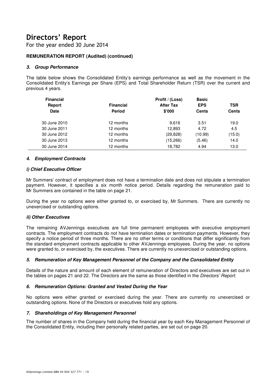For the year ended 30 June 2014

#### **REMUNERATION REPORT (Audited) (continued)**

#### **3. Group Performance**

The table below shows the Consolidated Entity's earnings performance as well as the movement in the Consolidated Entity's Earnings per Share (EPS) and Total Shareholder Return (TSR) over the current and previous 4 years.

| <b>Financial</b> |                  | Profit / (Loss)  | <b>Basic</b> |              |  |
|------------------|------------------|------------------|--------------|--------------|--|
| Report           | <b>Financial</b> | <b>After Tax</b> | <b>EPS</b>   | <b>TSR</b>   |  |
| Date             | <b>Period</b>    | \$'000           | <b>Cents</b> | <b>Cents</b> |  |
| 30 June 2010     | 12 months        | 9,616            | 3.51         | 19.0         |  |
| 30 June 2011     | 12 months        | 12.893           | 4.72         | 4.5          |  |
| 30 June 2012     | 12 months        | (29, 828)        | (10.99)      | (15.0)       |  |
| 30 June 2013     | 12 months        | (15, 266)        | (5.46)       | 14.0         |  |
| 30 June 2014     | 12 months        | 18,782           | 4.94         | 13.0         |  |

#### **4. Employment Contracts**

#### **i) Chief Executive Officer**

Mr Summers' contract of employment does not have a termination date and does not stipulate a termination payment. However, it specifies a six month notice period. Details regarding the remuneration paid to Mr Summers are contained in the table on page 21.

During the year no options were either granted to, or exercised by, Mr Summers. There are currently no unexercised or outstanding options.

#### **ii) Other Executives**

The remaining AVJennings executives are full time permanent employees with executive employment contracts. The employment contracts do not have termination dates or termination payments. However, they specify a notice period of three months. There are no other terms or conditions that differ significantly from the standard employment contracts applicable to other AVJennings employees. During the year, no options were granted to, or exercised by, the executives. There are currently no unexercised or outstanding options.

#### **5. Remuneration of Key Management Personnel of the Company and the Consolidated Entity**

Details of the nature and amount of each element of remuneration of Directors and executives are set out in the tables on pages 21 and 22. The Directors are the same as those identified in the Directors' Report.

#### **6. Remuneration Options: Granted and Vested During the Year**

No options were either granted or exercised during the year. There are currently no unexercised or outstanding options. None of the Directors or executives hold any options.

#### **7. Shareholdings of Key Management Personnel**

The number of shares in the Company held during the financial year by each Key Management Personnel of the Consolidated Entity, including their personally related parties, are set out on page 20.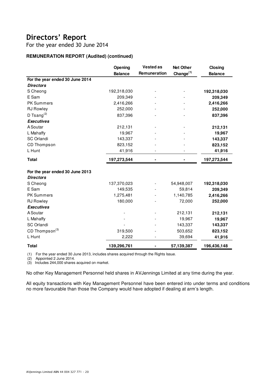For the year ended 30 June 2014

#### **REMUNERATION REPORT (Audited) (continued)**

|                                 | Opening        | <b>Vested as</b> | <b>Net Other</b> | Closing        |
|---------------------------------|----------------|------------------|------------------|----------------|
|                                 | <b>Balance</b> | Remuneration     | Change $(1)$     | <b>Balance</b> |
| For the year ended 30 June 2014 |                |                  |                  |                |
| <b>Directors</b>                |                |                  |                  |                |
| S Cheong                        | 192,318,030    |                  |                  | 192,318,030    |
| E Sam                           | 209,349        |                  |                  | 209,349        |
| <b>PK Summers</b>               | 2,416,266      |                  |                  | 2,416,266      |
| <b>RJ Rowley</b>                | 252,000        |                  |                  | 252,000        |
| D Tsang <sup>(2)</sup>          | 837,396        |                  |                  | 837,396        |
| <b>Executives</b>               |                |                  |                  |                |
| A Soutar                        | 212,131        |                  |                  | 212,131        |
| L Mahaffy                       | 19,967         |                  |                  | 19,967         |
| SC Orlandi                      | 143,337        |                  |                  | 143,337        |
| CD Thompson                     | 823,152        |                  |                  | 823,152        |
| L Hunt                          | 41,916         |                  |                  | 41,916         |
| <b>Total</b>                    | 197,273,544    |                  |                  | 197,273,544    |
| For the year ended 30 June 2013 |                |                  |                  |                |
| <b>Directors</b>                |                |                  |                  |                |
| S Cheong                        | 137,370,023    |                  | 54,948,007       | 192,318,030    |
| E Sam                           | 149,535        |                  | 59,814           | 209,349        |
| PK Summers                      | 1,275,481      |                  | 1,140,785        | 2,416,266      |
| <b>RJ Rowley</b>                | 180,000        |                  | 72,000           | 252,000        |
| <b>Executives</b>               |                |                  |                  |                |
| A Soutar                        |                |                  | 212,131          | 212,131        |
| L Mahaffy                       |                |                  | 19,967           | 19,967         |
| SC Orlandi                      |                |                  | 143,337          | 143,337        |
| CD Thompson <sup>(3)</sup>      | 319,500        |                  | 503,652          | 823,152        |
| L Hunt                          | 2,222          |                  | 39,694           | 41,916         |
| <b>Total</b>                    | 139,296,761    |                  | 57,139,387       | 196,436,148    |

(1) For the year ended 30 June 2013, includes shares acquired through the Rights Issue.

(2) Appointed 2 June 2014.

(3) Includes 244,000 shares acquired on market.

No other Key Management Personnel held shares in AVJennings Limited at any time during the year.

All equity transactions with Key Management Personnel have been entered into under terms and conditions no more favourable than those the Company would have adopted if dealing at arm's length.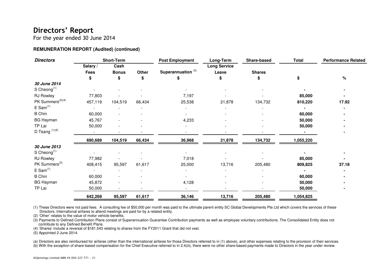For the year ended 30 June 2014

#### **REMUNERATION REPORT (Audited) (continued)**

| <b>Directors</b>             |                        | <b>Short-Term</b>    |        | <b>Post Employment</b>        | Long-Term                    | Share-based   | <b>Total</b> | <b>Performance Related</b> |
|------------------------------|------------------------|----------------------|--------|-------------------------------|------------------------------|---------------|--------------|----------------------------|
|                              | Salary/<br><b>Fees</b> | Cash<br><b>Bonus</b> | Other  | Superannuation <sup>(3)</sup> | <b>Long Service</b><br>Leave | <b>Shares</b> |              |                            |
|                              | \$                     | S                    | \$     |                               | S                            |               | \$           | $\%$                       |
| 30 June 2014                 |                        |                      |        |                               |                              |               |              |                            |
| $S$ Cheong <sup>(1)</sup>    |                        |                      |        |                               |                              |               |              |                            |
| <b>RJ Rowley</b>             | 77,803                 |                      |        | 7,197                         |                              |               | 85,000       |                            |
| PK Summers <sup>(2)(4)</sup> | 457,119                | 104,519              | 66,434 | 25,538                        | 21,878                       | 134,732       | 810,220      | 17.92                      |
| E Sam <sup>(1)</sup>         |                        |                      |        |                               |                              |               |              |                            |
| <b>B</b> Chin                | 60,000                 |                      |        |                               |                              |               | 60,000       |                            |
| <b>BG Hayman</b>             | 45,767                 |                      |        | 4,233                         |                              |               | 50,000       |                            |
| TP Lai                       | 50,000                 |                      |        |                               |                              |               | 50,000       |                            |
| D Tsang $(1)(5)$             |                        |                      |        |                               |                              |               |              |                            |
|                              | 690,689                | 104,519              | 66,434 | 36,968                        | 21,878                       | 134,732       | 1,055,220    |                            |
| 30 June 2013                 |                        |                      |        |                               |                              |               |              |                            |
| S Cheong $(1)$               |                        |                      |        |                               |                              |               |              |                            |
| <b>RJ Rowley</b>             | 77,982                 |                      |        | 7,018                         |                              |               | 85,000       |                            |
| PK Summers <sup>(2)</sup>    | 408,415                | 95,597               | 61,617 | 25,000                        | 13,716                       | 205,480       | 809,825      | 37.18                      |
| E Sam <sup>(1)</sup>         |                        |                      |        |                               |                              |               |              |                            |
| <b>B</b> Chin                | 60,000                 |                      |        |                               |                              |               | 60,000       |                            |
| <b>BG Hayman</b>             | 45,872                 |                      |        | 4,128                         |                              |               | 50,000       |                            |
| TP Lai                       | 50,000                 |                      |        |                               |                              |               | 50,000       |                            |
|                              | 642,269                | 95,597               | 61,617 | 36,146                        | 13,716                       | 205,480       | 1,054,825    |                            |

(1) These Directors were not paid fees. A consulting fee of \$50,000 per month was paid to the ultimate parent entity SC Global Developments Pte Ltd which covers the services of these Directors. International airfares to attend meetings are paid for by a related entity.

(2) 'Other' relates to the value of motor vehicle benefits.

 (3) Payments to Defined Contribution Plans consist of Superannuation Guarantee Contribution payments as well as employee voluntary contributions. The Consolidated Entity does not contribute to any Defined Benefit Plans.

(4) 'Shares' include a reversal of \$181,543 relating to shares from the FY2011 Grant that did not vest.

(5) Appointed 2 June 2014.

(a) Directors are also reimbursed for airfares (other than the international airfares for those Directors referred to in (1) above), and other expenses relating to the provision of their services. (b) With the exception of share-based compensation for the Chief Executive referred to in 2.4(iii), there were no other share-based payments made to Directors in the year under review.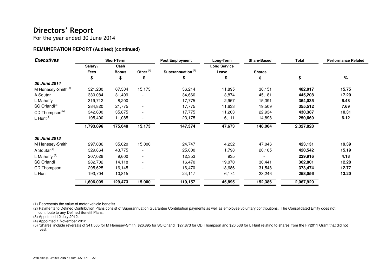For the year ended 30 June 2014

#### **REMUNERATION REPORT (Audited) (continued)**

| <b>Executives</b>              |           | Short-Term   |                          | <b>Post Employment</b>        | Long-Term           | <b>Share-Based</b> | <b>Total</b> | <b>Performance Related</b> |
|--------------------------------|-----------|--------------|--------------------------|-------------------------------|---------------------|--------------------|--------------|----------------------------|
|                                | Salary /  | Cash         |                          |                               | <b>Long Service</b> |                    |              |                            |
|                                | Fees      | <b>Bonus</b> | Other $(1)$              | Superannuation <sup>(2)</sup> | Leave               | <b>Shares</b>      |              |                            |
|                                | \$        | \$           | \$                       | \$                            | ზ                   | \$                 | \$           | $\%$                       |
| 30 June 2014                   |           |              |                          |                               |                     |                    |              |                            |
| M Henesey-Smith <sup>(5)</sup> | 321,280   | 67,304       | 15,173                   | 36,214                        | 11,895              | 30,151             | 482,017      | 15.75                      |
| A Soutar                       | 330,084   | 31,409       |                          | 34,660                        | 3,874               | 45,181             | 445,208      | 17.20                      |
| L Mahaffy                      | 319,712   | 8,200        | $\overline{\phantom{a}}$ | 17,775                        | 2,957               | 15,391             | 364,035      | 6.48                       |
| SC Orlandi <sup>(5)</sup>      | 284,820   | 21,775       | $\overline{\phantom{a}}$ | 17,775                        | 11,633              | 19,509             | 355,512      | 7.69                       |
| CD Thompson <sup>(5)</sup>     | 342,600   | 35,875       | $\overline{\phantom{a}}$ | 17,775                        | 11,203              | 22,934             | 430,387      | 10.31                      |
| L Hunt $(5)$                   | 195,400   | 11,085       | $\overline{\phantom{a}}$ | 23,175                        | 6,111               | 14,898             | 250,669      | 6.12                       |
|                                | 1,793,896 | 175,648      | 15,173                   | 147,374                       | 47,673              | 148,064            | 2,327,828    |                            |
| 30 June 2013                   |           |              |                          |                               |                     |                    |              |                            |
| M Henesey-Smith                | 297,086   | 35,020       | 15,000                   | 24,747                        | 4,232               | 47,046             | 423,131      | 19.39                      |
| A Soutar <sup>(3)</sup>        | 329,864   | 43,775       | $\overline{\phantom{a}}$ | 25,000                        | 1,798               | 20,105             | 420,542      | 15.19                      |
| L Mahaffy $(4)$                | 207,028   | 9,600        | $\overline{\phantom{a}}$ | 12,353                        | 935                 |                    | 229,916      | 4.18                       |
| SC Orlandi                     | 282,702   | 14,118       | $\overline{\phantom{a}}$ | 16,470                        | 19,070              | 30,441             | 362,801      | 12.28                      |
| CD Thompson                    | 295,625   | 16,145       | $\overline{\phantom{a}}$ | 16,470                        | 13,686              | 31,548             | 373,474      | 12.77                      |
| L Hunt                         | 193,704   | 10,815       | $\overline{\phantom{a}}$ | 24,117                        | 6,174               | 23,246             | 258,056      | 13.20                      |
|                                | 1,606,009 | 129,473      | 15,000                   | 119,157                       | 45,895              | 152,386            | 2,067,920    |                            |

(1) Represents the value of motor vehicle benefits.

 (2) Payments to Defined Contribution Plans consist of Superannuation Guarantee Contribution payments as well as employee voluntary contributions. The Consolidated Entity does not contribute to any Defined Benefit Plans.

(3) Appointed 12 July 2012.

(4) Appointed 1 November 2012.

 (5) 'Shares' include reversals of \$41,565 for M Henesey-Smith, \$26,895 for SC Orlandi, \$27,873 for CD Thompson and \$20,538 for L Hunt relating to shares from the FY2011 Grant that did not vest.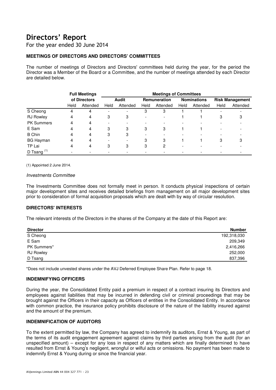For the year ended 30 June 2014

#### **MEETINGS OF DIRECTORS AND DIRECTORS' COMMITTEES**

The number of meetings of Directors and Directors' committees held during the year, for the period the Director was a Member of the Board or a Committee, and the number of meetings attended by each Director are detailed below.

|                        | <b>Full Meetings</b><br>of Directors |          | <b>Meetings of Committees</b> |                          |                     |                          |                    |          |                        |          |
|------------------------|--------------------------------------|----------|-------------------------------|--------------------------|---------------------|--------------------------|--------------------|----------|------------------------|----------|
|                        |                                      |          | <b>Audit</b>                  |                          | <b>Remuneration</b> |                          | <b>Nominations</b> |          | <b>Risk Management</b> |          |
|                        | Held                                 | Attended | Held                          | Attended                 | Held                | Attended                 | Held               | Attended | Held                   | Attended |
| S Cheong               | 4                                    | 4        | -                             | $\overline{\phantom{a}}$ | 3                   | 3                        |                    |          |                        |          |
| <b>RJ Rowley</b>       | 4                                    | 4        | 3                             | 3                        | ۰                   | $\overline{\phantom{a}}$ |                    |          | 3                      | 3        |
| <b>PK Summers</b>      | 4                                    | 4        | -                             | $\overline{\phantom{a}}$ | ۰                   |                          |                    |          |                        |          |
| E Sam                  | 4                                    | 4        | 3                             | 3                        | 3                   | 3                        |                    |          |                        |          |
| <b>B</b> Chin          | 4                                    | 4        | 3                             | З                        | -                   |                          |                    |          |                        |          |
| <b>BG Hayman</b>       | 4                                    | 4        |                               | $\overline{\phantom{a}}$ | 3                   | З                        |                    |          | 3                      | 3        |
| TP Lai                 | 4                                    | 4        | 3                             | 3                        | 3                   | 2                        |                    |          |                        |          |
| D Tsang <sup>(1)</sup> |                                      |          |                               |                          |                     |                          |                    |          |                        |          |

(1) Appointed 2 June 2014.

#### Investments Committee

The Investments Committee does not formally meet in person. It conducts physical inspections of certain major development sites and receives detailed briefings from management on all major development sites prior to consideration of formal acquisition proposals which are dealt with by way of circular resolution.

#### **DIRECTORS' INTERESTS**

The relevant interests of the Directors in the shares of the Company at the date of this Report are:

| <b>Director</b>  | <b>Number</b> |
|------------------|---------------|
| S Cheong         | 192,318,030   |
| E Sam            | 209,349       |
| PK Summers*      | 2,416,266     |
| <b>RJ Rowley</b> | 252,000       |
| D Tsang          | 837,396       |

\*Does not include unvested shares under the AVJ Deferred Employee Share Plan. Refer to page 18.

#### **INDEMNIFYING OFFICERS**

During the year, the Consolidated Entity paid a premium in respect of a contract insuring its Directors and employees against liabilities that may be incurred in defending civil or criminal proceedings that may be brought against the Officers in their capacity as Officers of entities in the Consolidated Entity. In accordance with common practice, the insurance policy prohibits disclosure of the nature of the liability insured against and the amount of the premium.

#### **INDEMNIFICATION OF AUDITORS**

To the extent permitted by law, the Company has agreed to indemnify its auditors, Ernst & Young, as part of the terms of its audit engagement agreement against claims by third parties arising from the audit (for an unspecified amount) – except for any loss in respect of any matters which are finally determined to have resulted from Ernst & Young's negligent, wrongful or wilful acts or omissions. No payment has been made to indemnify Ernst & Young during or since the financial year.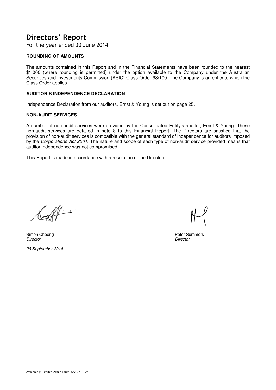For the year ended 30 June 2014

#### **ROUNDING OF AMOUNTS**

The amounts contained in this Report and in the Financial Statements have been rounded to the nearest \$1,000 (where rounding is permitted) under the option available to the Company under the Australian Securities and Investments Commission (ASIC) Class Order 98/100. The Company is an entity to which the Class Order applies.

#### **AUDITOR'S INDEPENDENCE DECLARATION**

Independence Declaration from our auditors, Ernst & Young is set out on page 25.

#### **NON-AUDIT SERVICES**

A number of non-audit services were provided by the Consolidated Entity's auditor, Ernst & Young. These non-audit services are detailed in note 8 to this Financial Report. The Directors are satisfied that the provision of non-audit services is compatible with the general standard of independence for auditors imposed by the Corporations Act 2001. The nature and scope of each type of non-audit service provided means that auditor independence was not compromised.

This Report is made in accordance with a resolution of the Directors.

 $\mathbb{M}$  .

Simon Cheong **Director** 

26 September 2014

Peter Summers **Director**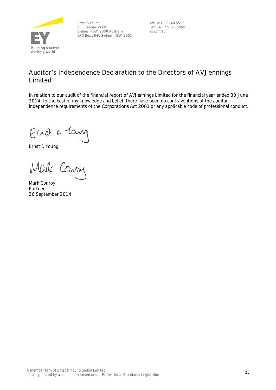

Ernst & Young 680 George Street Sydney NSW 2000 Australia GPO Box 2646 Sydney NSW 2001

Tel: +61 2 9248 5555 Fax: +61 2 9248 5959 ey.com/au

### **Auditor's Independence Declaration to the Directors of AVJennings Limited**

In relation to our audit of the financial report of AVJennings Limited for the financial year ended 30 June 2014, to the best of my knowledge and belief, there have been no contraventions of the auditor independence requirements of the *Corporations Act 2001* or any applicable code of professional conduct.

Ernst & Young

Mark Conon

Mark Conroy Partner 26 September 2014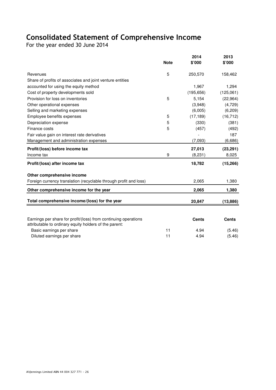## Consolidated Statement of Comprehensive Income

For the year ended 30 June 2014

|                                                                                                                           | <b>Note</b> | 2014<br>\$'000 | 2013<br>\$'000 |
|---------------------------------------------------------------------------------------------------------------------------|-------------|----------------|----------------|
| Revenues                                                                                                                  | 5           | 250,570        | 158,462        |
| Share of profits of associates and joint venture entities                                                                 |             |                |                |
| accounted for using the equity method                                                                                     |             | 1,967          | 1,294          |
| Cost of property developments sold                                                                                        |             | (195, 656)     | (125,061)      |
| Provision for loss on inventories                                                                                         | 5           | 5,154          | (22, 964)      |
| Other operational expenses                                                                                                |             | (3,948)        | (4,729)        |
| Selling and marketing expenses                                                                                            |             | (6,005)        | (6, 209)       |
| Employee benefits expenses                                                                                                | 5           | (17, 189)      | (16, 712)      |
| Depreciation expense                                                                                                      | 5           | (330)          | (381)          |
| Finance costs                                                                                                             | 5           | (457)          | (492)          |
| Fair value gain on interest rate derivatives                                                                              |             |                | 187            |
| Management and administration expenses                                                                                    |             | (7,093)        | (6,686)        |
| Profit/(loss) before income tax                                                                                           |             | 27,013         | (23, 291)      |
| Income tax                                                                                                                | 9           | (8, 231)       | 8,025          |
| Profit/(loss) after income tax                                                                                            |             | 18,782         | (15, 266)      |
| Other comprehensive income                                                                                                |             |                |                |
| Foreign currency translation (recyclable through profit and loss)                                                         |             | 2,065          | 1,380          |
| Other comprehensive income for the year                                                                                   |             | 2,065          | 1,380          |
| Total comprehensive income/(loss) for the year                                                                            |             | 20,847         | (13, 886)      |
|                                                                                                                           |             |                |                |
| Earnings per share for profit/(loss) from continuing operations<br>attributable to ordinary equity holders of the parent: |             | <b>Cents</b>   | <b>Cents</b>   |
| Basic earnings per share                                                                                                  | 11          | 4.94           | (5.46)         |
| Diluted earnings per share                                                                                                | 11          | 4.94           | (5.46)         |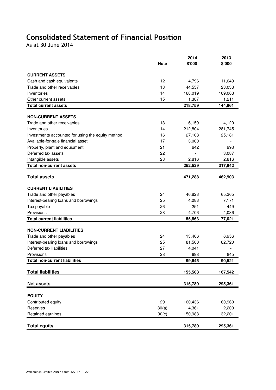## Consolidated Statement of Financial Position

As at 30 June 2014

|                                                   | <b>Note</b> | 2014<br>\$'000 | 2013<br>\$'000 |
|---------------------------------------------------|-------------|----------------|----------------|
|                                                   |             |                |                |
| <b>CURRENT ASSETS</b>                             |             |                |                |
| Cash and cash equivalents                         | 12          | 4,796          | 11,649         |
| Trade and other receivables                       | 13          | 44,557         | 23,033         |
| Inventories                                       | 14          | 168,019        | 109,068        |
| Other current assets                              | 15          | 1,387          | 1,211          |
| <b>Total current assets</b>                       |             | 218,759        | 144,961        |
| <b>NON-CURRENT ASSETS</b>                         |             |                |                |
| Trade and other receivables                       | 13          | 6,159          | 4,120          |
| Inventories                                       | 14          | 212,804        | 281,745        |
| Investments accounted for using the equity method | 16          | 27,108         | 25,181         |
| Available-for-sale financial asset                | 17          | 3,000          |                |
| Property, plant and equipment                     | 21          | 642            | 993            |
| Deferred tax assets                               | 22          |                | 3,087          |
| Intangible assets                                 | 23          | 2,816          | 2,816          |
| <b>Total non-current assets</b>                   |             | 252,529        | 317,942        |
|                                                   |             |                |                |
| <b>Total assets</b>                               |             | 471,288        | 462,903        |
| <b>CURRENT LIABILITIES</b>                        |             |                |                |
| Trade and other payables                          | 24          | 46,823         | 65,365         |
| Interest-bearing loans and borrowings             | 25          | 4,083          | 7,171          |
| Tax payable                                       | 26          | 251            | 449            |
| Provisions                                        | 28          | 4,706          | 4,036          |
| <b>Total current liabilities</b>                  |             | 55,863         | 77,021         |
|                                                   |             |                |                |
| <b>NON-CURRENT LIABILITIES</b>                    |             |                |                |
| Trade and other payables                          | 24          | 13,406         | 6,956          |
| Interest-bearing loans and borrowings             | 25          | 81,500         | 82,720         |
| Deferred tax liabilities                          | 27          | 4,041          |                |
| Provisions                                        | 28          | 698            | 845            |
| <b>Total non-current liabilities</b>              |             | 99,645         | 90,521         |
| <b>Total liabilities</b>                          |             | 155,508        | 167,542        |
| <b>Net assets</b>                                 |             | 315,780        | 295,361        |
|                                                   |             |                |                |
| <b>EQUITY</b>                                     |             |                |                |
| Contributed equity                                | 29          | 160,436        | 160,960        |
| Reserves                                          | 30(a)       | 4,361          | 2,200          |
| Retained earnings                                 | 30(c)       | 150,983        | 132,201        |
| <b>Total equity</b>                               |             | 315,780        | 295,361        |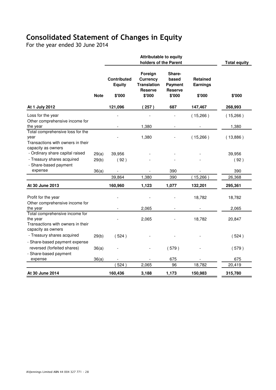## Consolidated Statement of Changes in Equity

For the year ended 30 June 2014

|                                                                                                       |             |                                               | <b>Total equity</b>                                                          |                                                        |                                              |          |
|-------------------------------------------------------------------------------------------------------|-------------|-----------------------------------------------|------------------------------------------------------------------------------|--------------------------------------------------------|----------------------------------------------|----------|
|                                                                                                       | <b>Note</b> | <b>Contributed</b><br><b>Equity</b><br>\$'000 | Foreign<br><b>Currency</b><br><b>Translation</b><br><b>Reserve</b><br>\$'000 | Share-<br>based<br>Payment<br><b>Reserve</b><br>\$'000 | <b>Retained</b><br><b>Earnings</b><br>\$'000 | \$'000   |
| At 1 July 2012                                                                                        |             | 121,096                                       | (257)                                                                        | 687                                                    | 147,467                                      | 268,993  |
| Loss for the year<br>Other comprehensive income for                                                   |             |                                               |                                                                              |                                                        | (15,266)                                     | (15,266) |
| the year                                                                                              |             |                                               | 1,380                                                                        |                                                        |                                              | 1,380    |
| Total comprehensive loss for the<br>year<br>Transactions with owners in their<br>capacity as owners   |             |                                               | 1,380                                                                        |                                                        | (15,266)                                     | (13,886) |
| - Ordinary share capital raised                                                                       | 29(a)       | 39,956                                        |                                                                              |                                                        |                                              | 39,956   |
| - Treasury shares acquired                                                                            | 29(b)       | (92)                                          |                                                                              |                                                        |                                              | (92)     |
| - Share-based payment                                                                                 |             |                                               |                                                                              |                                                        |                                              |          |
| expense                                                                                               | 36(a)       |                                               |                                                                              | 390                                                    |                                              | 390      |
|                                                                                                       |             | 39,864                                        | 1,380                                                                        | 390                                                    | (15,266)                                     | 26,368   |
| At 30 June 2013                                                                                       |             | 160,960                                       | 1,123                                                                        | 1,077                                                  | 132,201                                      | 295,361  |
| Profit for the year<br>Other comprehensive income for                                                 |             |                                               |                                                                              |                                                        | 18,782                                       | 18,782   |
| the year                                                                                              |             |                                               | 2,065                                                                        |                                                        |                                              | 2,065    |
| Total comprehensive income for<br>the year<br>Transactions with owners in their<br>capacity as owners |             |                                               | 2,065                                                                        |                                                        | 18,782                                       | 20,847   |
| - Treasury shares acquired                                                                            | 29(b)       | (524)                                         |                                                                              |                                                        |                                              | (524)    |
| - Share-based payment expense                                                                         |             |                                               |                                                                              |                                                        |                                              |          |
| reversed (forfeited shares)<br>- Share-based payment                                                  | 36(a)       |                                               |                                                                              | (579)                                                  |                                              | (579)    |
| expense                                                                                               | 36(a)       |                                               |                                                                              | 675                                                    |                                              | 675      |
|                                                                                                       |             | 524                                           | 2,065                                                                        | 96                                                     | 18,782                                       | 20,419   |
| At 30 June 2014                                                                                       |             | 160,436                                       | 3,188                                                                        | 1,173                                                  | 150,983                                      | 315,780  |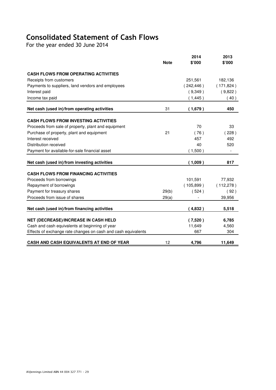## Consolidated Statement of Cash Flows

For the year ended 30 June 2014

|                                                               |             | 2014       | 2013                     |
|---------------------------------------------------------------|-------------|------------|--------------------------|
|                                                               | <b>Note</b> | \$'000     | \$'000                   |
| <b>CASH FLOWS FROM OPERATING ACTIVITIES</b>                   |             |            |                          |
| Receipts from customers                                       |             | 251,561    | 182,136                  |
| Payments to suppliers, land vendors and employees             |             | (242, 446) | (171, 824)               |
| Interest paid                                                 |             | (9,349)    | (9,822)                  |
| Income tax paid                                               |             | (1, 445)   | (40)                     |
| Net cash (used in)/from operating activities                  | 31          | (1,679)    | 450                      |
|                                                               |             |            |                          |
| <b>CASH FLOWS FROM INVESTING ACTIVITIES</b>                   |             |            |                          |
| Proceeds from sale of property, plant and equipment           |             | 70         | 33                       |
| Purchase of property, plant and equipment                     | 21          | (76)       | 228)                     |
| Interest received                                             |             | 457        | 492                      |
| Distribution received                                         |             | 40         | 520                      |
| Payment for available-for-sale financial asset                |             | (1,500)    | $\overline{\phantom{a}}$ |
| Net cash (used in)/from investing activities                  |             | (1,009)    | 817                      |
|                                                               |             |            |                          |
| <b>CASH FLOWS FROM FINANCING ACTIVITIES</b>                   |             |            |                          |
| Proceeds from borrowings                                      |             | 101,591    | 77,932                   |
| Repayment of borrowings                                       |             | (105, 899) | (112, 278)               |
| Payment for treasury shares                                   | 29(b)       | (524)      | (92)                     |
| Proceeds from issue of shares                                 | 29(a)       |            | 39,956                   |
|                                                               |             |            |                          |
| Net cash (used in)/from financing activities                  |             | (4,832)    | 5,518                    |
| NET (DECREASE)/INCREASE IN CASH HELD                          |             | (7,520)    | 6,785                    |
| Cash and cash equivalents at beginning of year                |             | 11,649     | 4,560                    |
| Effects of exchange rate changes on cash and cash equivalents |             | 667        | 304                      |
| CASH AND CASH EQUIVALENTS AT END OF YEAR                      | 12          | 4,796      | 11,649                   |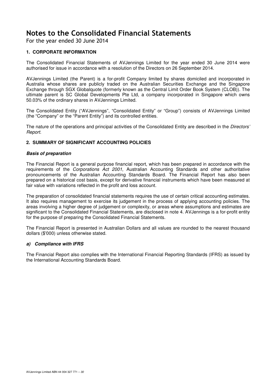For the year ended 30 June 2014

#### **1. CORPORATE INFORMATION**

The Consolidated Financial Statements of AVJennings Limited for the year ended 30 June 2014 were authorised for issue in accordance with a resolution of the Directors on 26 September 2014.

AVJennings Limited (the Parent) is a for-profit Company limited by shares domiciled and incorporated in Australia whose shares are publicly traded on the Australian Securities Exchange and the Singapore Exchange through SGX Globalquote (formerly known as the Central Limit Order Book System (CLOB)). The ultimate parent is SC Global Developments Pte Ltd, a company incorporated in Singapore which owns 50.03% of the ordinary shares in AVJennings Limited.

The Consolidated Entity ("AVJennings", "Consolidated Entity" or "Group") consists of AVJennings Limited (the "Company" or the "Parent Entity") and its controlled entities.

The nature of the operations and principal activities of the Consolidated Entity are described in the Directors' Report.

#### **2. SUMMARY OF SIGNIFICANT ACCOUNTING POLICIES**

#### **Basis of preparation**

The Financial Report is a general purpose financial report, which has been prepared in accordance with the requirements of the Corporations Act 2001, Australian Accounting Standards and other authoritative pronouncements of the Australian Accounting Standards Board. The Financial Report has also been prepared on a historical cost basis, except for derivative financial instruments which have been measured at fair value with variations reflected in the profit and loss account.

The preparation of consolidated financial statements requires the use of certain critical accounting estimates. It also requires management to exercise its judgement in the process of applying accounting policies. The areas involving a higher degree of judgement or complexity, or areas where assumptions and estimates are significant to the Consolidated Financial Statements, are disclosed in note 4. AVJennings is a for-profit entity for the purpose of preparing the Consolidated Financial Statements.

The Financial Report is presented in Australian Dollars and all values are rounded to the nearest thousand dollars (\$'000) unless otherwise stated.

#### **a) Compliance with IFRS**

The Financial Report also complies with the International Financial Reporting Standards (IFRS) as issued by the International Accounting Standards Board.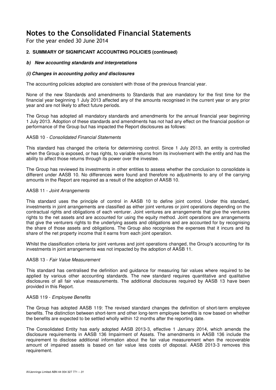For the year ended 30 June 2014

#### **2. SUMMARY OF SIGNIFICANT ACCOUNTING POLICIES (continued)**

#### **b) New accounting standards and interpretations**

#### **(i) Changes in accounting policy and disclosures**

The accounting policies adopted are consistent with those of the previous financial year.

None of the new Standards and amendments to Standards that are mandatory for the first time for the financial year beginning 1 July 2013 affected any of the amounts recognised in the current year or any prior year and are not likely to affect future periods.

The Group has adopted all mandatory standards and amendments for the annual financial year beginning 1 July 2013. Adoption of these standards and amendments has not had any effect on the financial position or performance of the Group but has impacted the Report disclosures as follows:

#### AASB 10 - Consolidated Financial Statements

This standard has changed the criteria for determining control. Since 1 July 2013, an entity is controlled when the Group is exposed, or has rights, to variable returns from its involvement with the entity and has the ability to affect those returns through its power over the investee.

The Group has reviewed its investments in other entities to assess whether the conclusion to consolidate is different under AASB 10. No differences were found and therefore no adjustments to any of the carrying amounts in the Report are required as a result of the adoption of AASB 10.

#### AASB 11 - Joint Arrangements

This standard uses the principle of control in AASB 10 to define joint control. Under this standard, investments in joint arrangements are classified as either joint ventures or joint operations depending on the contractual rights and obligations of each venturer. Joint ventures are arrangements that give the venturers rights to the net assets and are accounted for using the equity method. Joint operations are arrangements that give the venturers rights to the underlying assets and obligations and are accounted for by recognising the share of those assets and obligations. The Group also recognises the expenses that it incurs and its share of the net property income that it earns from each joint operation.

Whilst the classification criteria for joint ventures and joint operations changed, the Group's accounting for its investments in joint arrangements was not impacted by the adoption of AASB 11.

#### AASB 13 - Fair Value Measurement

This standard has centralised the definition and guidance for measuring fair values where required to be applied by various other accounting standards. The new standard requires quantitative and qualitative disclosures of all fair value measurements. The additional disclosures required by AASB 13 have been provided in this Report.

#### AASB 119 - Employee Benefits

The Group has adopted AASB 119: The revised standard changes the definition of short-term employee benefits. The distinction between short-term and other long-term employee benefits is now based on whether the benefits are expected to be settled wholly within 12 months after the reporting date.

The Consolidated Entity has early adopted AASB 2013-3, effective 1 January 2014, which amends the disclosure requirements in AASB 136 Impairment of Assets. The amendments in AASB 136 include the requirement to disclose additional information about the fair value measurement when the recoverable amount of impaired assets is based on fair value less costs of disposal. AASB 2013-3 removes this requirement.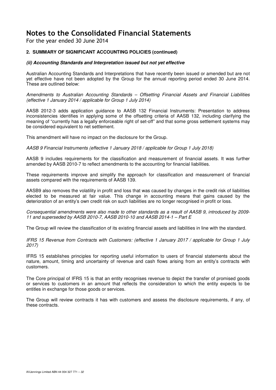For the year ended 30 June 2014

#### **2. SUMMARY OF SIGNIFICANT ACCOUNTING POLICIES (continued)**

#### **(ii) Accounting Standards and Interpretation issued but not yet effective**

Australian Accounting Standards and Interpretations that have recently been issued or amended but are not yet effective have not been adopted by the Group for the annual reporting period ended 30 June 2014. These are outlined below:

Amendments to Australian Accounting Standards – Offsetting Financial Assets and Financial Liabilities (effective 1 January 2014 / applicable for Group 1 July 2014)

AASB 2012-3 adds application guidance to AASB 132 Financial Instruments: Presentation to address inconsistencies identifies in applying some of the offsetting criteria of AASB 132, including clarifying the meaning of "currently has a legally enforceable right of set-off" and that some gross settlement systems may be considered equivalent to net settlement.

This amendment will have no impact on the disclosure for the Group.

AASB 9 Financial Instruments (effective 1 January 2018 / applicable for Group 1 July 2018)

AASB 9 includes requirements for the classification and measurement of financial assets. It was further amended by AASB 2010-7 to reflect amendments to the accounting for financial liabilities.

These requirements improve and simplify the approach for classification and measurement of financial assets compared with the requirements of AASB 139.

AASB9 also removes the volatility in profit and loss that was caused by changes in the credit risk of liabilities elected to be measured at fair value. This change in accounting means that gains caused by the deterioration of an entity's own credit risk on such liabilities are no longer recognised in profit or loss.

Consequential amendments were also made to other standards as a result of AASB 9, introduced by 2009- 11 and superseded by AASB 2010-7, AASB 2010-10 and AASB 2014-1 – Part E

The Group will review the classification of its existing financial assets and liabilities in line with the standard.

IFRS 15 Revenue from Contracts with Customers: (effective 1 January 2017 / applicable for Group 1 July 2017)

IFRS 15 establishes principles for reporting useful information to users of financial statements about the nature, amount, timing and uncertainty of revenue and cash flows arising from an entity's contracts with customers.

The Core principal of IFRS 15 is that an entity recognises revenue to depict the transfer of promised goods or services to customers in an amount that reflects the consideration to which the entity expects to be entitles in exchange for those goods or services.

The Group will review contracts it has with customers and assess the disclosure requirements, if any, of these contracts.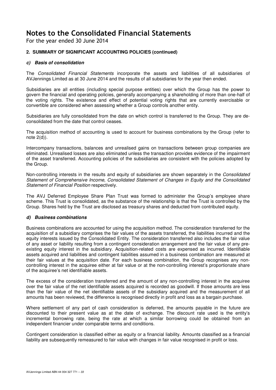For the year ended 30 June 2014

#### **2. SUMMARY OF SIGNIFICANT ACCOUNTING POLICIES (continued)**

#### **c) Basis of consolidation**

The Consolidated Financial Statements incorporate the assets and liabilities of all subsidiaries of AVJennings Limited as at 30 June 2014 and the results of all subsidiaries for the year then ended.

Subsidiaries are all entities (including special purpose entities) over which the Group has the power to govern the financial and operating policies, generally accompanying a shareholding of more than one-half of the voting rights. The existence and effect of potential voting rights that are currently exercisable or convertible are considered when assessing whether a Group controls another entity.

Subsidiaries are fully consolidated from the date on which control is transferred to the Group. They are deconsolidated from the date that control ceases.

The acquisition method of accounting is used to account for business combinations by the Group (refer to note 2(d)).

Intercompany transactions, balances and unrealised gains on transactions between group companies are eliminated. Unrealised losses are also eliminated unless the transaction provides evidence of the impairment of the asset transferred. Accounting policies of the subsidiaries are consistent with the policies adopted by the Group.

Non-controlling interests in the results and equity of subsidiaries are shown separately in the Consolidated Statement of Comprehensive Income, Consolidated Statement of Changes in Equity and the Consolidated Statement of Financial Position respectively.

The AVJ Deferred Employee Share Plan Trust was formed to administer the Group's employee share scheme. This Trust is consolidated, as the substance of the relationship is that the Trust is controlled by the Group. Shares held by the Trust are disclosed as treasury shares and deducted from contributed equity.

#### **d) Business combinations**

Business combinations are accounted for using the acquisition method. The consideration transferred for the acquisition of a subsidiary comprises the fair values of the assets transferred, the liabilities incurred and the equity interests issued by the Consolidated Entity. The consideration transferred also includes the fair value of any asset or liability resulting from a contingent consideration arrangement and the fair value of any preexisting equity interest in the subsidiary. Acquisition-related costs are expensed as incurred. Identifiable assets acquired and liabilities and contingent liabilities assumed in a business combination are measured at their fair values at the acquisition date. For each business combination, the Group recognises any noncontrolling interest in the acquiree either at fair value or at the non-controlling interest's proportionate share of the acquiree's net identifiable assets.

The excess of the consideration transferred and the amount of any non-controlling interest in the acquiree over the fair value of the net identifiable assets acquired is recorded as goodwill. If those amounts are less than the fair value of the net identifiable assets of the subsidiary acquired and the measurement of all amounts has been reviewed, the difference is recognised directly in profit and loss as a bargain purchase.

Where settlement of any part of cash consideration is deferred, the amounts payable in the future are discounted to their present value as at the date of exchange. The discount rate used is the entity's incremental borrowing rate, being the rate at which a similar borrowing could be obtained from an independent financier under comparable terms and conditions.

Contingent consideration is classified either as equity or a financial liability. Amounts classified as a financial liability are subsequently remeasured to fair value with changes in fair value recognised in profit or loss.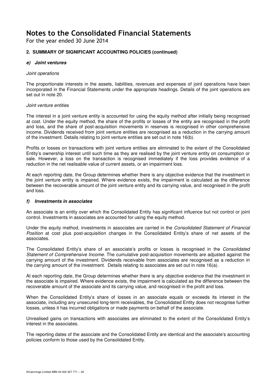For the year ended 30 June 2014

#### **2. SUMMARY OF SIGNIFICANT ACCOUNTING POLICIES (continued)**

#### **e) Joint ventures**

#### Joint operations

The proportionate interests in the assets, liabilities, revenues and expenses of joint operations have been incorporated in the Financial Statements under the appropriate headings. Details of the joint operations are set out in note 20.

#### Joint venture entities

The interest in a joint venture entity is accounted for using the equity method after initially being recognised at cost. Under the equity method, the share of the profits or losses of the entity are recognised in the profit and loss, and the share of post-acquisition movements in reserves is recognised in other comprehensive income. Dividends received from joint venture entities are recognised as a reduction in the carrying amount of the investment. Details relating to joint venture entities are set out in note 16(b).

Profits or losses on transactions with joint venture entities are eliminated to the extent of the Consolidated Entity's ownership interest until such time as they are realised by the joint venture entity on consumption or sale. However, a loss on the transaction is recognised immediately if the loss provides evidence of a reduction in the net realisable value of current assets, or an impairment loss.

At each reporting date, the Group determines whether there is any objective evidence that the investment in the joint venture entity is impaired. Where evidence exists, the impairment is calculated as the difference between the recoverable amount of the joint venture entity and its carrying value, and recognised in the profit and loss.

#### **f) Investments in associates**

An associate is an entity over which the Consolidated Entity has significant influence but not control or joint control. Investments in associates are accounted for using the equity method.

Under the equity method, investments in associates are carried in the Consolidated Statement of Financial Position at cost plus post-acquisition changes in the Consolidated Entity's share of net assets of the associates.

The Consolidated Entity's share of an associate's profits or losses is recognised in the Consolidated Statement of Comprehensive Income. The cumulative post-acquisition movements are adjusted against the carrying amount of the investment. Dividends receivable from associates are recognised as a reduction in the carrying amount of the investment. Details relating to associates are set out in note 16(a).

At each reporting date, the Group determines whether there is any objective evidence that the investment in the associate is impaired. Where evidence exists, the impairment is calculated as the difference between the recoverable amount of the associate and its carrying value, and recognised in the profit and loss.

When the Consolidated Entity's share of losses in an associate equals or exceeds its interest in the associate, including any unsecured long-term receivables, the Consolidated Entity does not recognise further losses, unless it has incurred obligations or made payments on behalf of the associate.

Unrealised gains on transactions with associates are eliminated to the extent of the Consolidated Entity's interest in the associates.

The reporting dates of the associate and the Consolidated Entity are identical and the associate's accounting policies conform to those used by the Consolidated Entity.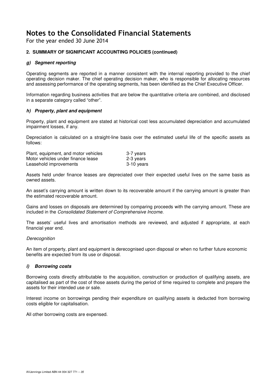For the year ended 30 June 2014

#### **2. SUMMARY OF SIGNIFICANT ACCOUNTING POLICIES (continued)**

#### **g) Segment reporting**

Operating segments are reported in a manner consistent with the internal reporting provided to the chief operating decision maker. The chief operating decision maker, who is responsible for allocating resources and assessing performance of the operating segments, has been identified as the Chief Executive Officer.

Information regarding business activities that are below the quantitative criteria are combined, and disclosed in a separate category called "other".

#### **h) Property, plant and equipment**

Property, plant and equipment are stated at historical cost less accumulated depreciation and accumulated impairment losses, if any.

Depreciation is calculated on a straight-line basis over the estimated useful life of the specific assets as follows:

| Plant, equipment, and motor vehicles | 3-7 years  |
|--------------------------------------|------------|
| Motor vehicles under finance lease   | 2-3 years  |
| Leasehold improvements               | 3-10 years |

Assets held under finance leases are depreciated over their expected useful lives on the same basis as owned assets.

An asset's carrying amount is written down to its recoverable amount if the carrying amount is greater than the estimated recoverable amount.

Gains and losses on disposals are determined by comparing proceeds with the carrying amount. These are included in the Consolidated Statement of Comprehensive Income.

The assets' useful lives and amortisation methods are reviewed, and adjusted if appropriate, at each financial year end.

#### **Derecognition**

An item of property, plant and equipment is derecognised upon disposal or when no further future economic benefits are expected from its use or disposal.

#### **i) Borrowing costs**

Borrowing costs directly attributable to the acquisition, construction or production of qualifying assets, are capitalised as part of the cost of those assets during the period of time required to complete and prepare the assets for their intended use or sale.

Interest income on borrowings pending their expenditure on qualifying assets is deducted from borrowing costs eligible for capitalisation.

All other borrowing costs are expensed.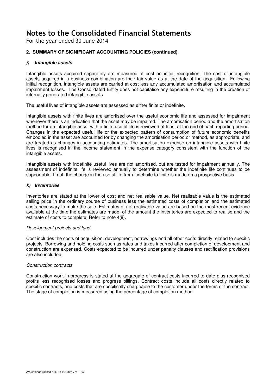For the year ended 30 June 2014

#### **2. SUMMARY OF SIGNIFICANT ACCOUNTING POLICIES (continued)**

#### **j) Intangible assets**

Intangible assets acquired separately are measured at cost on initial recognition. The cost of intangible assets acquired in a business combination are their fair value as at the date of the acquisition. Following initial recognition, intangible assets are carried at cost less any accumulated amortisation and accumulated impairment losses. The Consolidated Entity does not capitalise any expenditure resulting in the creation of internally generated intangible assets.

The useful lives of intangible assets are assessed as either finite or indefinite.

Intangible assets with finite lives are amortised over the useful economic life and assessed for impairment whenever there is an indication that the asset may be impaired. The amortisation period and the amortisation method for an intangible asset with a finite useful life is reviewed at least at the end of each reporting period. Changes in the expected useful life or the expected pattern of consumption of future economic benefits embodied in the asset are accounted for by changing the amortisation period or method, as appropriate, and are treated as changes in accounting estimates. The amortisation expense on intangible assets with finite lives is recognised in the income statement in the expense category consistent with the function of the intangible assets.

Intangible assets with indefinite useful lives are not amortised, but are tested for impairment annually. The assessment of indefinite life is reviewed annually to determine whether the indefinite life continues to be supportable. If not, the change in the useful life from indefinite to finite is made on a prospective basis.

#### **k) Inventories**

Inventories are stated at the lower of cost and net realisable value. Net realisable value is the estimated selling price in the ordinary course of business less the estimated costs of completion and the estimated costs necessary to make the sale. Estimates of net realisable value are based on the most recent evidence available at the time the estimates are made, of the amount the inventories are expected to realise and the estimate of costs to complete. Refer to note 4(ii).

#### Development projects and land

Cost includes the costs of acquisition, development, borrowings and all other costs directly related to specific projects. Borrowing and holding costs such as rates and taxes incurred after completion of development and construction are expensed. Costs expected to be incurred under penalty clauses and rectification provisions are also included.

#### Construction contracts

Construction work-in-progress is stated at the aggregate of contract costs incurred to date plus recognised profits less recognised losses and progress billings. Contract costs include all costs directly related to specific contracts, and costs that are specifically chargeable to the customer under the terms of the contract. The stage of completion is measured using the percentage of completion method.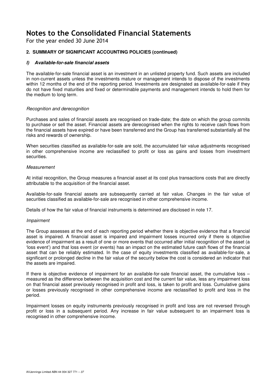For the year ended 30 June 2014

### **2. SUMMARY OF SIGNIFICANT ACCOUNTING POLICIES (continued)**

### **l) Available-for-sale financial assets**

The available-for-sale financial asset is an investment in an unlisted property fund. Such assets are included in non-current assets unless the investments mature or management intends to dispose of the investments within 12 months of the end of the reporting period. Investments are designated as available-for-sale if they do not have fixed maturities and fixed or determinable payments and management intends to hold them for the medium to long term.

#### Recognition and derecognition

Purchases and sales of financial assets are recognised on trade-date; the date on which the group commits to purchase or sell the asset. Financial assets are derecognised when the rights to receive cash flows from the financial assets have expired or have been transferred and the Group has transferred substantially all the risks and rewards of ownership.

When securities classified as available-for-sale are sold, the accumulated fair value adjustments recognised in other comprehensive income are reclassified to profit or loss as gains and losses from investment securities.

#### Measurement

At initial recognition, the Group measures a financial asset at its cost plus transactions costs that are directly attributable to the acquisition of the financial asset.

Available-for-sale financial assets are subsequently carried at fair value. Changes in the fair value of securities classified as available-for-sale are recognised in other comprehensive income.

Details of how the fair value of financial instruments is determined are disclosed in note 17.

#### Impairment

The Group assesses at the end of each reporting period whether there is objective evidence that a financial asset is impaired. A financial asset is impaired and impairment losses incurred only if there is objective evidence of impairment as a result of one or more events that occurred after initial recognition of the asset (a 'loss event') and that loss event (or events) has an impact on the estimated future cash flows of the financial asset that can be reliably estimated. In the case of equity investments classified as available-for-sale, a significant or prolonged decline in the fair value of the security below the cost is considered an indicator that the assets are impaired.

If there is objective evidence of impairment for an available-for-sale financial asset, the cumulative loss – measured as the difference between the acquisition cost and the current fair value, less any impairment loss on that financial asset previously recognised in profit and loss, is taken to profit and loss. Cumulative gains or losses previously recognised in other comprehensive income are reclassified to profit and loss in the period.

Impairment losses on equity instruments previously recognised in profit and loss are not reversed through profit or loss in a subsequent period. Any increase in fair value subsequent to an impairment loss is recognised in other comprehensive income.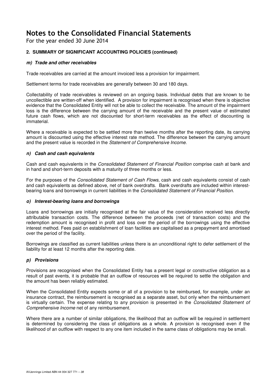For the year ended 30 June 2014

### **2. SUMMARY OF SIGNIFICANT ACCOUNTING POLICIES (continued)**

### **m) Trade and other receivables**

Trade receivables are carried at the amount invoiced less a provision for impairment.

Settlement terms for trade receivables are generally between 30 and 180 days.

Collectability of trade receivables is reviewed on an ongoing basis. Individual debts that are known to be uncollectible are written-off when identified. A provision for impairment is recognised when there is objective evidence that the Consolidated Entity will not be able to collect the receivable. The amount of the impairment loss is the difference between the carrying amount of the receivable and the present value of estimated future cash flows, which are not discounted for short-term receivables as the effect of discounting is immaterial.

Where a receivable is expected to be settled more than twelve months after the reporting date, its carrying amount is discounted using the effective interest rate method. The difference between the carrying amount and the present value is recorded in the Statement of Comprehensive Income.

### **n) Cash and cash equivalents**

Cash and cash equivalents in the Consolidated Statement of Financial Position comprise cash at bank and in hand and short-term deposits with a maturity of three months or less.

For the purposes of the Consolidated Statement of Cash Flows, cash and cash equivalents consist of cash and cash equivalents as defined above, net of bank overdrafts. Bank overdrafts are included within interestbearing loans and borrowings in current liabilities in the Consolidated Statement of Financial Position.

#### **o) Interest-bearing loans and borrowings**

Loans and borrowings are initially recognised at the fair value of the consideration received less directly attributable transaction costs. The difference between the proceeds (net of transaction costs) and the redemption amount is recognised in profit and loss over the period of the borrowings using the effective interest method. Fees paid on establishment of loan facilities are capitalised as a prepayment and amortised over the period of the facility.

Borrowings are classified as current liabilities unless there is an unconditional right to defer settlement of the liability for at least 12 months after the reporting date.

### **p) Provisions**

Provisions are recognised when the Consolidated Entity has a present legal or constructive obligation as a result of past events, it is probable that an outflow of resources will be required to settle the obligation and the amount has been reliably estimated.

When the Consolidated Entity expects some or all of a provision to be reimbursed, for example, under an insurance contract, the reimbursement is recognised as a separate asset, but only when the reimbursement is virtually certain. The expense relating to any provision is presented in the Consolidated Statement of Comprehensive Income net of any reimbursement.

Where there are a number of similar obligations, the likelihood that an outflow will be required in settlement is determined by considering the class of obligations as a whole. A provision is recognised even if the likelihood of an outflow with respect to any one item included in the same class of obligations may be small.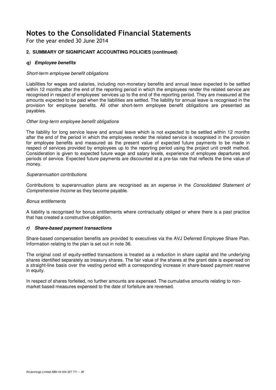For the year ended 30 June 2014

## **2. SUMMARY OF SIGNIFICANT ACCOUNTING POLICIES (continued)**

### **q) Employee benefits**

### Short-term employee benefit obligations

Liabilities for wages and salaries, including non-monetary benefits and annual leave expected to be settled within 12 months after the end of the reporting period in which the employees render the related service are recognised in respect of employees' services up to the end of the reporting period. They are measured at the amounts expected to be paid when the liabilities are settled. The liability for annual leave is recognised in the provision for employee benefits. All other short-term employee benefit obligations are presented as payables.

### Other long-term employee benefit obligations

The liability for long service leave and annual leave which is not expected to be settled within 12 months after the end of the period in which the employees render the related service is recognised in the provision for employee benefits and measured as the present value of expected future payments to be made in respect of services provided by employees up to the reporting period using the project unit credit method. Consideration is given to expected future wage and salary levels, experience of employee departures and periods of service. Expected future payments are discounted at a pre-tax rate that reflects the time value of money.

### Superannuation contributions

Contributions to superannuation plans are recognised as an expense in the Consolidated Statement of Comprehensive Income as they become payable.

#### Bonus entitlements

A liability is recognised for bonus entitlements where contractually obliged or where there is a past practice that has created a constructive obligation.

### **r) Share-based payment transactions**

Share-based compensation benefits are provided to executives via the AVJ Deferred Employee Share Plan. Information relating to the plan is set out in note 36.

The original cost of equity-settled transactions is treated as a reduction in share capital and the underlying shares identified separately as treasury shares. The fair value of the shares at the grant date is expensed on a straight-line basis over the vesting period with a corresponding increase in share-based payment reserve in equity.

In respect of shares forfeited, no further amounts are expensed. The cumulative amounts relating to nonmarket based measures expensed to the date of forfeiture are reversed.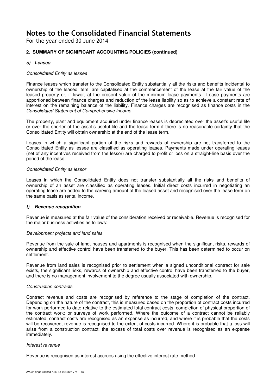For the year ended 30 June 2014

### **2. SUMMARY OF SIGNIFICANT ACCOUNTING POLICIES (continued)**

### **s) Leases**

### Consolidated Entity as lessee

Finance leases which transfer to the Consolidated Entity substantially all the risks and benefits incidental to ownership of the leased item, are capitalised at the commencement of the lease at the fair value of the leased property or, if lower, at the present value of the minimum lease payments. Lease payments are apportioned between finance charges and reduction of the lease liability so as to achieve a constant rate of interest on the remaining balance of the liability. Finance charges are recognised as finance costs in the Consolidated Statement of Comprehensive Income.

The property, plant and equipment acquired under finance leases is depreciated over the asset's useful life or over the shorter of the asset's useful life and the lease term if there is no reasonable certainty that the Consolidated Entity will obtain ownership at the end of the lease term.

Leases in which a significant portion of the risks and rewards of ownership are not transferred to the Consolidated Entity as lessee are classified as operating leases. Payments made under operating leases (net of any incentives received from the lessor) are charged to profit or loss on a straight-line basis over the period of the lease.

#### Consolidated Entity as lessor

Leases in which the Consolidated Entity does not transfer substantially all the risks and benefits of ownership of an asset are classified as operating leases. Initial direct costs incurred in negotiating an operating lease are added to the carrying amount of the leased asset and recognised over the lease term on the same basis as rental income.

#### **t) Revenue recognition**

Revenue is measured at the fair value of the consideration received or receivable. Revenue is recognised for the major business activities as follows:

#### Development projects and land sales

Revenue from the sale of land, houses and apartments is recognised when the significant risks, rewards of ownership and effective control have been transferred to the buyer. This has been determined to occur on settlement.

Revenue from land sales is recognised prior to settlement when a signed unconditional contract for sale exists, the significant risks, rewards of ownership and effective control have been transferred to the buyer, and there is no management involvement to the degree usually associated with ownership.

#### Construction contracts

Contract revenue and costs are recognised by reference to the stage of completion of the contract. Depending on the nature of the contract, this is measured based on the proportion of contract costs incurred for work performed to date relative to the estimated total contract costs; completion of physical proportion of the contract work; or surveys of work performed. Where the outcome of a contract cannot be reliably estimated, contract costs are recognised as an expense as incurred, and where it is probable that the costs will be recovered, revenue is recognised to the extent of costs incurred. Where it is probable that a loss will arise from a construction contract, the excess of total costs over revenue is recognised as an expense immediately.

#### Interest revenue

Revenue is recognised as interest accrues using the effective interest rate method.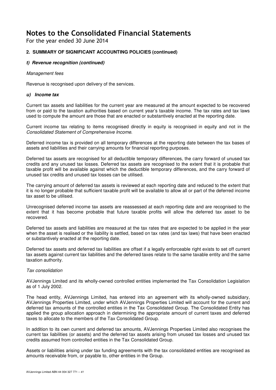For the year ended 30 June 2014

### **2. SUMMARY OF SIGNIFICANT ACCOUNTING POLICIES (continued)**

### **t) Revenue recognition (continued)**

#### Management fees

Revenue is recognised upon delivery of the services.

### **u) Income tax**

Current tax assets and liabilities for the current year are measured at the amount expected to be recovered from or paid to the taxation authorities based on current year's taxable income. The tax rates and tax laws used to compute the amount are those that are enacted or substantively enacted at the reporting date.

Current income tax relating to items recognised directly in equity is recognised in equity and not in the Consolidated Statement of Comprehensive Income.

Deferred income tax is provided on all temporary differences at the reporting date between the tax bases of assets and liabilities and their carrying amounts for financial reporting purposes.

Deferred tax assets are recognised for all deductible temporary differences, the carry forward of unused tax credits and any unused tax losses. Deferred tax assets are recognised to the extent that it is probable that taxable profit will be available against which the deductible temporary differences, and the carry forward of unused tax credits and unused tax losses can be utilised.

The carrying amount of deferred tax assets is reviewed at each reporting date and reduced to the extent that it is no longer probable that sufficient taxable profit will be available to allow all or part of the deferred income tax asset to be utilised.

Unrecognised deferred income tax assets are reassessed at each reporting date and are recognised to the extent that it has become probable that future taxable profits will allow the deferred tax asset to be recovered.

Deferred tax assets and liabilities are measured at the tax rates that are expected to be applied in the year when the asset is realised or the liability is settled, based on tax rates (and tax laws) that have been enacted or substantively enacted at the reporting date.

Deferred tax assets and deferred tax liabilities are offset if a legally enforceable right exists to set off current tax assets against current tax liabilities and the deferred taxes relate to the same taxable entity and the same taxation authority.

### Tax consolidation

AVJennings Limited and its wholly-owned controlled entities implemented the Tax Consolidation Legislation as of 1 July 2002.

The head entity, AVJennings Limited, has entered into an agreement with its wholly-owned subsidiary, AVJennings Properties Limited, under which AVJennings Properties Limited will account for the current and deferred tax amounts of the controlled entities in the Tax Consolidated Group. The Consolidated Entity has applied the group allocation approach in determining the appropriate amount of current taxes and deferred taxes to allocate to the members of the Tax Consolidated Group.

In addition to its own current and deferred tax amounts, AVJennings Properties Limited also recognises the current tax liabilities (or assets) and the deferred tax assets arising from unused tax losses and unused tax credits assumed from controlled entities in the Tax Consolidated Group.

Assets or liabilities arising under tax funding agreements with the tax consolidated entities are recognised as amounts receivable from, or payable to, other entities in the Group.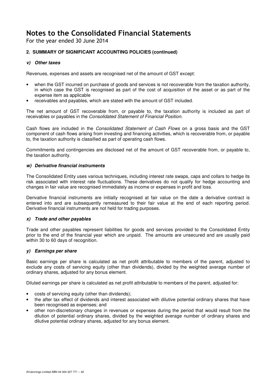For the year ended 30 June 2014

### **2. SUMMARY OF SIGNIFICANT ACCOUNTING POLICIES (continued)**

### **v) Other taxes**

Revenues, expenses and assets are recognised net of the amount of GST except:

- when the GST incurred on purchase of goods and services is not recoverable from the taxation authority, in which case the GST is recognised as part of the cost of acquisition of the asset or as part of the expense item as applicable
- receivables and payables, which are stated with the amount of GST included.

The net amount of GST recoverable from, or payable to, the taxation authority is included as part of receivables or payables in the Consolidated Statement of Financial Position.

Cash flows are included in the Consolidated Statement of Cash Flows on a gross basis and the GST component of cash flows arising from investing and financing activities, which is recoverable from, or payable to, the taxation authority is classified as part of operating cash flows.

Commitments and contingencies are disclosed net of the amount of GST recoverable from, or payable to, the taxation authority.

### **w) Derivative financial instruments**

The Consolidated Entity uses various techniques, including interest rate swaps, caps and collars to hedge its risk associated with interest rate fluctuations. These derivatives do not qualify for hedge accounting and changes in fair value are recognised immediately as income or expenses in profit and loss.

Derivative financial instruments are initially recognised at fair value on the date a derivative contract is entered into and are subsequently remeasured to their fair value at the end of each reporting period. Derivative financial instruments are not held for trading purposes.

#### **x) Trade and other payables**

Trade and other payables represent liabilities for goods and services provided to the Consolidated Entity prior to the end of the financial year which are unpaid. The amounts are unsecured and are usually paid within 30 to 60 days of recognition.

#### **y) Earnings per share**

Basic earnings per share is calculated as net profit attributable to members of the parent, adjusted to exclude any costs of servicing equity (other than dividends), divided by the weighted average number of ordinary shares, adjusted for any bonus element.

Diluted earnings per share is calculated as net profit attributable to members of the parent, adjusted for:

- costs of servicing equity (other than dividends);
- the after tax effect of dividends and interest associated with dilutive potential ordinary shares that have been recognised as expenses; and
- other non-discretionary changes in revenues or expenses during the period that would result from the dilution of potential ordinary shares, divided by the weighted average number of ordinary shares and dilutive potential ordinary shares, adjusted for any bonus element.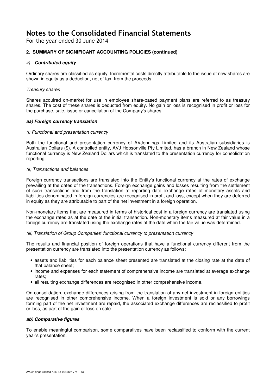For the year ended 30 June 2014

### **2. SUMMARY OF SIGNIFICANT ACCOUNTING POLICIES (continued)**

### **z) Contributed equity**

Ordinary shares are classified as equity. Incremental costs directly attributable to the issue of new shares are shown in equity as a deduction, net of tax, from the proceeds.

#### Treasury shares

Shares acquired on-market for use in employee share-based payment plans are referred to as treasury shares. The cost of these shares is deducted from equity. No gain or loss is recognised in profit or loss for the purchase, sale, issue or cancellation of the Company's shares.

### **aa) Foreign currency translation**

### (i) Functional and presentation currency

Both the functional and presentation currency of AVJennings Limited and its Australian subsidiaries is Australian Dollars (\$). A controlled entity, AVJ Hobsonville Pty Limited, has a branch in New Zealand whose functional currency is New Zealand Dollars which is translated to the presentation currency for consolidation reporting.

### (ii) Transactions and balances

Foreign currency transactions are translated into the Entity's functional currency at the rates of exchange prevailing at the dates of the transactions. Foreign exchange gains and losses resulting from the settlement of such transactions and from the translation at reporting date exchange rates of monetary assets and liabilities denominated in foreign currencies are recognised in profit and loss, except when they are deferred in equity as they are attributable to part of the net investment in a foreign operation.

Non-monetary items that are measured in terms of historical cost in a foreign currency are translated using the exchange rates as at the date of the initial transaction. Non-monetary items measured at fair value in a foreign currency are translated using the exchange rates at the date when the fair value was determined.

#### (iii) Translation of Group Companies' functional currency to presentation currency

The results and financial position of foreign operations that have a functional currency different from the presentation currency are translated into the presentation currency as follows:

- assets and liabilities for each balance sheet presented are translated at the closing rate at the date of that balance sheet;
- income and expenses for each statement of comprehensive income are translated at average exchange rates;
- all resulting exchange differences are recognised in other comprehensive income.

On consolidation, exchange differences arising from the translation of any net investment in foreign entities are recognised in other comprehensive income. When a foreign investment is sold or any borrowings forming part of the net investment are repaid, the associated exchange differences are reclassified to profit or loss, as part of the gain or loss on sale.

### **ab) Comparative figures**

To enable meaningful comparison, some comparatives have been reclassified to conform with the current year's presentation.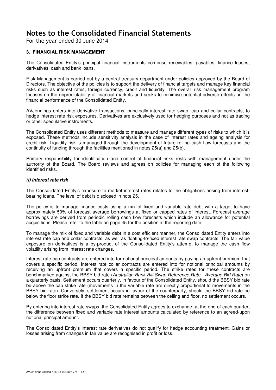For the year ended 30 June 2014

### **3. FINANCIAL RISK MANAGEMENT**

The Consolidated Entity's principal financial instruments comprise receivables, payables, finance leases, derivatives, cash and bank loans.

Risk Management is carried out by a central treasury department under policies approved by the Board of Directors. The objective of the policies is to support the delivery of financial targets and manage key financial risks such as interest rates, foreign currency, credit and liquidity. The overall risk management program focuses on the unpredictability of financial markets and seeks to minimise potential adverse effects on the financial performance of the Consolidated Entity.

AVJennings enters into derivative transactions, principally interest rate swap, cap and collar contracts, to hedge interest rate risk exposures. Derivatives are exclusively used for hedging purposes and not as trading or other speculative instruments.

The Consolidated Entity uses different methods to measure and manage different types of risks to which it is exposed. These methods include sensitivity analysis in the case of interest rates and ageing analysis for credit risk. Liquidity risk is managed through the development of future rolling cash flow forecasts and the continuity of funding through the facilities mentioned in notes 25(a) and 25(b).

Primary responsibility for identification and control of financial risks rests with management under the authority of the Board. The Board reviews and agrees on policies for managing each of the following identified risks.

### **(i) Interest rate risk**

The Consolidated Entity's exposure to market interest rates relates to the obligations arising from interestbearing loans. The level of debt is disclosed in note 25.

The policy is to manage finance costs using a mix of fixed and variable rate debt with a target to have approximately 50% of forecast average borrowings at fixed or capped rates of interest. Forecast average borrowings are derived from periodic rolling cash flow forecasts which include an allowance for potential acquisitions. Please refer to the table on page 45 for the position at the reporting date.

To manage the mix of fixed and variable debt in a cost efficient manner, the Consolidated Entity enters into interest rate cap and collar contracts, as well as floating-to-fixed interest rate swap contracts. The fair value exposure on derivatives is a by-product of the Consolidated Entity's attempt to manage the cash flow volatility arising from interest rate changes.

Interest rate cap contracts are entered into for notional principal amounts by paying an upfront premium that covers a specific period. Interest rate collar contracts are entered into for notional principal amounts by receiving an upfront premium that covers a specific period. The strike rates for these contracts are benchmarked against the BBSY bid rate (Australian Bank Bill Swap Reference Rate - Average Bid Rate) on a quarterly basis. Settlement occurs quarterly, in favour of the Consolidated Entity, should the BBSY bid rate be above the cap strike rate (movements in the variable rate are directly proportional to movements in the BBSY bid rate). Conversely, settlement occurs in favour of the counterparty, should the BBSY bid rate be below the floor strike rate. If the BBSY bid rate remains between the ceiling and floor, no settlement occurs.

By entering into interest rate swaps, the Consolidated Entity agrees to exchange, at the end of each quarter, the difference between fixed and variable rate interest amounts calculated by reference to an agreed-upon notional principal amount.

The Consolidated Entity's interest rate derivatives do not qualify for hedge accounting treatment. Gains or losses arising from changes in fair value are recognised in profit or loss.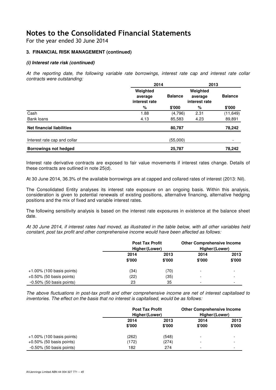For the year ended 30 June 2014

### **3. FINANCIAL RISK MANAGEMENT (continued)**

### **(i) Interest rate risk (continued)**

At the reporting date, the following variable rate borrowings, interest rate cap and interest rate collar contracts were outstanding:

|                                  | 2014                                 | 2013           |                                      |                          |
|----------------------------------|--------------------------------------|----------------|--------------------------------------|--------------------------|
|                                  | Weighted<br>average<br>interest rate | <b>Balance</b> | Weighted<br>average<br>interest rate | <b>Balance</b>           |
|                                  | %                                    | \$'000         | %                                    | \$'000                   |
| Cash                             | 1.88                                 | (4,796)        | 2.31                                 | (11, 649)                |
| Bank loans                       | 4.13                                 | 85,583         | 4.23                                 | 89,891                   |
| <b>Net financial liabilities</b> |                                      | 80,787         |                                      | 78,242                   |
| Interest rate cap and collar     |                                      | (55,000)       |                                      | $\overline{\phantom{0}}$ |
| <b>Borrowings not hedged</b>     |                                      | 25,787         |                                      | 78,242                   |

Interest rate derivative contracts are exposed to fair value movements if interest rates change. Details of these contracts are outlined in note 25(d).

At 30 June 2014, 36.3% of the available borrowings are at capped and collared rates of interest (2013: Nil).

The Consolidated Entity analyses its interest rate exposure on an ongoing basis. Within this analysis, consideration is given to potential renewals of existing positions, alternative financing, alternative hedging positions and the mix of fixed and variable interest rates.

The following sensitivity analysis is based on the interest rate exposures in existence at the balance sheet date.

At 30 June 2014, if interest rates had moved, as illustrated in the table below, with all other variables held constant, post tax profit and other comprehensive income would have been affected as follows:

|                              | <b>Post Tax Profit</b><br>Higher/(Lower) |        |                          | <b>Other Comprehensive Income</b><br>Higher/(Lower) |  |
|------------------------------|------------------------------------------|--------|--------------------------|-----------------------------------------------------|--|
|                              | 2014                                     | 2013   | 2014                     | 2013                                                |  |
|                              | \$'000                                   | \$'000 | \$'000                   | \$'000                                              |  |
| $+1.00\%$ (100 basis points) | (34)                                     | (70)   | $\overline{\phantom{0}}$ | $\overline{\phantom{a}}$                            |  |
| $+0.50\%$ (50 basis points)  | (22)                                     | (35)   |                          | $\overline{\phantom{0}}$                            |  |
| $-0.50\%$ (50 basis points)  | 23                                       | 35     |                          | $\overline{\phantom{0}}$                            |  |

The above fluctuations in post-tax profit and other comprehensive income are net of interest capitalised to inventories. The effect on the basis that no interest is capitalised, would be as follows:

|                              | <b>Post Tax Profit</b><br>Higher/(Lower) |                |                | <b>Other Comprehensive Income</b><br>Higher/(Lower) |  |  |
|------------------------------|------------------------------------------|----------------|----------------|-----------------------------------------------------|--|--|
|                              | 2014<br>\$'000                           | 2013<br>\$'000 | 2014<br>\$'000 | 2013<br>\$'000                                      |  |  |
| $+1.00\%$ (100 basis points) | (262)                                    | (548)          |                |                                                     |  |  |
| $+0.50\%$ (50 basis points)  | (172)                                    | (274)          |                |                                                     |  |  |
| $-0.50\%$ (50 basis points)  | 182                                      | 274            |                |                                                     |  |  |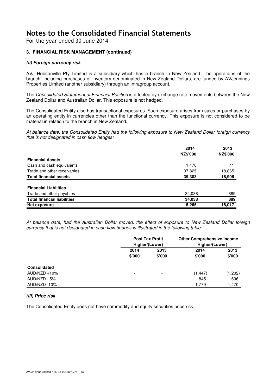For the year ended 30 June 2014

### **3. FINANCIAL RISK MANAGEMENT (continued)**

### **(ii) Foreign currency risk**

AVJ Hobsonville Pty Limited is a subsidiary which has a branch in New Zealand. The operations of the branch, including purchases of inventory denominated in New Zealand Dollars, are funded by AVJennings Properties Limited (another subsidiary) through an intragroup account.

The Consolidated Statement of Financial Position is affected by exchange rate movements between the New Zealand Dollar and Australian Dollar. This exposure is not hedged.

The Consolidated Entity also has transactional exposures. Such exposure arises from sales or purchases by an operating entity in currencies other than the functional currency. This exposure is not considered to be material in relation to the branch in New Zealand.

At balance date, the Consolidated Entity had the following exposure to New Zealand Dollar foreign currency that is not designated in cash flow hedges:

|                                    | 2014            | 2013            |
|------------------------------------|-----------------|-----------------|
|                                    | <b>NZ\$'000</b> | <b>NZ\$'000</b> |
| <b>Financial Assets</b>            |                 |                 |
| Cash and cash equivalents          | 1,478           | 41              |
| Trade and other receivables        | 37,825          | 18,865          |
| <b>Total financial assets</b>      | 39,303          | 18,906          |
| <b>Financial Liabilities</b>       |                 |                 |
| Trade and other payables           | 34,038          | 889             |
| <b>Total financial liabilities</b> | 34,038          | 889             |
| Net exposure                       | 5,265           | 18,017          |

At balance date, had the Australian Dollar moved, the effect of exposure to New Zealand Dollar foreign currency that is not designated in cash flow hedges is illustrated in the following table:

|                     |                          | <b>Post Tax Profit</b> |          | <b>Other Comprehensive Income</b> |  |  |
|---------------------|--------------------------|------------------------|----------|-----------------------------------|--|--|
|                     |                          | Higher/(Lower)         |          | Higher/(Lower)                    |  |  |
|                     | 2014                     | 2013                   | 2014     | 2013                              |  |  |
|                     | \$'000                   | \$'000                 | \$'000   | \$'000                            |  |  |
| <b>Consolidated</b> |                          |                        |          |                                   |  |  |
| $AUD/NZD + 10\%$    | $\overline{\phantom{a}}$ | -                      | (1, 447) | (1,202)                           |  |  |
| AUD/NZD - 5%        | $\overline{\phantom{a}}$ |                        | 845      | 696                               |  |  |
| AUD/NZD -10%        | $\overline{\phantom{a}}$ | -                      | 1.779    | 1.470                             |  |  |

### **(iii) Price risk**

The Consolidated Entity does not have commodity and equity securities price risk.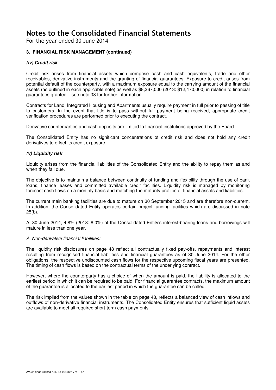For the year ended 30 June 2014

### **3. FINANCIAL RISK MANAGEMENT (continued)**

### **(iv) Credit risk**

Credit risk arises from financial assets which comprise cash and cash equivalents, trade and other receivables, derivative instruments and the granting of financial guarantees. Exposure to credit arises from potential default of the counterparty, with a maximum exposure equal to the carrying amount of the financial assets (as outlined in each applicable note) as well as \$8,367,000 (2013: \$12,470,000) in relation to financial guarantees granted – see note 33 for further information.

Contracts for Land, Integrated Housing and Apartments usually require payment in full prior to passing of title to customers. In the event that title is to pass without full payment being received, appropriate credit verification procedures are performed prior to executing the contract.

Derivative counterparties and cash deposits are limited to financial institutions approved by the Board.

The Consolidated Entity has no significant concentrations of credit risk and does not hold any credit derivatives to offset its credit exposure.

### **(v) Liquidity risk**

Liquidity arises from the financial liabilities of the Consolidated Entity and the ability to repay them as and when they fall due.

The objective is to maintain a balance between continuity of funding and flexibility through the use of bank loans, finance leases and committed available credit facilities. Liquidity risk is managed by monitoring forecast cash flows on a monthly basis and matching the maturity profiles of financial assets and liabilities.

The current main banking facilities are due to mature on 30 September 2015 and are therefore non-current. In addition, the Consolidated Entity operates certain project funding facilities which are discussed in note 25(b).

At 30 June 2014, 4.8% (2013: 8.0%) of the Consolidated Entity's interest-bearing loans and borrowings will mature in less than one year.

#### A. Non-derivative financial liabilities:

The liquidity risk disclosures on page 48 reflect all contractually fixed pay-offs, repayments and interest resulting from recognised financial liabilities and financial guarantees as of 30 June 2014. For the other obligations, the respective undiscounted cash flows for the respective upcoming fiscal years are presented. The timing of cash flows is based on the contractual terms of the underlying contract.

However, where the counterparty has a choice of when the amount is paid, the liability is allocated to the earliest period in which it can be required to be paid. For financial guarantee contracts, the maximum amount of the guarantee is allocated to the earliest period in which the guarantee can be called.

The risk implied from the values shown in the table on page 48, reflects a balanced view of cash inflows and outflows of non-derivative financial instruments. The Consolidated Entity ensures that sufficient liquid assets are available to meet all required short-term cash payments.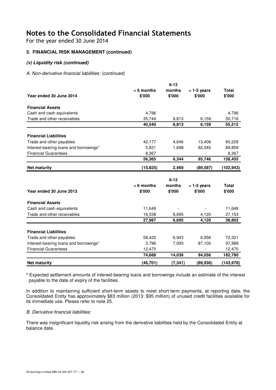For the year ended 30 June 2014

### **3. FINANCIAL RISK MANAGEMENT (continued)**

### **(v) Liquidity risk (continued)**

A. Non-derivative financial liabilities: (continued)

|                                        |                        | $6 - 12$         |                        |                        |
|----------------------------------------|------------------------|------------------|------------------------|------------------------|
| Year ended 30 June 2014                | $< 6$ months<br>\$'000 | months<br>\$'000 | $>1-5$ years<br>\$'000 | <b>Total</b><br>\$'000 |
| <b>Financial Assets</b>                |                        |                  |                        |                        |
| Cash and cash equivalents              | 4,796                  |                  |                        | 4,796                  |
| Trade and other receivables            | 35,744                 | 8,813            | 6,159                  | 50,716                 |
|                                        | 40,540                 | 8,813            | 6,159                  | 55,512                 |
| <b>Financial Liabilities</b>           |                        |                  |                        |                        |
| Trade and other payables               | 42,177                 | 4,646            | 13,406                 | 60,229                 |
| Interest-bearing loans and borrowings* | 5,821                  | 1,698            | 82,340                 | 89,859                 |
| <b>Financial Guarantees</b>            | 8,367                  |                  |                        | 8,367                  |
|                                        | 56,365                 | 6,344            | 95,746                 | 158,455                |
| <b>Net maturity</b>                    | (15, 825)              | 2,469            | (89, 587)              | (102, 943)             |
|                                        |                        | $6 - 12$         |                        |                        |
|                                        | $< 6$ months           | months           | $>1-5$ years           | <b>Total</b>           |
| Year ended 30 June 2013                | \$'000                 | \$'000           | \$'000                 | \$'000                 |
| <b>Financial Assets</b>                |                        |                  |                        |                        |
| Cash and cash equivalents              | 11,649                 |                  |                        | 11,649                 |
| Trade and other receivables            | 16,338                 | 6,695            | 4,120                  | 27,153                 |
|                                        | 27,987                 | 6,695            | 4,120                  | 38,802                 |
| <b>Financial Liabilities</b>           |                        |                  |                        |                        |
| Trade and other payables               | 58,422                 | 6,943            | 6,956                  | 72,321                 |
| Interest-bearing loans and borrowings* | 3,796                  | 7,093            | 87,100                 | 97,989                 |
| <b>Financial Guarantees</b>            | 12,470                 |                  |                        | 12,470                 |
|                                        | 74,688                 | 14,036           | 94,056                 | 182,780                |
|                                        | (46, 701)              | (7, 341)         | (89, 936)              | (143, 978)             |
| <b>Net maturity</b>                    |                        |                  |                        |                        |

**\*** Expected settlement amounts of interest-bearing loans and borrowings include an estimate of the interest payable to the date of expiry of the facilities.

In addition to maintaining sufficient short-term assets to meet short-term payments, at reporting date, the Consolidated Entity has approximately \$83 million (2013: \$95 million) of unused credit facilities available for its immediate use. Please refer to note 25.

### B. Derivative financial liabilities:

There was insignificant liquidity risk arising from the derivative liabilities held by the Consolidated Entity at balance date.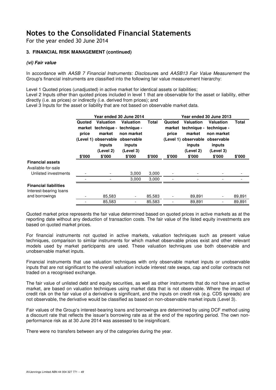For the year ended 30 June 2014

### **3. FINANCIAL RISK MANAGEMENT (continued)**

### **(vi) Fair value**

In accordance with AASB 7 Financial Instruments: Disclosures and AASB13 Fair Value Measurement the Group's financial instruments are classified into the following fair value measurement hierarchy:

Level 1 Quoted prices (unadjusted) in active market for identical assets or liabilities;

Level 2 Inputs other than quoted prices included in level 1 that are observable for the asset or liability, either directly (i.e. as prices) or indirectly (i.e. derived from prices); and

Level 3 Inputs for the asset or liability that are not based on observable market data.

|                                                        |                           |                                                      | Year ended 30 June 2014                                                                                                              |                 | Year ended 30 June 2013   |                                                                                                                           |                                                                 |                        |  |  |  |
|--------------------------------------------------------|---------------------------|------------------------------------------------------|--------------------------------------------------------------------------------------------------------------------------------------|-----------------|---------------------------|---------------------------------------------------------------------------------------------------------------------------|-----------------------------------------------------------------|------------------------|--|--|--|
|                                                        | Quoted<br>price<br>\$'000 | Valuation<br>market<br>inputs<br>(Level 2)<br>\$'000 | <b>Valuation</b><br>market technique - technique -<br>non market<br>(Level 1) observable observable<br>inputs<br>(Level 3)<br>\$'000 | Total<br>\$'000 | Quoted<br>price<br>\$'000 | Valuation<br>market technique - technique -<br>market<br>(Level 1) observable observable<br>inputs<br>(Level 2)<br>\$'000 | <b>Valuation</b><br>non market<br>inputs<br>(Level 3)<br>\$'000 | <b>Total</b><br>\$'000 |  |  |  |
| <b>Financial assets</b>                                |                           |                                                      |                                                                                                                                      |                 |                           |                                                                                                                           |                                                                 |                        |  |  |  |
| Available-for-sale                                     |                           |                                                      |                                                                                                                                      |                 |                           |                                                                                                                           |                                                                 |                        |  |  |  |
| Unlisted investments                                   |                           |                                                      | 3,000                                                                                                                                | 3,000           |                           |                                                                                                                           |                                                                 |                        |  |  |  |
|                                                        |                           |                                                      | 3,000                                                                                                                                | 3,000           |                           |                                                                                                                           |                                                                 |                        |  |  |  |
| <b>Financial liabilities</b><br>Interest-bearing loans |                           |                                                      |                                                                                                                                      |                 |                           |                                                                                                                           |                                                                 |                        |  |  |  |
| and borrowings                                         |                           | 85,583                                               | $\overline{\phantom{a}}$                                                                                                             | 85,583          |                           | 89,891                                                                                                                    | $\overline{\phantom{a}}$                                        | 89,891                 |  |  |  |
|                                                        |                           | 85,583                                               | $\overline{\phantom{a}}$                                                                                                             | 85,583          |                           | 89,891                                                                                                                    |                                                                 | 89.891                 |  |  |  |

Quoted market price represents the fair value determined based on quoted prices in active markets as at the reporting date without any deduction of transaction costs. The fair value of the listed equity investments are based on quoted market prices.

For financial instruments not quoted in active markets, valuation techniques such as present value techniques, comparison to similar instruments for which market observable prices exist and other relevant models used by market participants are used. These valuation techniques use both observable and unobservable market inputs.

Financial instruments that use valuation techniques with only observable market inputs or unobservable inputs that are not significant to the overall valuation include interest rate swaps, cap and collar contracts not traded on a recognised exchange.

The fair value of unlisted debt and equity securities, as well as other instruments that do not have an active market, are based on valuation techniques using market data that is not observable. Where the impact of credit risk on the fair value of a derivative is significant, and the inputs on credit risk (e.g. CDS spreads) are not observable, the derivative would be classified as based on non-observable market inputs (Level 3).

Fair values of the Group's interest-bearing loans and borrowings are determined by using DCF method using a discount rate that reflects the issuer's borrowing rate as at the end of the reporting period. The own nonperformance risk as at 30 June 2014 was assessed to be insignificant.

There were no transfers between any of the categories during the year.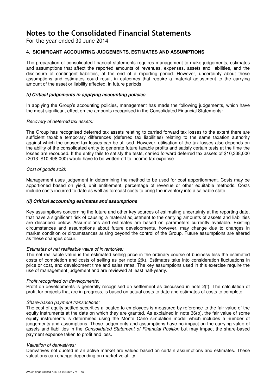For the year ended 30 June 2014

### **4. SIGNIFICANT ACCOUNTING JUDGEMENTS, ESTIMATES AND ASSUMPTIONS**

The preparation of consolidated financial statements requires management to make judgements, estimates and assumptions that affect the reported amounts of revenues, expenses, assets and liabilities, and the disclosure of contingent liabilities, at the end of a reporting period. However, uncertainty about these assumptions and estimates could result in outcomes that require a material adjustment to the carrying amount of the asset or liability affected, in future periods.

### **(i) Critical judgements in applying accounting policies**

In applying the Group's accounting policies, management has made the following judgements, which have the most significant effect on the amounts recognised in the Consolidated Financial Statements:

### Recovery of deferred tax assets:

The Group has recognised deferred tax assets relating to carried forward tax losses to the extent there are sufficient taxable temporary differences (deferred tax liabilities) relating to the same taxation authority against which the unused tax losses can be utilised. However, utilisation of the tax losses also depends on the ability of the consolidated entity to generate future taxable profits and satisfy certain tests at the time the losses are recouped. If the entity fails to satisfy the tests, carried forward deferred tax assets of \$10,338,000 (2013: \$10,498,000) would have to be written-off to income tax expense.

### Cost of goods sold:

Management uses judgement in determining the method to be used for cost apportionment. Costs may be apportioned based on yield, unit entitlement, percentage of revenue or other equitable methods. Costs include costs incurred to date as well as forecast costs to bring the inventory into a saleable state.

#### **(ii) Critical accounting estimates and assumptions**

Key assumptions concerning the future and other key sources of estimating uncertainty at the reporting date, that have a significant risk of causing a material adjustment to the carrying amounts of assets and liabilities are described below. Assumptions and estimates are based on parameters currently available. Existing circumstances and assumptions about future developments, however, may change due to changes in market condition or circumstances arising beyond the control of the Group. Future assumptions are altered as these changes occur.

#### Estimates of net realisable value of inventories:

The net realisable value is the estimated selling price in the ordinary course of business less the estimated costs of completion and costs of selling as per note 2(k). Estimates take into consideration fluctuations in price or cost, and development time and sales rates. The key assumptions used in this exercise require the use of management judgement and are reviewed at least half-yearly.

#### Profit recognised on developments:

Profit on developments is generally recognised on settlement as discussed in note 2(t). The calculation of profit for projects that are in progress, is based on actual costs to date and estimates of costs to complete.

#### Share-based payment transactions:

The cost of equity settled securities allocated to employees is measured by reference to the fair value of the equity instruments at the date on which they are granted. As explained in note 36(b), the fair value of some equity instruments is determined using the Monte Carlo simulation model which includes a number of judgements and assumptions. These judgements and assumptions have no impact on the carrying value of assets and liabilities in the Consolidated Statement of Financial Position but may impact the share-based payment expense taken to profit and loss.

#### Valuation of derivatives:

Derivatives not quoted in an active market are valued based on certain assumptions and estimates. These valuations can change depending on market volatility.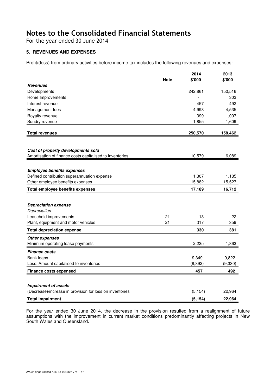For the year ended 30 June 2014

## **5. REVENUES AND EXPENSES**

Profit/(loss) from ordinary activities before income tax includes the following revenues and expenses:

|                                                          | <b>Note</b> | 2014<br>\$'000 | 2013<br>\$'000 |
|----------------------------------------------------------|-------------|----------------|----------------|
| <b>Revenues</b>                                          |             |                |                |
| Developments                                             |             | 242,861        | 150,516        |
| Home Improvements                                        |             |                | 303            |
| Interest revenue                                         |             | 457            | 492            |
| Management fees                                          |             | 4,998          | 4,535          |
| Royalty revenue                                          |             | 399            | 1,007          |
| Sundry revenue                                           |             | 1,855          | 1,609          |
| <b>Total revenues</b>                                    |             | 250,570        | 158,462        |
|                                                          |             |                |                |
|                                                          |             |                |                |
| Cost of property developments sold                       |             |                |                |
| Amortisation of finance costs capitalised to inventories |             | 10,579         | 6,089          |
|                                                          |             |                |                |
| <b>Employee benefits expenses</b>                        |             |                |                |
| Defined contribution superannuation expense              |             | 1,307          | 1,185          |
| Other employee benefits expenses                         |             | 15,882         | 15,527         |
| <b>Total employee benefits expenses</b>                  |             | 17,189         | 16,712         |
|                                                          |             |                |                |
| <b>Depreciation expense</b>                              |             |                |                |
| Depreciation                                             |             |                |                |
| Leasehold improvements                                   | 21          | 13             | 22             |
| Plant, equipment and motor vehicles                      | 21          | 317            | 359            |
| <b>Total depreciation expense</b>                        |             | 330            | 381            |
| <b>Other expenses</b>                                    |             |                |                |
| Minimum operating lease payments                         |             | 2,235          | 1,863          |
| <b>Finance costs</b>                                     |             |                |                |
| Bank loans                                               |             | 9,349          | 9,822          |
| Less: Amount capitalised to inventories                  |             | (8,892)        | (9, 330)       |
| <b>Finance costs expensed</b>                            |             | 457            | 492            |
|                                                          |             |                |                |
| <b>Impairment of assets</b>                              |             |                |                |
| (Decrease)/increase in provision for loss on inventories |             | (5, 154)       | 22,964         |
| <b>Total impairment</b>                                  |             | (5, 154)       | 22,964         |

For the year ended 30 June 2014, the decrease in the provision resulted from a realignment of future assumptions with the improvement in current market conditions predominantly affecting projects in New South Wales and Queensland.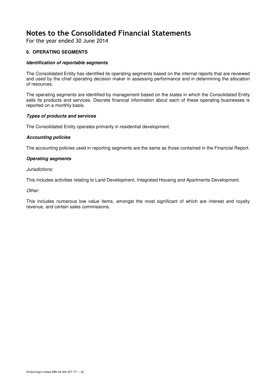For the year ended 30 June 2014

### **6. OPERATING SEGMENTS**

### **Identification of reportable segments**

The Consolidated Entity has identified its operating segments based on the internal reports that are reviewed and used by the chief operating decision maker in assessing performance and in determining the allocation of resources.

The operating segments are identified by management based on the states in which the Consolidated Entity sells its products and services. Discrete financial information about each of these operating businesses is reported on a monthly basis.

### **Types of products and services**

The Consolidated Entity operates primarily in residential development.

### **Accounting policies**

The accounting policies used in reporting segments are the same as those contained in the Financial Report.

### **Operating segments**

#### Jurisdictions:

This includes activities relating to Land Development, Integrated Housing and Apartments Development.

Other:

This includes numerous low value items, amongst the most significant of which are interest and royalty revenue, and certain sales commissions.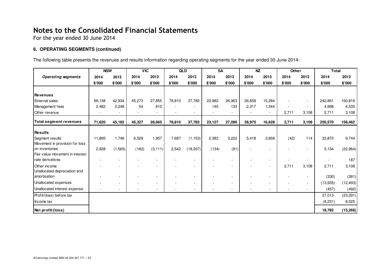For the year ended 30 June 2014

### **6. OPERATING SEGMENTS (continued)**

The following table presents the revenues and results information regarding operating segments for the year ended 30 June 2014:

|                                                     | <b>NSW</b> |          | <b>VIC</b> |                          |        | QLD       | <b>SA</b>      |        | <b>NZ</b> |                          | Other  |                          | <b>Total</b> |           |
|-----------------------------------------------------|------------|----------|------------|--------------------------|--------|-----------|----------------|--------|-----------|--------------------------|--------|--------------------------|--------------|-----------|
| <b>Operating segments</b>                           | 2014       | 2013     | 2014       | 2013                     | 2014   | 2013      | 2014           | 2013   | 2014      | 2013                     | 2014   | 2013                     | 2014         | 2013      |
|                                                     | \$'000     | \$'000   | \$'000     | \$'000                   | \$'000 | \$'000    | \$'000         | \$'000 | \$'000    | \$'000                   | \$'000 | \$'000                   | \$'000       | \$'000    |
|                                                     |            |          |            |                          |        |           |                |        |           |                          |        |                          |              |           |
| <b>Revenues</b>                                     |            |          |            |                          |        |           |                |        |           |                          |        |                          |              |           |
| <b>External sales</b>                               | 69,138     | 42,934   | 45,273     | 27,855                   | 78,810 | 37,783    | 22,982         | 26,963 | 26,658    | 15,284                   |        | $\sim$                   | 242,861      | 150,819   |
| Management fees                                     | 2,482      | 2,248    | 54         | 810                      |        |           | 145            | 133    | 2,317     | 1,344                    |        |                          | 4,998        | 4,535     |
| Other revenue                                       |            |          |            |                          |        |           |                | ٠      |           |                          | 2,711  | 3,108                    | 2,711        | 3,108     |
| <b>Total segment revenues</b>                       | 71,620     | 45,182   | 45,327     | 28,665                   | 78,810 | 37,783    | 23,127         | 27,096 | 28,975    | 16,628                   | 2,711  | 3,108                    | 250,570      | 158,462   |
| <b>Results</b>                                      |            |          |            |                          |        |           |                |        |           |                          |        |                          |              |           |
| Segment results                                     | 11,895     | 1,746    | 6,529      | 1,957                    | 7,687  | (1, 153)  | 2,383          | 3,222  | 5,418     | 3,858                    | (42)   | 114                      | 33,870       | 9,744     |
| Movement in provision for loss<br>on inventories    | 2,928      | (1, 565) | (182)      | (3, 111)                 | 2,542  | (18, 207) | (134)          | (81)   |           |                          |        |                          | 5,154        | (22, 964) |
| Fair value movement in interest<br>rate derivatives |            |          |            |                          |        |           |                |        |           |                          |        |                          |              | 187       |
|                                                     |            | $\sim$   |            | $\overline{\phantom{a}}$ |        | $\sim$    |                | $\sim$ |           | $\overline{\phantom{a}}$ |        | $\sim$                   | $\sim$       |           |
| Other income<br>Unallocated depreciation and        |            | $\sim$   |            | $\sim$                   |        | $\sim$    | $\overline{a}$ | $\sim$ |           | $\overline{\phantom{a}}$ | 2,711  | 3,108                    | 2,711        | 3,108     |
| amortisation                                        |            |          |            |                          |        |           |                |        |           |                          |        |                          | (330)        | (381)     |
| Unallocated expenses                                |            | $\sim$   |            |                          |        |           |                | $\sim$ |           |                          |        | $\overline{\phantom{a}}$ | (13, 935)    | (12, 493) |
| Unallocated interest expense                        |            | $\sim$   |            | ٠                        |        |           |                | ٠      |           |                          |        |                          | (457)        | (492)     |
| Profit/(loss) before tax                            |            |          |            |                          |        |           |                |        |           |                          |        |                          | 27,013       | (23, 291) |
| Income tax                                          |            |          |            |                          |        |           |                |        |           |                          |        |                          | (8, 231)     | 8,025     |
| Net profit/(loss)                                   |            |          |            |                          |        |           |                |        |           |                          |        |                          | 18,782       | (15, 266) |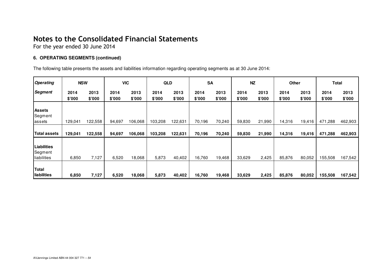For the year ended 30 June 2014

### **6. OPERATING SEGMENTS (continued)**

The following table presents the assets and liabilities information regarding operating segments as at 30 June 2014:

| <b>Operating</b>                             | <b>NSW</b>     |                | <b>VIC</b>     |                | <b>QLD</b>     |                | <b>SA</b>      |                | <b>NZ</b>      |                | Other          |                |                | <b>Total</b>   |
|----------------------------------------------|----------------|----------------|----------------|----------------|----------------|----------------|----------------|----------------|----------------|----------------|----------------|----------------|----------------|----------------|
| Segment                                      | 2014<br>\$'000 | 2013<br>\$'000 | 2014<br>\$'000 | 2013<br>\$'000 | 2014<br>\$'000 | 2013<br>\$'000 | 2014<br>\$'000 | 2013<br>\$'000 | 2014<br>\$'000 | 2013<br>\$'000 | 2014<br>\$'000 | 2013<br>\$'000 | 2014<br>\$'000 | 2013<br>\$'000 |
| Assets<br>Segment<br>assets                  | 129,041        | 122,558        | 94,697         | 106,068        | 103,208        | 122,631        | 70,196         | 70,240         | 59,830         | 21,990         | 14,316         | 19,416         | 471,288        | 462,903        |
| <b>Total assets</b>                          | 129,041        | 122,558        | 94,697         | 106,068        | 103,208        | 122,631        | 70,196         | 70,240         | 59,830         | 21,990         | 14,316         | 19,416         | 471,288        | 462,903        |
| <b>Liabilities</b><br>Segment<br>liabilities | 6,850          | 7,127          | 6,520          | 18,068         | 5,873          | 40,402         | 16,760         | 19,468         | 33,629         | 2,425          | 85,876         | 80,052         | 155,508        | 167,542        |
| <b>Total</b><br>liabilities                  | 6,850          | 7,127          | 6,520          | 18,068         | 5,873          | 40,402         | 16,760         | 19,468         | 33,629         | 2,425          | 85,876         | 80,052         | 155,508        | 167,542        |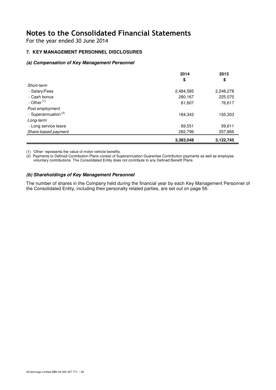For the year ended 30 June 2014

## **7. KEY MANAGEMENT PERSONNEL DISCLOSURES**

### **(a) Compensation of Key Management Personnel**

|                                 | 2014      | 2013      |
|---------------------------------|-----------|-----------|
|                                 | \$        | \$        |
| Short-term                      |           |           |
| - Salary/Fees                   | 2,484,585 | 2,248,278 |
| - Cash bonus                    | 280,167   | 225,070   |
| - Other $(1)$                   | 81,607    | 76,617    |
| Post employment                 |           |           |
| - Superannuation <sup>(2)</sup> | 184,342   | 155,303   |
| Long-term                       |           |           |
| - Long service leave            | 69,551    | 59,611    |
| Share-based payment             | 282,796   | 357,866   |
|                                 | 3.383.048 | 3,122,745 |

(1) 'Other' represents the value of motor vehicle benefits.

(2) Payments to Defined Contribution Plans consist of Superannuation Guarantee Contribution payments as well as employee voluntary contributions. The Consolidated Entity does not contribute to any Defined Benefit Plans.

### **(b) Shareholdings of Key Management Personnel**

The number of shares in the Company held during the financial year by each Key Management Personnel of the Consolidated Entity, including their personally related parties, are set out on page 56.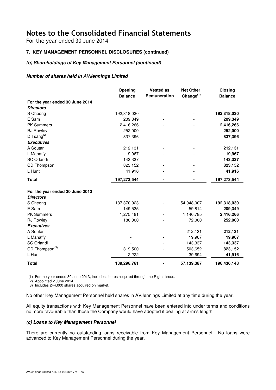For the year ended 30 June 2014

## **7. KEY MANAGEMENT PERSONNEL DISCLOSURES (continued)**

### **(b) Shareholdings of Key Management Personnel (continued)**

### **Number of shares held in AVJennings Limited**

|                                 | Opening<br><b>Balance</b> | <b>Vested as</b><br>Remuneration | <b>Net Other</b><br>Change <sup>(1)</sup> | Closing<br><b>Balance</b> |
|---------------------------------|---------------------------|----------------------------------|-------------------------------------------|---------------------------|
| For the year ended 30 June 2014 |                           |                                  |                                           |                           |
| <b>Directors</b>                |                           |                                  |                                           |                           |
| S Cheong                        | 192,318,030               |                                  |                                           | 192,318,030               |
| E Sam                           | 209,349                   |                                  |                                           | 209,349                   |
| <b>PK Summers</b>               | 2,416,266                 |                                  |                                           | 2,416,266                 |
|                                 |                           |                                  |                                           |                           |
| <b>RJ Rowley</b>                | 252,000                   |                                  |                                           | 252,000                   |
| D Tsang $^{(2)}$                | 837,396                   |                                  |                                           | 837,396                   |
| <b>Executives</b>               |                           |                                  |                                           |                           |
| A Soutar                        | 212,131                   |                                  |                                           | 212,131                   |
| L Mahaffy                       | 19,967                    |                                  |                                           | 19,967                    |
| <b>SC Orlandi</b>               | 143,337                   |                                  |                                           | 143,337                   |
| CD Thompson                     | 823,152                   |                                  |                                           | 823,152                   |
| L Hunt                          | 41,916                    |                                  |                                           | 41,916                    |
| <b>Total</b>                    | 197,273,544               |                                  |                                           | 197,273,544               |
| For the year ended 30 June 2013 |                           |                                  |                                           |                           |
| <b>Directors</b>                |                           |                                  |                                           |                           |
| S Cheong                        | 137,370,023               |                                  | 54,948,007                                | 192,318,030               |
| E Sam                           | 149,535                   |                                  | 59,814                                    | 209,349                   |
| <b>PK Summers</b>               | 1,275,481                 |                                  | 1,140,785                                 | 2,416,266                 |
| <b>RJ Rowley</b>                | 180,000                   |                                  | 72,000                                    | 252,000                   |
| <b>Executives</b>               |                           |                                  |                                           |                           |
| A Soutar                        |                           |                                  | 212,131                                   | 212,131                   |
| L Mahaffy                       |                           |                                  | 19,967                                    | 19,967                    |
| SC Orlandi                      |                           |                                  | 143,337                                   | 143,337                   |
| CD Thompson <sup>(3)</sup>      | 319,500                   |                                  | 503,652                                   | 823,152                   |
| L Hunt                          | 2,222                     |                                  | 39,694                                    | 41,916                    |
| <b>Total</b>                    | 139,296,761               |                                  | 57,139,387                                | 196,436,148               |

(1) For the year ended 30 June 2013, includes shares acquired through the Rights Issue.

(2) Appointed 2 June 2014.

(3) Includes 244,000 shares acquired on market.

No other Key Management Personnel held shares in AVJennings Limited at any time during the year.

All equity transactions with Key Management Personnel have been entered into under terms and conditions no more favourable than those the Company would have adopted if dealing at arm's length.

#### **(c) Loans to Key Management Personnel**

There are currently no outstanding loans receivable from Key Management Personnel. No loans were advanced to Key Management Personnel during the year.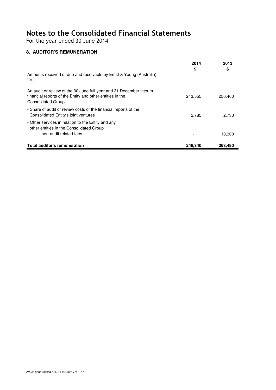For the year ended 30 June 2014

## **8. AUDITOR'S REMUNERATION**

| Amounts received or due and receivable by Ernst & Young (Australia)<br>for:                                                                                   | 2014<br>\$ | 2013<br>\$ |
|---------------------------------------------------------------------------------------------------------------------------------------------------------------|------------|------------|
| An audit or review of the 30 June full-year and 31 December interim<br>financial reports of the Entity and other entities in the<br><b>Consolidated Group</b> | 243,555    | 250,460    |
| - Share of audit or review costs of the financial reports of the<br>Consolidated Entity's joint ventures                                                      | 2.785      | 2,730      |
| - Other services in relation to the Entity and any<br>other entities in the Consolidated Group<br>- non-audit related fees                                    |            | 10,300     |
| <b>Total auditor's remuneration</b>                                                                                                                           | 246,340    | 263,490    |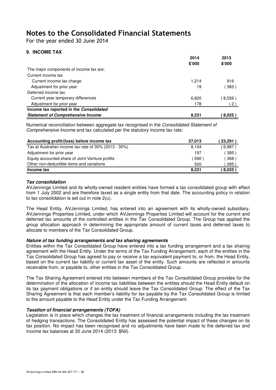For the year ended 30 June 2014

### **9. INCOME TAX**

|                                          | 2014   | 2013      |
|------------------------------------------|--------|-----------|
|                                          | \$'000 | \$'000    |
| The major components of income tax are:  |        |           |
| Current income tax                       |        |           |
| Current income tax charge                | 1.214  | 916       |
| Adjustment for prior year                | 19     | 383)      |
| Deferred income tax                      |        |           |
| Current year temporary differences       | 6,820  | (8,556)   |
| Adjustment for prior year                | 178    | 2)        |
| Income tax reported in the Consolidated  |        |           |
| <b>Statement of Comprehensive Income</b> | 8,231  | $8.025$ ) |

Numerical reconciliation between aggregate tax recognised in the Consolidated Statement of Comprehensive Income and tax calculated per the statutory income tax rate:

| Accounting profit/(loss) before income tax            | 27.013 | 23,291 |
|-------------------------------------------------------|--------|--------|
| Tax at Australian income tax rate of 30% (2013 - 30%) | 8,104  | 6.987  |
| Adjustment for prior year                             | 197    | 385    |
| Equity accounted share of Joint Venture profits       | 590    | 368)   |
| Other non-deductible items and variations             | 520    | 285    |
| Income tax                                            | 8.231  | 8.025  |

### **Tax consolidation**

AVJennings Limited and its wholly-owned resident entities have formed a tax consolidated group with effect from 1 July 2002 and are therefore taxed as a single entity from that date. The accounting policy in relation to tax consolidation is set out in note 2(u).

The Head Entity, AVJennings Limited, has entered into an agreement with its wholly-owned subsidiary, AVJennings Properties Limited, under which AVJennings Properties Limited will account for the current and deferred tax amounts of the controlled entities in the Tax Consolidated Group. The Group has applied the group allocation approach in determining the appropriate amount of current taxes and deferred taxes to allocate to members of the Tax Consolidated Group.

### **Nature of tax funding arrangements and tax sharing agreements**

Entities within the Tax Consolidated Group have entered into a tax funding arrangement and a tax sharing agreement with the Head Entity. Under the terms of the Tax Funding Arrangement, each of the entities in the Tax Consolidated Group has agreed to pay or receive a tax equivalent payment to, or from, the Head Entity, based on the current tax liability or current tax asset of the entity. Such amounts are reflected in amounts receivable from, or payable to, other entities in the Tax Consolidated Group.

The Tax Sharing Agreement entered into between members of the Tax Consolidated Group provides for the determination of the allocation of income tax liabilities between the entities should the Head Entity default on its tax payment obligations or if an entity should leave the Tax Consolidated Group. The effect of the Tax Sharing Agreement is that each member's liability for tax payable by the Tax Consolidated Group is limited to the amount payable to the Head Entity under the Tax Funding Arrangement.

### **Taxation of financial arrangements (TOFA)**

Legislation is in place which changes the tax treatment of financial arrangements including the tax treatment of hedging transactions. The Consolidated Entity has assessed the potential impact of these changes on its tax position. No impact has been recognised and no adjustments have been made to the deferred tax and income tax balances at 30 June 2014 (2013: \$Nil).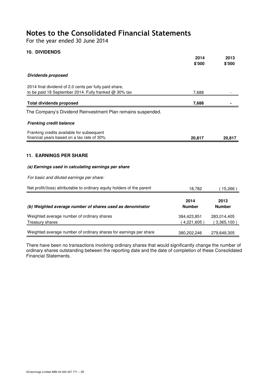For the year ended 30 June 2014

### **10. DIVIDENDS**

|                                                                                                                 | 2014<br>\$'000             | 2013<br>\$'000           |
|-----------------------------------------------------------------------------------------------------------------|----------------------------|--------------------------|
| Dividends proposed                                                                                              |                            |                          |
| 2014 final dividend of 2.0 cents per fully paid share,<br>to be paid 18 September 2014. Fully franked @ 30% tax | 7,688                      |                          |
| <b>Total dividends proposed</b>                                                                                 | 7,688                      |                          |
| The Company's Dividend Reinvestment Plan remains suspended.                                                     |                            |                          |
| <b>Franking credit balance</b>                                                                                  |                            |                          |
| Franking credits available for subsequent<br>financial years based on a tax rate of 30%                         | 20,817                     | 20,817                   |
| <b>11. EARNINGS PER SHARE</b><br>(a) Earnings used in calculating earnings per share                            |                            |                          |
| For basic and diluted earnings per share:                                                                       |                            |                          |
| Net profit/(loss) attributable to ordinary equity holders of the parent                                         | 18,782                     | 15,266                   |
| (b) Weighted average number of shares used as denominator                                                       | 2014<br><b>Number</b>      | 2013<br><b>Number</b>    |
| Weighted average number of ordinary shares<br>Treasury shares                                                   | 384,423,851<br>(4,221,605) | 283,014,405<br>3,365,100 |
| Weighted average number of ordinary shares for earnings per share                                               | 380,202,246                | 279,649,305              |

There have been no transactions involving ordinary shares that would significantly change the number of ordinary shares outstanding between the reporting date and the date of completion of these Consolidated Financial Statements.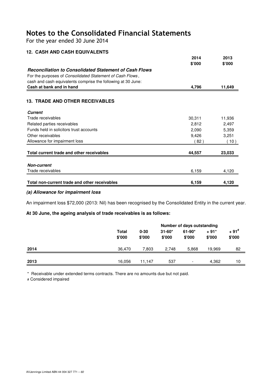For the year ended 30 June 2014

| <b>12. CASH AND CASH EQUIVALENTS</b>                          |        |        |
|---------------------------------------------------------------|--------|--------|
|                                                               | 2014   | 2013   |
|                                                               | \$'000 | \$'000 |
| <b>Reconciliation to Consolidated Statement of Cash Flows</b> |        |        |
| For the purposes of Consolidated Statement of Cash Flows,     |        |        |
| cash and cash equivalents comprise the following at 30 June:  |        |        |
| Cash at bank and in hand                                      | 4,796  | 11,649 |
|                                                               |        |        |
| <b>13. TRADE AND OTHER RECEIVABLES</b>                        |        |        |
| <b>Current</b>                                                |        |        |
| Trade receivables                                             | 30,311 | 11,936 |
| Related parties receivables                                   | 2,812  | 2,497  |
| Funds held in solicitors trust accounts                       | 2,090  | 5,359  |
| Other receivables                                             | 9,426  | 3,251  |
| Allowance for impairment loss                                 | 82)    | (10)   |
|                                                               |        |        |
| Total current trade and other receivables                     | 44,557 | 23,033 |
| <b>Non-current</b>                                            |        |        |
|                                                               |        |        |
| Trade receivables                                             | 6,159  | 4,120  |
| Total non-current trade and other receivables                 | 6,159  | 4,120  |

### **(a) Allowance for impairment loss**

An impairment loss \$72,000 (2013: Nil) has been recognised by the Consolidated Entity in the current year.

### **At 30 June, the ageing analysis of trade receivables is as follows:**

|      |                        | Number of days outstanding |                      |                          |                  |                              |  |
|------|------------------------|----------------------------|----------------------|--------------------------|------------------|------------------------------|--|
|      | <b>Total</b><br>\$'000 | $0 - 30$<br>\$'000         | $31 - 60*$<br>\$'000 | $61 - 90*$<br>\$'000     | $+91*$<br>\$'000 | $+91$ <sup>#</sup><br>\$'000 |  |
| 2014 | 36.470                 | 7,803                      | 2.748                | 5,868                    | 19,969           | 82                           |  |
| 2013 | 16,056                 | 11.147                     | 537                  | $\overline{\phantom{a}}$ | 4,362            | 10                           |  |

\* Receivable under extended terms contracts. There are no amounts due but not paid.

# Considered impaired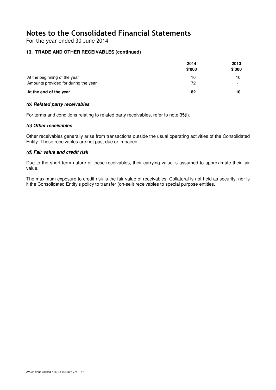For the year ended 30 June 2014

## **13. TRADE AND OTHER RECEIVABLES (continued)**

|                                      | 2014   | 2013   |
|--------------------------------------|--------|--------|
|                                      | \$'000 | \$'000 |
| At the beginning of the year         | 10     | 10     |
| Amounts provided for during the year | 72     | -      |
| At the end of the year               | 82     | 10     |

### **(b) Related party receivables**

For terms and conditions relating to related party receivables, refer to note 35(i).

### **(c) Other receivables**

Other receivables generally arise from transactions outside the usual operating activities of the Consolidated Entity. These receivables are not past due or impaired.

### **(d) Fair value and credit risk**

Due to the short-term nature of these receivables, their carrying value is assumed to approximate their fair value.

The maximum exposure to credit risk is the fair value of receivables. Collateral is not held as security, nor is it the Consolidated Entity's policy to transfer (on-sell) receivables to special purpose entities.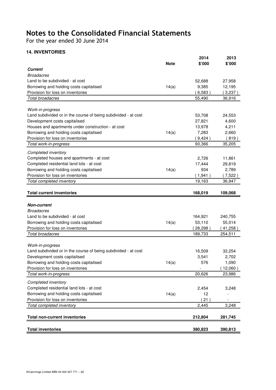For the year ended 30 June 2014

## **14. INVENTORIES**

|                                                                | <b>Note</b> | 2014<br>\$'000 | 2013<br>\$'000 |
|----------------------------------------------------------------|-------------|----------------|----------------|
| <b>Current</b>                                                 |             |                |                |
| <b>Broadacres</b>                                              |             |                |                |
| Land to be subdivided - at cost                                |             | 52,688         | 27,958         |
| Borrowing and holding costs capitalised                        | 14(a)       | 9,385          | 12,195         |
| Provision for loss on inventories                              |             | (6,583)        | (3,237)        |
| Total broadacres                                               |             | 55,490         | 36,916         |
|                                                                |             |                |                |
| Work-in-progress                                               |             |                |                |
| Land subdivided or in the course of being subdivided - at cost |             | 53,708         | 24,553         |
| Development costs capitalised                                  |             | 27,821         | 4,600          |
| Houses and apartments under construction - at cost             |             | 13,978         | 4,211          |
| Borrowing and holding costs capitalised                        | 14(a)       | 7,283          | 2,660          |
| Provision for loss on inventories                              |             | (9,424)        | (819)          |
| Total work-in-progress                                         |             | 93,366         | 35,205         |
| Completed inventory                                            |             |                |                |
| Completed houses and apartments - at cost                      |             | 2,726          | 11,861         |
| Completed residential land lots - at cost                      |             | 17,444         | 29,819         |
| Borrowing and holding costs capitalised                        | 14(a)       | 934            | 2,789          |
| Provision for loss on inventories                              |             | (1,941)        | (7,522)        |
| Total completed inventory                                      |             | 19,163         | 36,947         |
|                                                                |             |                |                |
| <b>Total current inventories</b>                               |             | 168,019        | 109,068        |
|                                                                |             |                |                |
| <b>Non-current</b>                                             |             |                |                |
| <b>Broadacres</b>                                              |             |                |                |
| Land to be subdivided - at cost                                |             | 164,921        | 240,755        |
| Borrowing and holding costs capitalised                        | 14(a)       | 53,110         | 55,014         |
| Provision for loss on inventories                              |             | 28,298         | (41,258)       |
| <b>Total broadacres</b>                                        |             | 189,733        | 254,511        |
| Work-in-progress                                               |             |                |                |
| Land subdivided or in the course of being subdivided - at cost |             | 16,509         | 32,254         |
| Development costs capitalised                                  |             | 3,541          | 2,702          |
| Borrowing and holding costs capitalised                        | 14(a)       | 576            | 1,090          |
| Provision for loss on inventories                              |             |                | 12,060         |
| Total work-in-progress                                         |             | 20,626         | 23,986         |
|                                                                |             |                |                |
| Completed inventory                                            |             |                |                |
| Completed residential land lots - at cost                      |             | 2,454          | 3,248          |
| Borrowing and holding costs capitalised                        | 14(a)       | 12             |                |
| Provision for loss on inventories                              |             | 21             |                |
| Total completed inventory                                      |             | 2,445          | 3,248          |
|                                                                |             |                |                |
| <b>Total non-current inventories</b>                           |             | 212,804        | 281,745        |
|                                                                |             |                |                |
| <b>Total inventories</b>                                       |             | 380,823        | 390,813        |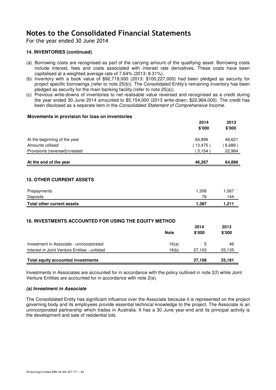For the year ended 30 June 2014

### **14. INVENTORIES (continued)**

- (a) Borrowing costs are recognised as part of the carrying amount of the qualifying asset. Borrowing costs include interest, fees and costs associated with interest rate derivatives. These costs have been capitalised at a weighted average rate of 7.64% (2013: 8.31%).
- (b) Inventory with a book value of \$92,718,000 (2013: \$100,227,000) had been pledged as security for project specific borrowings (refer to note 25(b)). The Consolidated Entity's remaining inventory has been pledged as security for the main banking facility (refer to note 25(a)).
- (c) Previous write-downs of inventories to net realisable value reversed and recognised as a credit during the year ended 30 June 2014 amounted to \$5,154,000 (2013 write-down: \$22,964,000). The credit has been disclosed as a separate item in the Consolidated Statement of Comprehensive Income.

#### **Movements in provision for loss on inventories**

|                               | 2014     | 2013      |
|-------------------------------|----------|-----------|
|                               | \$'000   | \$'000    |
| At the beginning of the year  | 64.896   | 48.621    |
| Amounts utilised              | (13,475) | $6,689$ ) |
| Provisions (reversed)/created | 5,154    | 22,964    |
|                               |          |           |
| At the end of the year        | 46.267   | 64,896    |

### **15. OTHER CURRENT ASSETS**

| Prepayments                | 1.308 | .067  |
|----------------------------|-------|-------|
| Deposits                   | 79    | 144   |
| Total other current assets | 1.387 | 1.211 |

### **16. INVESTMENTS ACCOUNTED FOR USING THE EQUITY METHOD**

|                                               | <b>Note</b> | 2014<br>\$'000 | 2013<br>\$'000 |
|-----------------------------------------------|-------------|----------------|----------------|
| Investment in Associate - unincorporated      | 16(a)       |                | 46             |
| Interest in Joint Venture Entities - unlisted | 16(b)       | 27.103         | 25,135         |
| Total equity accounted investments            |             | 27.108         | 25,181         |

Investments in Associates are accounted for in accordance with the policy outlined in note 2(f) while Joint Venture Entities are accounted for in accordance with note 2(e).

#### **(a) Investment in Associate**

The Consolidated Entity has significant influence over the Associate because it is represented on the project governing body and its employees provide essential technical knowledge to the project. The Associate is an unincorporated partnership which trades in Australia. It has a 30 June year-end and its principal activity is the development and sale of residential lots.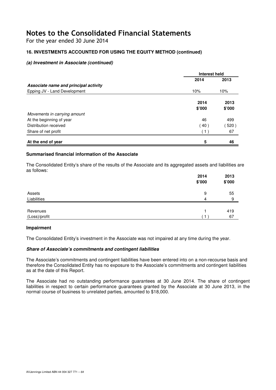For the year ended 30 June 2014

## **16. INVESTMENTS ACCOUNTED FOR USING THE EQUITY METHOD (continued)**

### **(a) Investment in Associate (continued)**

|                                       | Interest held  |                |
|---------------------------------------|----------------|----------------|
|                                       | 2014           | 2013           |
| Associate name and principal activity |                |                |
| Epping JV - Land Development          | 10%            | 10%            |
|                                       | 2014<br>\$'000 | 2013<br>\$'000 |
| Movements in carrying amount          |                |                |
| At the beginning of year              | 46             | 499            |
| Distribution received                 | (40)           | 520)           |
| Share of net profit                   | (1)            | 67             |
| At the end of year                    | 5              | 46             |

### **Summarised financial information of the Associate**

The Consolidated Entity's share of the results of the Associate and its aggregated assets and liabilities are as follows:

|               | 2014<br>\$'000 | 2013<br>\$'000 |
|---------------|----------------|----------------|
| Assets        | 9              | 55             |
| Liabilities   | 4              | 9              |
|               |                |                |
| Revenues      |                | 419            |
| (Loss)/profit |                | 67             |

### **Impairment**

The Consolidated Entity's investment in the Associate was not impaired at any time during the year.

### **Share of Associate's commitments and contingent liabilities**

The Associate's commitments and contingent liabilities have been entered into on a non-recourse basis and therefore the Consolidated Entity has no exposure to the Associate's commitments and contingent liabilities as at the date of this Report.

The Associate had no outstanding performance guarantees at 30 June 2014. The share of contingent liabilities in respect to certain performance guarantees granted by the Associate at 30 June 2013, in the normal course of business to unrelated parties, amounted to \$18,000.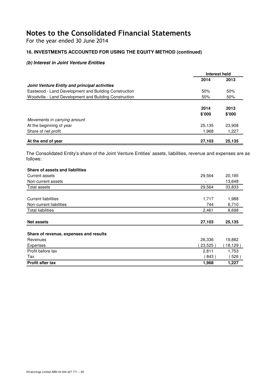For the year ended 30 June 2014

## **16. INVESTMENTS ACCOUNTED FOR USING THE EQUITY METHOD (continued)**

### **(b) Interest in Joint Venture Entities**

|                                                        | Interest held |        |
|--------------------------------------------------------|---------------|--------|
|                                                        | 2014          | 2013   |
| Joint Venture Entity and principal activities          |               |        |
| Eastwood - Land Development and Building Construction  | 50%           | 50%    |
| Woodville - Land Development and Building Construction | 50%           | 50%    |
|                                                        | 2014          | 2013   |
| Movements in carrying amount                           | \$'000        | \$'000 |
| At the beginning of year                               | 25.135        | 23,908 |
| Share of net profit                                    | 1,968         | 1,227  |
| At the end of year                                     | 27.103        | 25,135 |

The Consolidated Entity's share of the Joint Venture Entities' assets, liabilities, revenue and expenses are as follows:

| Share of assets and liabilities        |         |         |
|----------------------------------------|---------|---------|
| Current assets                         | 29,564  | 20,185  |
| Non-current assets                     |         | 13,648  |
| Total assets                           | 29,564  | 33,833  |
|                                        |         |         |
| <b>Current liabilities</b>             | 1,717   | 1,988   |
| Non-current liabilities                | 744     | 6,710   |
| <b>Total liabilities</b>               | 2,461   | 8,698   |
|                                        |         |         |
| <b>Net assets</b>                      | 27,103  | 25,135  |
| Share of revenue, expenses and results |         |         |
| Revenues                               | 26,336  | 19,882  |
| <b>Expenses</b>                        | 23,525) | 18,129) |
| Profit before tax                      | 2,811   | 1,753   |
| Tax                                    | (843)   | 526)    |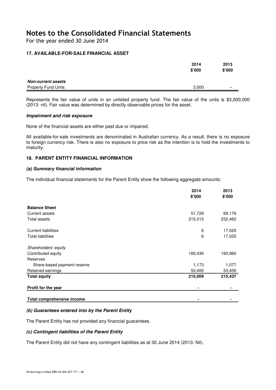For the year ended 30 June 2014

### **17. AVAILABLE-FOR-SALE FINANCIAL ASSET**

|                            | 2014   | 2013           |
|----------------------------|--------|----------------|
|                            | \$'000 | \$'000         |
| <b>Non-current assets</b>  |        |                |
| <b>Property Fund Units</b> | 3,000  | $\blacksquare$ |

Represents the fair value of units in an unlisted property fund. The fair value of the units is \$3,000,000 (2013: nil). Fair value was determined by directly observable prices for the asset.

#### **Impairment and risk exposure**

None of the financial assets are either past due or impaired.

All available-for-sale investments are denominated in Australian currency. As a result, there is no exposure to foreign currency risk. There is also no exposure to price risk as the intention is to hold the investments to maturity.

### **18. PARENT ENTITY FINANCIAL INFORMATION**

#### **(a) Summary financial information**

The individual financial statements for the Parent Entity show the following aggregate amounts:

|                             | 2014<br>\$'000 | 2013<br>\$'000 |
|-----------------------------|----------------|----------------|
| <b>Balance Sheet</b>        |                |                |
| Current assets              | 51,729         | 69,176         |
| Total assets                | 215,015        | 232,462        |
| <b>Current liabilities</b>  | 6              | 17,025         |
| <b>Total liabilities</b>    | 6              | 17,025         |
| Shareholders' equity        |                |                |
| Contributed equity          | 160,436        | 160,960        |
| Reserves                    |                |                |
| Share-based payment reserve | 1,173          | 1,077          |
| Retained earnings           | 53,400         | 53,400         |
| <b>Total equity</b>         | 215,009        | 215,437        |
| Profit for the year         |                |                |

#### **Total comprehensive income**

#### **(b) Guarantees entered into by the Parent Entity**

The Parent Entity has not provided any financial guarantees.

### **(c) Contingent liabilities of the Parent Entity**

The Parent Entity did not have any contingent liabilities as at 30 June 2014 (2013: Nil).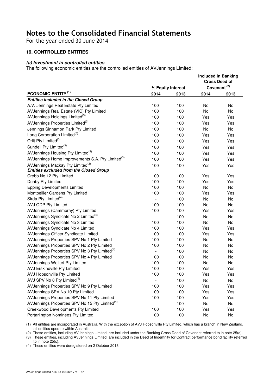For the year ended 30 June 2014

### **19. CONTROLLED ENTITIES**

### **(a) Investment in controlled entities**

The following economic entities are the controlled entities of AVJennings Limited:

|                                                              |                |                   |           | <b>INCIUDED IN DAINING</b><br><b>Cross Deed of</b> |
|--------------------------------------------------------------|----------------|-------------------|-----------|----------------------------------------------------|
|                                                              |                | % Equity Interest |           | Covenant <sup>(2)</sup>                            |
| <b>ECONOMIC ENTITY (1)</b>                                   | 2014           | 2013              | 2014      | 2013                                               |
| <b>Entities included in the Closed Group</b>                 |                |                   |           |                                                    |
| A.V. Jennings Real Estate Pty Limited                        | 100            | 100               | No        | No                                                 |
| AVJennings Real Estate (VIC) Pty Limited                     | 100            | 100               | No        | <b>No</b>                                          |
| AVJennings Holdings Limited <sup>(3)</sup>                   | 100            | 100               | Yes       | Yes                                                |
| AVJennings Properties Limited <sup>(3)</sup>                 | 100            | 100               | Yes       | Yes                                                |
| Jennings Sinnamon Park Pty Limited                           | 100            | 100               | No        | No.                                                |
| Long Corporation Limited <sup>(3)</sup>                      | 100            | 100               | Yes       | Yes                                                |
| Orlit Pty Limited <sup>(3)</sup>                             | 100            | 100               | Yes       | Yes                                                |
| Sundell Pty Limited <sup>(3)</sup>                           | 100            | 100               | Yes       | Yes                                                |
| AVJennings Housing Pty Limited <sup>(3)</sup>                | 100            | 100               | Yes       | Yes                                                |
| AVJennings Home Improvements S.A. Pty Limited <sup>(3)</sup> | 100            | 100               | Yes       | Yes                                                |
| AVJennings Mackay Pty Limited <sup>(3)</sup>                 | 100            | 100               | Yes       | Yes                                                |
| <b>Entities excluded from the Closed Group</b>               |                |                   |           |                                                    |
| Crebb No 12 Pty Limited                                      | 100            | 100               | Yes       | Yes                                                |
| Dunby Pty Limited                                            | 100            | 100               | Yes       | Yes                                                |
| <b>Epping Developments Limited</b>                           | 100            | 100               | <b>No</b> | No.                                                |
| Montpellier Gardens Pty Limited                              | 100            | 100               | Yes       | Yes                                                |
| Sirda Pty Limited <sup>(4)</sup>                             | $\overline{a}$ | 100               | No        | No                                                 |
| AVJ ODP Pty Limited                                          | 100            | 100               | <b>No</b> | <b>No</b>                                          |
| AVJennings (Cammeray) Pty Limited                            | 100            | 100               | Yes       | Yes                                                |
| AVJennings Syndicate No 2 Limited <sup>(4)</sup>             |                | 100               | No        | No                                                 |
| AVJennings Syndicate No 3 Limited                            | 100            | 100               | No        | No                                                 |
| AVJennings Syndicate No 4 Limited                            | 100            | 100               | Yes       | Yes                                                |
| AVJennings Officer Syndicate Limited                         | 100            | 100               | Yes       | Yes                                                |
| AVJennings Properties SPV No 1 Pty Limited                   | 100            | 100               | No        | <b>No</b>                                          |
| AVJennings Properties SPV No 2 Pty Limited                   | 100            | 100               | No        | No                                                 |
| AVJennings Properties SPV No 3 Pty Limited <sup>(4)</sup>    | $\blacksquare$ | 100               | No        | No                                                 |
| AVJennings Properties SPV No 4 Pty Limited                   | 100            | 100               | No        | No                                                 |
| <b>AVJennings Wollert Pty Limited</b>                        | 100            | 100               | No        | No                                                 |
| AVJ Erskineville Pty Limited                                 | 100            | 100               | Yes       | Yes                                                |
| AVJ Hobsonville Pty Limited                                  | 100            | 100               | Yes       | Yes                                                |
| AVJ SPV No 8 Pty Limited <sup>(4)</sup>                      |                | 100               | <b>No</b> | <b>No</b>                                          |
| AVJennings Properties SPV No 9 Pty Limited                   | 100            | 100               | Yes       | Yes                                                |
| AVJennings SPV No 10 Pty Limited                             | 100            | 100               | Yes       | Yes                                                |
| AVJennings Properties SPV No 11 Pty Limited                  | 100            | 100               | Yes       | Yes                                                |
| AVJennings Properties SPV No 15 Pty Limited <sup>(4)</sup>   |                | 100               | No        | No                                                 |
| Creekwood Developments Pty Limited                           | 100            | 100               | Yes       | Yes                                                |
| Portarlington Nominees Pty Limited                           | 100            | 100               | No        | <b>No</b>                                          |

**Included in Banking** 

(1) All entities are incorporated in Australia. With the exception of AVJ Hobsonville Pty Limited, which has a branch in New Zealand, all entities operate within Australia.

(2) These entities, including AVJennings Limited, are included under the Banking Cross Deed of Covenant referred to in note 25(a).

(3) These entities, including AVJennings Limited, are included in the Deed of Indemnity for Contract performance bond facility referred to in note 25(c).

(4) These entities were deregistered on 2 October 2013.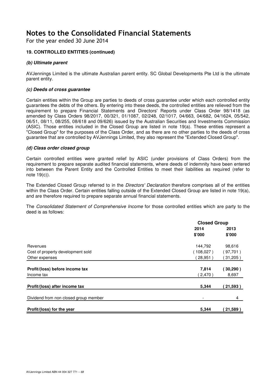For the year ended 30 June 2014

### **19. CONTROLLED ENTITIES (continued)**

### **(b) Ultimate parent**

AVJennings Limited is the ultimate Australian parent entity. SC Global Developments Pte Ltd is the ultimate parent entity.

#### **(c) Deeds of cross guarantee**

Certain entities within the Group are parties to deeds of cross guarantee under which each controlled entity guarantees the debts of the others. By entering into these deeds, the controlled entities are relieved from the requirement to prepare Financial Statements and Directors' Reports under Class Order 98/1418 (as amended by Class Orders 98/2017, 00/321, 01/1087, 02/248, 02/1017, 04/663, 04/682, 04/1624, 05/542, 06/51, 08/11, 08/255, 08/618 and 09/626) issued by the Australian Securities and Investments Commission (ASIC). Those entities included in the Closed Group are listed in note 19(a). These entities represent a "Closed Group" for the purposes of the Class Order, and as there are no other parties to the deeds of cross guarantee that are controlled by AVJennings Limited, they also represent the "Extended Closed Group".

### **(d) Class order closed group**

Certain controlled entities were granted relief by ASIC (under provisions of Class Orders) from the requirement to prepare separate audited financial statements, where deeds of indemnity have been entered into between the Parent Entity and the Controlled Entities to meet their liabilities as required (refer to note 19(c)).

The Extended Closed Group referred to in the *Directors' Declaration* therefore comprises all of the entities within the Class Order. Certain entities falling outside of the Extended Closed Group are listed in note 19(a), and are therefore required to prepare separate annual financial statements.

The Consolidated Statement of Comprehensive Income for those controlled entities which are party to the deed is as follows:

|                                       | <b>Closed Group</b> |           |  |
|---------------------------------------|---------------------|-----------|--|
|                                       | 2014                | 2013      |  |
|                                       | \$'000              | \$'000    |  |
| Revenues                              | 144,792             | 98,616    |  |
| Cost of property development sold     | (108,027)           | 97,701)   |  |
| Other expenses                        | $28,951$ )          | 31,205)   |  |
| Profit/(loss) before income tax       | 7,814               | (30, 290) |  |
| Income tax                            | (2,470)             | 8,697     |  |
| Profit/(loss) after income tax        | 5,344               | 21,593)   |  |
| Dividend from non closed group member |                     | 4         |  |
| Profit/(loss) for the year            | 5,344               | (21,589)  |  |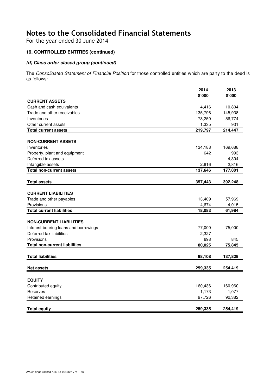For the year ended 30 June 2014

## **19. CONTROLLED ENTITIES (continued)**

### **(d) Class order closed group (continued)**

The Consolidated Statement of Financial Position for those controlled entities which are party to the deed is as follows:

|                                       | 2014    | 2013           |
|---------------------------------------|---------|----------------|
|                                       | \$'000  | \$'000         |
| <b>CURRENT ASSETS</b>                 |         |                |
| Cash and cash equivalents             | 4,416   | 10,804         |
| Trade and other receivables           | 135,796 | 145,938        |
| Inventories                           | 78,250  | 56,774         |
| Other current assets                  | 1,335   | 931            |
| <b>Total current assets</b>           | 219,797 | 214,447        |
|                                       |         |                |
| <b>NON-CURRENT ASSETS</b>             |         |                |
| Inventories                           | 134,188 | 169,688        |
| Property, plant and equipment         | 642     | 993            |
| Deferred tax assets                   |         | 4,304          |
| Intangible assets                     | 2,816   | 2,816          |
| <b>Total non-current assets</b>       | 137,646 | 177,801        |
|                                       |         |                |
| <b>Total assets</b>                   | 357,443 | 392,248        |
|                                       |         |                |
| <b>CURRENT LIABILITIES</b>            |         |                |
| Trade and other payables              | 13,409  | 57,969         |
| Provisions                            | 4,674   | 4,015          |
| <b>Total current liabilities</b>      | 18,083  | 61,984         |
|                                       |         |                |
| <b>NON-CURRENT LIABILITIES</b>        |         |                |
| Interest-bearing loans and borrowings | 77,000  | 75,000         |
| Deferred tax liabilities              | 2,327   | $\overline{a}$ |
| Provisions                            | 698     | 845            |
| <b>Total non-current liabilities</b>  | 80,025  | 75,845         |
|                                       |         |                |
| <b>Total liabilities</b>              | 98,108  | 137,829        |
|                                       |         |                |
| <b>Net assets</b>                     | 259,335 | 254,419        |
|                                       |         |                |
| <b>EQUITY</b>                         |         |                |
| Contributed equity                    | 160,436 | 160,960        |
| Reserves                              | 1,173   | 1,077          |
| Retained earnings                     | 97,726  | 92,382         |
|                                       |         |                |
| <b>Total equity</b>                   | 259,335 | 254,419        |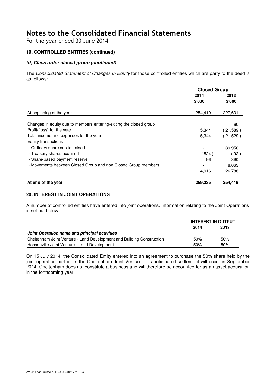For the year ended 30 June 2014

## **19. CONTROLLED ENTITIES (continued)**

### **(d) Class order closed group (continued)**

The Consolidated Statement of Changes in Equity for those controlled entities which are party to the deed is as follows:

|                                                                    | <b>Closed Group</b> |                |
|--------------------------------------------------------------------|---------------------|----------------|
|                                                                    | 2014<br>\$'000      | 2013<br>\$'000 |
| At beginning of the year                                           | 254,419             | 227,631        |
| Changes in equity due to members entering/exiting the closed group |                     | 60             |
| Profit/(loss) for the year                                         | 5,344               | (21,589)       |
| Total income and expenses for the year                             | 5,344               | (21,529)       |
| Equity transactions                                                |                     |                |
| - Ordinary share capital raised                                    |                     | 39,956         |
| - Treasury shares acquired                                         | (524)               | (92)           |
| - Share-based payment reserve                                      | 96                  | 390            |
| - Movements between Closed Group and non Closed Group members      |                     | 8,063          |
|                                                                    | 4,916               | 26,788         |
| At end of the year                                                 | 259.335             | 254.419        |

### **20. INTEREST IN JOINT OPERATIONS**

A number of controlled entities have entered into joint operations. Information relating to the Joint Operations is set out below:

|                                                                       | <b>INTEREST IN OUTPUT</b> |      |
|-----------------------------------------------------------------------|---------------------------|------|
|                                                                       | 2014                      | 2013 |
| Joint Operation name and principal activities                         |                           |      |
| Cheltenham Joint Venture - Land Development and Building Construction | 50%                       | 50%  |
| Hobsonville Joint Venture - Land Development                          | 50%                       | 50%  |

On 15 July 2014, the Consolidated Entity entered into an agreement to purchase the 50% share held by the joint operation partner in the Cheltenham Joint Venture. It is anticipated settlement will occur in September 2014. Cheltenham does not constitute a business and will therefore be accounted for as an asset acquisition in the forthcoming year.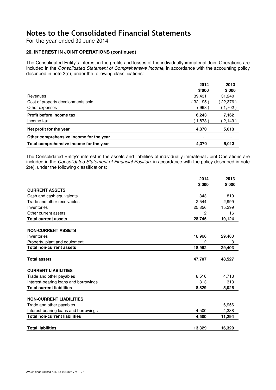For the year ended 30 June 2014

### **20. INTEREST IN JOINT OPERATIONS (continued)**

The Consolidated Entity's interest in the profits and losses of the individually immaterial Joint Operations are included in the Consolidated Statement of Comprehensive Income, in accordance with the accounting policy described in note 2(e), under the following classifications:

|                                         | 2014       | 2013    |
|-----------------------------------------|------------|---------|
|                                         | \$'000     | \$'000  |
| Revenues                                | 39,431     | 31,240  |
| Cost of property developments sold      | $32,195$ ) | 22,376) |
| Other expenses                          | 993)       | (1,702) |
| Profit before income tax                | 6,243      | 7,162   |
| Income tax                              | (1,873)    | 2,149)  |
| Net profit for the year                 | 4.370      | 5,013   |
| Other comprehensive income for the year |            |         |
| Total comprehensive income for the year | 4,370      | 5,013   |

The Consolidated Entity's interest in the assets and liabilities of individually immaterial Joint Operations are included in the Consolidated Statement of Financial Position, in accordance with the policy described in note 2(e), under the following classifications:

|                                       | 2014   | 2013   |
|---------------------------------------|--------|--------|
|                                       | \$'000 | \$'000 |
| <b>CURRENT ASSETS</b>                 |        |        |
| Cash and cash equivalents             | 343    | 810    |
| Trade and other receivables           | 2,544  | 2,999  |
| Inventories                           | 25,856 | 15,299 |
| Other current assets                  | 2      | 16     |
| <b>Total current assets</b>           | 28,745 | 19,124 |
|                                       |        |        |
| <b>NON-CURRENT ASSETS</b>             |        |        |
| Inventories                           | 18,960 | 29,400 |
| Property, plant and equipment         | 2      | 3      |
| <b>Total non-current assets</b>       | 18,962 | 29,403 |
|                                       |        |        |
| <b>Total assets</b>                   | 47,707 | 48,527 |
| <b>CURRENT LIABILITIES</b>            |        |        |
| Trade and other payables              | 8,516  | 4,713  |
| Interest-bearing loans and borrowings | 313    | 313    |
| <b>Total current liabilities</b>      | 8,829  | 5,026  |
|                                       |        |        |
| <b>NON-CURRENT LIABILITIES</b>        |        |        |
| Trade and other payables              |        | 6,956  |
| Interest-bearing loans and borrowings | 4,500  | 4,338  |
| <b>Total non-current liabilities</b>  | 4,500  | 11,294 |
| <b>Total liabilities</b>              | 13,329 | 16,320 |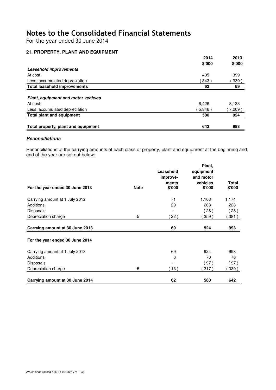For the year ended 30 June 2014

### **21. PROPERTY, PLANT AND EQUIPMENT**

| .                                          | 2014             |                |
|--------------------------------------------|------------------|----------------|
|                                            | \$'000           | 2013<br>\$'000 |
| Leasehold improvements                     |                  |                |
| At cost                                    | 405              | 399            |
| Less: accumulated depreciation             | 343 <sup>°</sup> | 330)           |
| <b>Total leasehold improvements</b>        | 62               | 69             |
| <b>Plant, equipment and motor vehicles</b> |                  |                |
| At cost                                    | 6,426            | 8,133          |
| Less: accumulated depreciation             | 5,846            | $7,209$ )      |
| <b>Total plant and equipment</b>           | 580              | 924            |
| Total property, plant and equipment        | 642              | 993            |

#### **Reconciliations**

Reconciliations of the carrying amounts of each class of property, plant and equipment at the beginning and end of the year are set out below:

| For the year ended 30 June 2013 | <b>Note</b> | Leasehold<br>improve-<br>ments<br>\$'000 | Plant,<br>equipment<br>and motor<br>vehicles<br>\$'000 | Total<br>\$'000 |
|---------------------------------|-------------|------------------------------------------|--------------------------------------------------------|-----------------|
| Carrying amount at 1 July 2012  |             | 71                                       | 1,103                                                  | 1,174           |
| Additions                       |             | 20                                       | 208                                                    | 228             |
| Disposals                       |             |                                          | (28)                                                   | (28)            |
| Depreciation charge             | 5           | 22)                                      | 359)                                                   | 381)            |
| Carrying amount at 30 June 2013 |             | 69                                       | 924                                                    | 993             |
| For the year ended 30 June 2014 |             |                                          |                                                        |                 |
| Carrying amount at 1 July 2013  |             | 69                                       | 924                                                    | 993             |
| Additions                       |             | 6                                        | 70                                                     | 76              |
| <b>Disposals</b>                |             |                                          | 97)                                                    | (97)            |
| Depreciation charge             | 5           | (13)                                     | 317)                                                   | 330)            |
| Carrying amount at 30 June 2014 |             | 62                                       | 580                                                    | 642             |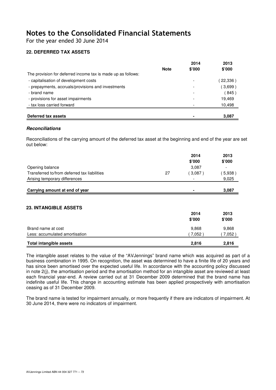For the year ended 30 June 2014

### **22. DEFERRED TAX ASSETS**

|                                                              |             | 2014   | 2013      |
|--------------------------------------------------------------|-------------|--------|-----------|
|                                                              | <b>Note</b> | \$'000 | \$'000    |
| The provision for deferred income tax is made up as follows: |             |        |           |
| - capitalisation of development costs                        |             |        | (22, 336) |
| - prepayments, accruals/provisions and investments           |             |        | (3.699)   |
| - brand name                                                 |             |        | (845)     |
| - provisions for asset impairments                           |             |        | 19,469    |
| - tax loss carried forward                                   |             |        | 10,498    |
|                                                              |             |        |           |
| Deferred tax assets                                          |             |        | 3.087     |

#### **Reconciliations**

Reconciliations of the carrying amount of the deferred tax asset at the beginning and end of the year are set out below:

|                                                      |    | 2014<br>\$'000   | 2013<br>\$'000   |
|------------------------------------------------------|----|------------------|------------------|
| Opening balance                                      |    | 3,087            |                  |
| Transferred to/from deferred tax liabilities         | 27 | (3,087)          | 5,938)           |
| Arising temporary differences                        |    |                  | 9,025            |
| Carrying amount at end of year                       |    |                  | 3,087            |
| <b>23. INTANGIBLE ASSETS</b>                         |    | 2014<br>\$'000   | 2013<br>\$'000   |
| Brand name at cost<br>Less: accumulated amortisation |    | 9,868<br>(7,052) | 9,868<br>(7,052) |
| <b>Total intangible assets</b>                       |    | 2,816            | 2,816            |

The intangible asset relates to the value of the "AVJennings" brand name which was acquired as part of a business combination in 1995. On recognition, the asset was determined to have a finite life of 20 years and has since been amortised over the expected useful life. In accordance with the accounting policy discussed in note 2(j), the amortisation period and the amortisation method for an intangible asset are reviewed at least each financial year-end. A review carried out at 31 December 2009 determined that the brand name has indefinite useful life. This change in accounting estimate has been applied prospectively with amortisation ceasing as of 31 December 2009.

The brand name is tested for impairment annually, or more frequently if there are indicators of impairment. At 30 June 2014, there were no indicators of impairment.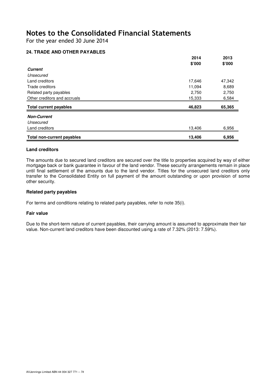For the year ended 30 June 2014

## **24. TRADE AND OTHER PAYABLES**

|                                   | 2014   | 2013   |
|-----------------------------------|--------|--------|
| <b>Current</b>                    | \$'000 | \$'000 |
| Unsecured                         |        |        |
| Land creditors                    | 17,646 | 47,342 |
| Trade creditors                   | 11,094 | 8,689  |
| Related party payables            | 2,750  | 2,750  |
| Other creditors and accruals      | 15,333 | 6,584  |
| <b>Total current payables</b>     | 46,823 | 65,365 |
| <b>Non-Current</b>                |        |        |
| Unsecured                         |        |        |
| Land creditors                    | 13,406 | 6,956  |
| <b>Total non-current payables</b> | 13,406 | 6,956  |

### **Land creditors**

The amounts due to secured land creditors are secured over the title to properties acquired by way of either mortgage back or bank guarantee in favour of the land vendor. These security arrangements remain in place until final settlement of the amounts due to the land vendor. Titles for the unsecured land creditors only transfer to the Consolidated Entity on full payment of the amount outstanding or upon provision of some other security.

### **Related party payables**

For terms and conditions relating to related party payables, refer to note 35(i).

#### **Fair value**

Due to the short-term nature of current payables, their carrying amount is assumed to approximate their fair value. Non-current land creditors have been discounted using a rate of 7.32% (2013: 7.59%).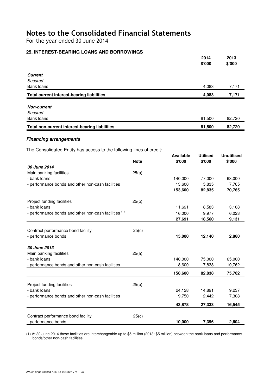For the year ended 30 June 2014

### **25. INTEREST-BEARING LOANS AND BORROWINGS**

|                                                | 2014   | 2013   |
|------------------------------------------------|--------|--------|
|                                                | \$'000 | \$'000 |
|                                                |        |        |
| <b>Current</b>                                 |        |        |
| Secured                                        |        |        |
| Bank loans                                     | 4,083  | 7,171  |
| Total current interest-bearing liabilities     | 4,083  | 7,171  |
|                                                |        |        |
| <b>Non-current</b>                             |        |        |
| Secured                                        |        |        |
| Bank loans                                     | 81,500 | 82,720 |
| Total non-current interest-bearing liabilities | 81,500 | 82,720 |

### **Financing arrangements**

The Consolidated Entity has access to the following lines of credit:

|                                                                  |             | <b>Available</b> | <b>Utilised</b> | <b>Unutilised</b> |
|------------------------------------------------------------------|-------------|------------------|-----------------|-------------------|
|                                                                  | <b>Note</b> | \$'000           | \$'000          | \$'000            |
| 30 June 2014                                                     |             |                  |                 |                   |
| Main banking facilities                                          | 25(a)       |                  |                 |                   |
| - bank loans                                                     |             | 140,000          | 77,000          | 63,000            |
| - performance bonds and other non-cash facilities                |             | 13,600           | 5,835           | 7,765             |
|                                                                  |             | 153,600          | 82,835          | 70,765            |
|                                                                  |             |                  |                 |                   |
| Project funding facilities                                       | 25(b)       |                  |                 |                   |
| - bank loans                                                     |             | 11,691           | 8,583           | 3,108             |
| - performance bonds and other non-cash facilities <sup>(1)</sup> |             | 16,000           | 9,977           | 6,023             |
|                                                                  |             | 27,691           | 18,560          | 9,131             |
|                                                                  |             |                  |                 |                   |
| Contract performance bond facility                               | 25(c)       |                  |                 |                   |
| - performance bonds                                              |             | 15,000           | 12,140          | 2,860             |
|                                                                  |             |                  |                 |                   |
| 30 June 2013                                                     |             |                  |                 |                   |
| Main banking facilities                                          | 25(a)       |                  |                 |                   |
| - bank loans                                                     |             | 140,000          | 75,000          | 65,000            |
| - performance bonds and other non-cash facilities                |             | 18,600           | 7,838           | 10,762            |
|                                                                  |             | 158,600          | 82,838          | 75,762            |
|                                                                  |             |                  |                 |                   |
| Project funding facilities                                       | 25(b)       |                  |                 |                   |
| - bank loans                                                     |             | 24,128           | 14,891          | 9,237             |
| - performance bonds and other non-cash facilities                |             | 19,750           | 12,442          | 7,308             |
|                                                                  |             | 43,878           | 27,333          | 16,545            |
| Contract performance bond facility                               | 25(c)       |                  |                 |                   |
| - performance bonds                                              |             | 10,000           | 7.396           | 2,604             |
|                                                                  |             |                  |                 |                   |

(1) At 30 June 2014 these facilities are interchangeable up to \$5 million (2013: \$5 million) between the bank loans and performance bonds/other non-cash facilities.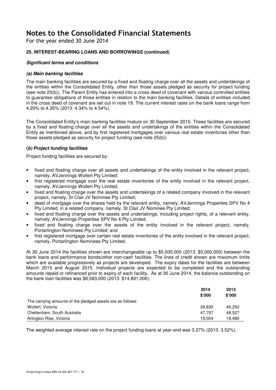For the year ended 30 June 2014

### **25. INTEREST-BEARING LOANS AND BORROWINGS (continued)**

### **Significant terms and conditions**

### **(a) Main banking facilities**

The main banking facilities are secured by a fixed and floating charge over all the assets and undertakings of the entities within the Consolidated Entity, other than those assets pledged as security for project funding (see note 25(b)). The Parent Entity has entered into a cross deed of covenant with various controlled entities to guarantee obligations of those entities in relation to the main banking facilities. Details of entities included in the cross deed of covenant are set out in note 19. The current interest rates on the bank loans range from 4.20% to 4.26% (2013: 4.34% to 4.54%).

The Consolidated Entity's main banking facilities mature on 30 September 2015. These facilities are secured by a fixed and floating charge over all the assets and undertakings of the entities within the Consolidated Entity as mentioned above, and by first registered mortgages over various real estate inventories other than those assets pledged as security for project funding (see note 25(b)).

### **(b) Project funding facilities**

Project funding facilities are secured by:

- fixed and floating charge over all assets and undertakings of the entity involved in the relevant project, namely, AVJennings Wollert Pty Limited;
- first registered mortgage over the real estate inventories of the entity involved in the relevant project, namely, AVJennings Wollert Pty Limited;
- fixed and floating charge over the assets and undertakings of a related company involved in the relevant project, namely, St Clair JV Nominee Pty Limited;
- deed of mortgage over the shares held by the relevant entity, namely, AVJennings Properties SPV No 4 Pty Limited, in a related company, namely, St Clair JV Nominee Pty Limited;
- fixed and floating charge over the assets and undertakings, including project rights, of a relevant entity, namely, AVJennings Properties SPV No 4 Pty Limited;
- fixed and floating charge over the assets of the entity involved in the relevant project, namely, Portarlington Nominees Pty Limited; and
- first registered mortgage over certain real estate inventories of the entity involved in the relevant project, namely, Portarlington Nominees Pty Limited.

At 30 June 2014 the facilities shown are interchangeable up to \$5,000,000 (2013: \$5,000,000) between the bank loans and performance bonds/other non-cash facilities. The lines of credit shown are maximum limits which are available progressively as projects are developed. The expiry dates for the facilities are between March 2015 and August 2015. Individual projects are expected to be completed and the outstanding amounts repaid or refinanced prior to expiry of each facility. As at 30 June 2014, the balance outstanding on the bank loan facilities was \$8,583,000 (2013: \$14,891,000).

|                                                            | 2014<br>\$'000 | 2013<br>\$'000 |
|------------------------------------------------------------|----------------|----------------|
| The carrying amounts of the pledged assets are as follows: |                |                |
| Wollert, Victoria                                          | 29.830         | 40.250         |
| Cheltenham, South Australia                                | 47.707         | 48.527         |
| Arlington Rise, Victoria                                   | 19.054         | 18.480         |

The weighted average interest rate on the project funding loans at year-end was 3.27% (2013: 3.52%).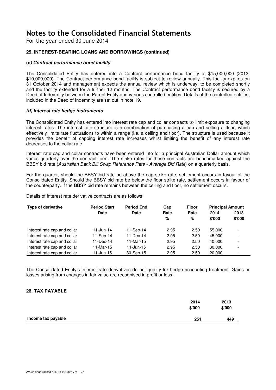For the year ended 30 June 2014

### **25. INTEREST-BEARING LOANS AND BORROWINGS (continued)**

### **(c) Contract performance bond facility**

The Consolidated Entity has entered into a Contract performance bond facility of \$15,000,000 (2013: \$10,000,000). The Contract performance bond facility is subject to review annually. This facility expires on 31 October 2014 and management expects the annual review which is underway, to be completed shortly and the facility extended for a further 12 months. The Contract performance bond facility is secured by a Deed of Indemnity between the Parent Entity and various controlled entities. Details of the controlled entities, included in the Deed of Indemnity are set out in note 19.

### **(d) Interest rate hedge instruments**

The Consolidated Entity has entered into interest rate cap and collar contracts to limit exposure to changing interest rates. The interest rate structure is a combination of purchasing a cap and selling a floor, which effectively limits rate fluctuations to within a range (i.e. a ceiling and floor). The structure is used because it provides the benefit of capping interest rate increases whilst limiting the benefit of any interest rate decreases to the collar rate.

Interest rate cap and collar contracts have been entered into for a principal Australian Dollar amount which varies quarterly over the contract term. The strike rates for these contracts are benchmarked against the BBSY bid rate (Australian Bank Bill Swap Reference Rate - Average Bid Rate) on a quarterly basis.

For the quarter, should the BBSY bid rate be above the cap strike rate, settlement occurs in favour of the Consolidated Entity. Should the BBSY bid rate be below the floor strike rate, settlement occurs in favour of the counterparty. If the BBSY bid rate remains between the ceiling and floor, no settlement occurs.

Details of interest rate derivative contracts are as follows:

| Type of derivative           | <b>Period Start</b><br><b>Period End</b><br>Cap |               |           | <b>Floor</b> | <b>Principal Amount</b> |                          |
|------------------------------|-------------------------------------------------|---------------|-----------|--------------|-------------------------|--------------------------|
|                              | <b>Date</b>                                     | <b>Date</b>   | Rate<br>% | Rate<br>%    | 2014<br>\$'000          | 2013<br>\$'000           |
| Interest rate cap and collar | 11-Jun-14                                       | 11-Sep-14     | 2.95      | 2.50         | 55.000                  | $\overline{\phantom{a}}$ |
| Interest rate cap and collar | 11-Sep-14                                       | $11 - Dec-14$ | 2.95      | 2.50         | 45.000                  |                          |
| Interest rate cap and collar | 11-Dec-14                                       | $11-Mar-15$   | 2.95      | 2.50         | 40.000                  |                          |
| Interest rate cap and collar | 11-Mar-15                                       | 11-Jun-15     | 2.95      | 2.50         | 30,000                  |                          |
| Interest rate cap and collar | 11-Jun-15                                       | 30-Sep-15     | 2.95      | 2.50         | 20,000                  |                          |

The Consolidated Entity's interest rate derivatives do not qualify for hedge accounting treatment. Gains or losses arising from changes in fair value are recognised in profit or loss.

### **26. TAX PAYABLE**

|                    | 2014<br>\$'000 | 2013<br>\$'000 |
|--------------------|----------------|----------------|
| Income tax payable | 251            | 449            |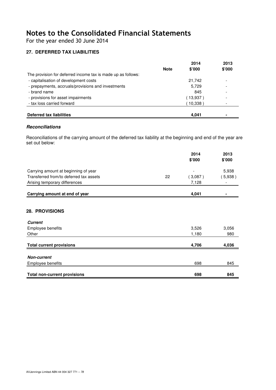For the year ended 30 June 2014

### **27. DEFERRED TAX LIABILITIES**

|                                                              |             | 2014     | 2013                     |
|--------------------------------------------------------------|-------------|----------|--------------------------|
|                                                              | <b>Note</b> | \$'000   | \$'000                   |
| The provision for deferred income tax is made up as follows: |             |          |                          |
| - capitalisation of development costs                        |             | 21,742   | $\overline{\phantom{a}}$ |
| - prepayments, accruals/provisions and investments           |             | 5.729    | $\overline{\phantom{a}}$ |
| - brand name                                                 |             | 845      | $\overline{\phantom{a}}$ |
| - provisions for asset impairments                           |             | (13,937) | $\overline{\phantom{a}}$ |
| - tax loss carried forward                                   |             | 10,338)  |                          |
|                                                              |             |          |                          |
| Deferred tax liabilities                                     |             | 4.041    | $\blacksquare$           |

### **Reconciliations**

Reconciliations of the carrying amount of the deferred tax liability at the beginning and end of the year are set out below:

|                                                                       |    | 2014<br>\$'000 | 2013<br>\$'000 |
|-----------------------------------------------------------------------|----|----------------|----------------|
| Carrying amount at beginning of year                                  |    |                | 5,938          |
| Transferred from/to deferred tax assets                               | 22 | (3,087)        | (5,938)        |
| Arising temporary differences                                         |    | 7,128          |                |
| Carrying amount at end of year                                        |    | 4,041          |                |
| <b>28. PROVISIONS</b><br><b>Current</b><br>Employee benefits<br>Other |    | 3,526<br>1,180 | 3,056<br>980   |
| <b>Total current provisions</b>                                       |    | 4,706          | 4,036          |
| <b>Non-current</b>                                                    |    |                |                |
| Employee benefits                                                     |    | 698            | 845            |
| <b>Total non-current provisions</b>                                   |    | 698            | 845            |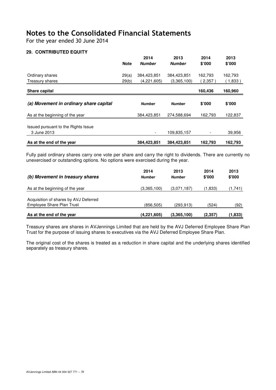For the year ended 30 June 2014

### **29. CONTRIBUTED EQUITY**

|                                                    | <b>Note</b> | 2014<br><b>Number</b>    | 2013<br><b>Number</b> | 2014<br>\$'000 | 2013<br>\$'000 |
|----------------------------------------------------|-------------|--------------------------|-----------------------|----------------|----------------|
| Ordinary shares                                    | 29(a)       | 384,423,851              | 384,423,851           | 162,793        | 162,793        |
| Treasury shares                                    | 29(b)       | (4,221,605)              | (3,365,100)           | (2,357)        | (1,833)        |
| Share capital                                      |             |                          |                       | 160,436        | 160,960        |
| (a) Movement in ordinary share capital             |             | <b>Number</b>            | <b>Number</b>         | \$'000         | \$'000         |
| As at the beginning of the year                    |             | 384,423,851              | 274,588,694           | 162,793        | 122,837        |
| Issued pursuant to the Rights Issue<br>3 June 2013 |             | $\overline{\phantom{a}}$ | 109,835,157           |                | 39,956         |
| As at the end of the year                          |             | 384,423,851              | 384,423,851           | 162,793        | 162,793        |

Fully paid ordinary shares carry one vote per share and carry the right to dividends. There are currently no unexercised or outstanding options. No options were exercised during the year.

| (b) Movement in treasury shares       | 2014<br><b>Number</b> | 2013<br><b>Number</b> | 2014<br>\$'000 | 2013<br>\$'000 |
|---------------------------------------|-----------------------|-----------------------|----------------|----------------|
| As at the beginning of the year       | (3,365,100)           | (3,071,187)           | (1,833)        | (1,741)        |
| Acquisition of shares by AVJ Deferred |                       |                       |                |                |
| Employee Share Plan Trust             | (856,505)             | (293, 913)            | (524)          | (92)           |
| As at the end of the year             | (4,221,605)           | (3,365,100)           | (2, 357)       | (1,833)        |

Treasury shares are shares in AVJennings Limited that are held by the AVJ Deferred Employee Share Plan Trust for the purpose of issuing shares to executives via the AVJ Deferred Employee Share Plan.

The original cost of the shares is treated as a reduction in share capital and the underlying shares identified separately as treasury shares.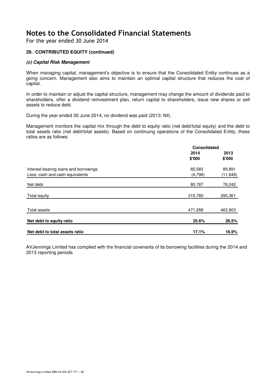For the year ended 30 June 2014

### **29. CONTRIBUTED EQUITY (continued)**

### **(c) Capital Risk Management**

When managing capital, management's objective is to ensure that the Consolidated Entity continues as a going concern. Management also aims to maintain an optimal capital structure that reduces the cost of capital.

In order to maintain or adjust the capital structure, management may change the amount of dividends paid to shareholders, offer a dividend reinvestment plan, return capital to shareholders, issue new shares or sell assets to reduce debt.

During the year ended 30 June 2014, no dividend was paid (2013: Nil).

Management monitors the capital mix through the debt to equity ratio (net debt/total equity) and the debt to total assets ratio (net debt/total assets). Based on continuing operations of the Consolidated Entity, these ratios are as follows:

|                                       | <b>Consolidated</b> |           |
|---------------------------------------|---------------------|-----------|
|                                       | 2014                | 2013      |
|                                       | \$'000              | \$'000    |
| Interest-bearing loans and borrowings | 85,583              | 89,891    |
| Less: cash and cash equivalents       | (4,796)             | (11, 649) |
| Net debt                              | 80,787              | 78,242    |
| <b>Total equity</b>                   | 315,780             | 295,361   |
|                                       |                     |           |
| <b>Total assets</b>                   | 471,288             | 462,903   |
| Net debt to equity ratio              | 25.6%               | 26.5%     |
| Net debt to total assets ratio        | 17.1%               | 16.9%     |

AVJennings Limited has complied with the financial covenants of its borrowing facilities during the 2014 and 2013 reporting periods.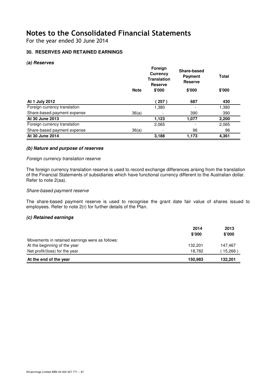For the year ended 30 June 2014

### **30. RESERVES AND RETAINED EARNINGS**

### **(a) Reserves**

|                              |             | Foreign<br>Currency<br><b>Translation</b><br><b>Reserve</b> | Share-based<br><b>Payment</b><br><b>Reserve</b> | <b>Total</b> |  |
|------------------------------|-------------|-------------------------------------------------------------|-------------------------------------------------|--------------|--|
|                              | <b>Note</b> | \$'000                                                      | \$'000                                          | \$'000       |  |
| At 1 July 2012               |             | 257                                                         | 687                                             | 430          |  |
| Foreign currency translation |             | 1,380                                                       |                                                 | 1,380        |  |
| Share-based payment expense  | 36(a)       |                                                             | 390                                             | 390          |  |
| At 30 June 2013              |             | 1,123                                                       | 1,077                                           | 2,200        |  |
| Foreign currency translation |             | 2,065                                                       |                                                 | 2,065        |  |
| Share-based payment expense  | 36(a)       |                                                             | 96                                              | 96           |  |
| At 30 June 2014              |             | 3,188                                                       | 1,173                                           | 4,361        |  |

#### **(b) Nature and purpose of reserves**

### Foreign currency translation reserve

The foreign currency translation reserve is used to record exchange differences arising from the translation of the Financial Statements of subsidiaries which have functional currency different to the Australian dollar. Refer to note 2(aa).

### Share-based payment reserve

The share-based payment reserve is used to recognise the grant date fair value of shares issued to employees. Refer to note 2(r) for further details of the Plan.

### **(c) Retained earnings**

|                                                 | 2014<br>\$'000 | 2013<br>\$'000 |
|-------------------------------------------------|----------------|----------------|
| Movements in retained earnings were as follows: |                |                |
| At the beginning of the year                    | 132.201        | 147.467        |
| Net profit/(loss) for the year                  | 18.782         | 15,266         |
| At the end of the year                          | 150,983        | 132,201        |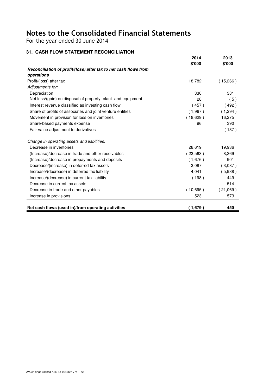For the year ended 30 June 2014

# **31. CASH FLOW STATEMENT RECONCILIATION**

|                                                                  | 2014<br>\$'000 | 2013<br>\$'000 |
|------------------------------------------------------------------|----------------|----------------|
| Reconciliation of profit/(loss) after tax to net cash flows from |                |                |
| operations                                                       |                |                |
| Profit/(loss) after tax                                          | 18,782         | (15,266)       |
| Adjustments for:                                                 |                |                |
| Depreciation                                                     | 330            | 381            |
| Net loss/(gain) on disposal of property, plant and equipment     | 28             | (5)            |
| Interest revenue classified as investing cash flow               | (457)          | (492)          |
| Share of profits of associates and joint venture entities        | (1,967)        | (1,294)        |
| Movement in provision for loss on inventories                    | (18,629)       | 16,275         |
| Share-based payments expense                                     | 96             | 390            |
| Fair value adjustment to derivatives                             |                | (187)          |
| Change in operating assets and liabilities:                      |                |                |
| Decrease in inventories                                          | 28,619         | 19,936         |
| (Increase)/decrease in trade and other receivables               | (23,563)       | 8,369          |
| (Increase)/decrease in prepayments and deposits                  | (1,676)        | 901            |
| Decrease/(increase) in deferred tax assets                       | 3,087          | (3,087)        |
| Increase/(decrease) in deferred tax liability                    | 4,041          | (5,938)        |
| Increase/(decrease) in current tax liability                     | (198)          | 449            |
| Decrease in current tax assets                                   |                | 514            |
| Decrease in trade and other payables                             | (10,695)       | (21,069)       |
| Increase in provisions                                           | 523            | 573            |
| Net cash flows (used in)/from operating activities               | (1,679)        | 450            |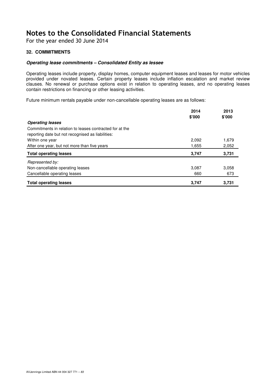For the year ended 30 June 2014

### **32. COMMITMENTS**

### **Operating lease commitments – Consolidated Entity as lessee**

Operating leases include property, display homes, computer equipment leases and leases for motor vehicles provided under novated leases. Certain property leases include inflation escalation and market review clauses. No renewal or purchase options exist in relation to operating leases, and no operating leases contain restrictions on financing or other leasing activities.

Future minimum rentals payable under non-cancellable operating leases are as follows:

|                                                                      | 2014<br>\$'000 | 2013<br>\$'000 |
|----------------------------------------------------------------------|----------------|----------------|
| <b>Operating leases</b>                                              |                |                |
| Commitments in relation to leases contracted for at the              | 2,092          | 1,679          |
| reporting date but not recognised as liabilities:<br>Within one year |                |                |
| After one year, but not more than five years                         | 1,655          | 2,052          |
| <b>Total operating leases</b>                                        | 3,747          | 3,731          |
| Represented by:                                                      |                |                |
| Non-cancellable operating leases                                     | 3,087          | 3,058          |
| Cancellable operating leases                                         | 660            | 673            |
| <b>Total operating leases</b>                                        | 3,747          | 3.731          |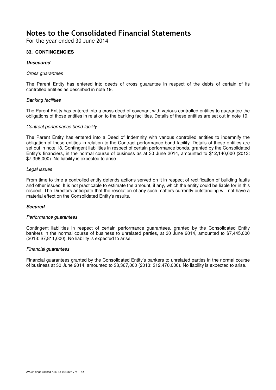For the year ended 30 June 2014

### **33. CONTINGENCIES**

### **Unsecured**

#### Cross guarantees

The Parent Entity has entered into deeds of cross guarantee in respect of the debts of certain of its controlled entities as described in note 19.

### Banking facilities

The Parent Entity has entered into a cross deed of covenant with various controlled entities to guarantee the obligations of those entities in relation to the banking facilities. Details of these entities are set out in note 19.

### Contract performance bond facility

The Parent Entity has entered into a Deed of Indemnity with various controlled entities to indemnify the obligation of those entities in relation to the Contract performance bond facility. Details of these entities are set out in note 18. Contingent liabilities in respect of certain performance bonds, granted by the Consolidated Entity's financiers, in the normal course of business as at 30 June 2014, amounted to \$12,140,000 (2013: \$7,396,000). No liability is expected to arise.

#### Legal issues

From time to time a controlled entity defends actions served on it in respect of rectification of building faults and other issues. It is not practicable to estimate the amount, if any, which the entity could be liable for in this respect. The Directors anticipate that the resolution of any such matters currently outstanding will not have a material effect on the Consolidated Entity's results.

### **Secured**

#### Performance quarantees

Contingent liabilities in respect of certain performance guarantees, granted by the Consolidated Entity bankers in the normal course of business to unrelated parties, at 30 June 2014, amounted to \$7,445,000 (2013: \$7,811,000). No liability is expected to arise.

#### Financial guarantees

Financial guarantees granted by the Consolidated Entity's bankers to unrelated parties in the normal course of business at 30 June 2014, amounted to \$8,367,000 (2013: \$12,470,000). No liability is expected to arise.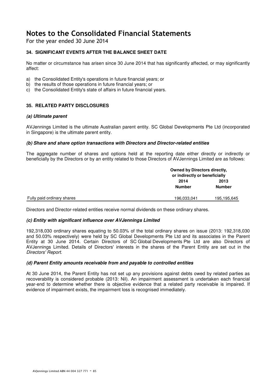For the year ended 30 June 2014

## **34. SIGNIFICANT EVENTS AFTER THE BALANCE SHEET DATE**

No matter or circumstance has arisen since 30 June 2014 that has significantly affected, or may significantly affect:

- a) the Consolidated Entity's operations in future financial years; or
- b) the results of those operations in future financial years; or
- c) the Consolidated Entity's state of affairs in future financial years.

### **35. RELATED PARTY DISCLOSURES**

### **(a) Ultimate parent**

AVJennings Limited is the ultimate Australian parent entity. SC Global Developments Pte Ltd (incorporated in Singapore) is the ultimate parent entity.

#### **(b) Share and share option transactions with Directors and Director-related entities**

The aggregate number of shares and options held at the reporting date either directly or indirectly or beneficially by the Directors or by an entity related to those Directors of AVJennings Limited are as follows:

|                            |                                                | Owned by Directors directly,<br>or indirectly or beneficially |  |
|----------------------------|------------------------------------------------|---------------------------------------------------------------|--|
|                            | 2013<br>2014<br><b>Number</b><br><b>Number</b> |                                                               |  |
| Fully paid ordinary shares | 196,033,041                                    | 195,195,645                                                   |  |

Directors and Director-related entities receive normal dividends on these ordinary shares.

#### **(c) Entity with significant influence over AVJennings Limited**

192,318,030 ordinary shares equating to 50.03% of the total ordinary shares on issue (2013: 192,318,030 and 50.03% respectively) were held by SC Global Developments Pte Ltd and its associates in the Parent Entity at 30 June 2014. Certain Directors of SC Global Developments Pte Ltd are also Directors of AVJennings Limited. Details of Directors' interests in the shares of the Parent Entity are set out in the Directors' Report.

#### **(d) Parent Entity amounts receivable from and payable to controlled entities**

At 30 June 2014, the Parent Entity has not set up any provisions against debts owed by related parties as recoverability is considered probable (2013: Nil). An impairment assessment is undertaken each financial year-end to determine whether there is objective evidence that a related party receivable is impaired. If evidence of impairment exists, the impairment loss is recognised immediately.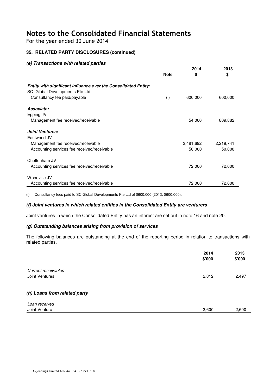For the year ended 30 June 2014

### **35. RELATED PARTY DISCLOSURES (continued)**

### **(e) Transactions with related parties**

|                                                                                                          | <b>Note</b> | 2014<br>\$ | 2013<br>\$ |
|----------------------------------------------------------------------------------------------------------|-------------|------------|------------|
| <b>Entity with significant influence over the Consolidated Entity:</b><br>SC Global Developments Pte Ltd |             |            |            |
| Consultancy fee paid/payable                                                                             | (i)         | 600,000    | 600,000    |
| Associate:                                                                                               |             |            |            |
| Epping JV                                                                                                |             |            |            |
| Management fee received/receivable                                                                       |             | 54,000     | 809,882    |
| <b>Joint Ventures:</b>                                                                                   |             |            |            |
| Eastwood JV                                                                                              |             |            |            |
| Management fee received/receivable                                                                       |             | 2,481,692  | 2,219,741  |
| Accounting services fee received/receivable                                                              |             | 50,000     | 50,000     |
| Cheltenham JV                                                                                            |             |            |            |
| Accounting services fee received/receivable                                                              |             | 72,000     | 72,000     |
| Woodville JV                                                                                             |             |            |            |
| Accounting services fee received/receivable                                                              |             | 72,000     | 72,600     |

(i) Consultancy fees paid to SC Global Developments Pte Ltd of \$600,000 (2013: \$600,000).

### **(f) Joint ventures in which related entities in the Consolidated Entity are venturers**

Joint ventures in which the Consolidated Entity has an interest are set out in note 16 and note 20.

### **(g) Outstanding balances arising from provision of services**

The following balances are outstanding at the end of the reporting period in relation to transactions with related parties.

|                              | 2014<br>\$'000 | 2013<br>\$'000 |
|------------------------------|----------------|----------------|
| Current receivables          |                |                |
| Joint Ventures               | 2,812          | 2,497          |
| (h) Loans from related party |                |                |
| Loan received                |                |                |

| Joint Venture   | 2.600 | 2,600 |
|-----------------|-------|-------|
| --------------- |       |       |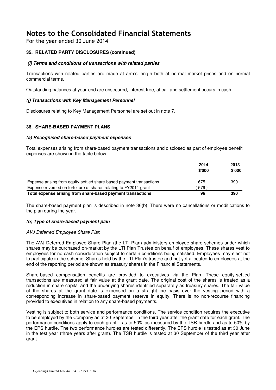For the year ended 30 June 2014

### **35. RELATED PARTY DISCLOSURES (continued)**

### **(i) Terms and conditions of transactions with related parties**

Transactions with related parties are made at arm's length both at normal market prices and on normal commercial terms.

Outstanding balances at year-end are unsecured, interest free, at call and settlement occurs in cash.

### **(j) Transactions with Key Management Personnel**

Disclosures relating to Key Management Personnel are set out in note 7.

### **36. SHARE-BASED PAYMENT PLANS**

#### **(a) Recognised share-based payment expenses**

Total expenses arising from share-based payment transactions and disclosed as part of employee benefit expenses are shown in the table below:

|                                                                      | 2014<br>\$'000 | 2013<br>\$'000           |
|----------------------------------------------------------------------|----------------|--------------------------|
| Expense arising from equity-settled share-based payment transactions | 675            | 390                      |
| Expense reversed on forfeiture of shares relating to FY2011 grant    | 579            | $\overline{\phantom{0}}$ |
| Total expense arising from share-based payment transactions          | 96             | 390                      |

The share-based payment plan is described in note 36(b). There were no cancellations or modifications to the plan during the year.

#### **(b) Type of share-based payment plan**

#### AVJ Deferred Employee Share Plan

The AVJ Deferred Employee Share Plan (the LTI Plan) administers employee share schemes under which shares may be purchased on-market by the LTI Plan Trustee on behalf of employees. These shares vest to employees for no cash consideration subject to certain conditions being satisfied. Employees may elect not to participate in the scheme. Shares held by the LTI Plan's trustee and not yet allocated to employees at the end of the reporting period are shown as treasury shares in the Financial Statements.

Share-based compensation benefits are provided to executives via the Plan. These equity-settled transactions are measured at fair value at the grant date. The original cost of the shares is treated as a reduction in share capital and the underlying shares identified separately as treasury shares. The fair value of the shares at the grant date is expensed on a straight-line basis over the vesting period with a corresponding increase in share-based payment reserve in equity. There is no non-recourse financing provided to executives in relation to any share-based payments.

Vesting is subject to both service and performance conditions. The service condition requires the executive to be employed by the Company as at 30 September in the third year after the grant date for each grant. The performance conditions apply to each grant – as to 50% as measured by the TSR hurdle and as to 50% by the EPS hurdle. The two performance hurdles are tested differently. The EPS hurdle is tested as at 30 June in the test year (three years after grant). The TSR hurdle is tested at 30 September of the third year after grant.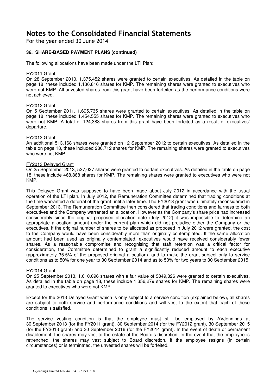For the year ended 30 June 2014

### **36. SHARE-BASED PAYMENT PLANS (continued)**

The following allocations have been made under the LTI Plan:

#### FY2011 Grant

On 28 September 2010, 1,375,452 shares were granted to certain executives. As detailed in the table on page 18, these included 1,136,816 shares for KMP. The remaining shares were granted to executives who were not KMP. All unvested shares from this grant have been forfeited as the performance conditions were not achieved.

#### FY2012 Grant

On 5 September 2011, 1,695,735 shares were granted to certain executives. As detailed in the table on page 18, these included 1,454,555 shares for KMP. The remaining shares were granted to executives who were not KMP. A total of 124,383 shares from this grant have been forfeited as a result of executives' departure.

#### FY2013 Grant

An additional 513,168 shares were granted on 12 September 2012 to certain executives. As detailed in the table on page 18, these included 280,712 shares for KMP. The remaining shares were granted to executives who were not KMP.

#### FY2013 Delayed Grant

On 25 September 2013, 527,027 shares were granted to certain executives. As detailed in the table on page 18, these include 468,868 shares for KMP. The remaining shares were granted to executives who were not KMP.

This Delayed Grant was supposed to have been made about July 2012 in accordance with the usual operation of the LTI plan. In July 2012, the Remuneration Committee determined that trading conditions at the time warranted a deferral of the grant until a later time. The FY2013 grant was ultimately reconsidered in September 2013. The Remuneration Committee then considered that trading conditions and fairness to both executives and the Company warranted an allocation. However as the Company's share price had increased considerably since the original proposed allocation date (July 2012) it was impossible to determine an appropriate allocation amount under the current plan which did not prejudice either the Company or the executives. If the original number of shares to be allocated as proposed in July 2012 were granted, the cost to the Company would have been considerably more than originally contemplated. If the same allocation amount had been used as originally contemplated, executives would have received considerably fewer shares. As a reasonable compromise and recognising that staff retention was a critical factor for consideration, the Committee determined to grant a significantly reduced amount to each executive (approximately 35.5% of the proposed original allocation), and to make the grant subject only to service conditions as to 50% for one year to 30 September 2014 and as to 50% for two years to 30 September 2015.

#### FY2014 Grant

On 25 September 2013, 1,610,096 shares with a fair value of \$849,326 were granted to certain executives. As detailed in the table on page 18, these include 1,356,279 shares for KMP. The remaining shares were granted to executives who were not KMP.

Except for the 2013 Delayed Grant which is only subject to a service condition (explained below), all shares are subject to both service and performance conditions and will vest to the extent that each of these conditions is satisfied.

The service vesting condition is that the employee must still be employed by AVJennings at 30 September 2013 (for the FY2011 grant), 30 September 2014 (for the FY2012 grant), 30 September 2015 (for the FY2013 grant) and 30 September 2016 (for the FY2014 grant). In the event of death or permanent disablement, the shares may vest to the estate at the Board's discretion. In the event that the employee is retrenched, the shares may vest subject to Board discretion. If the employee resigns (in certain circumstances) or is terminated, the unvested shares will be forfeited.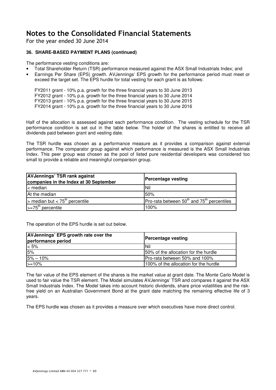For the year ended 30 June 2014

### **36. SHARE-BASED PAYMENT PLANS (continued)**

The performance vesting conditions are:

- Total Shareholder Return (TSR) performance measured against the ASX Small Industrials Index; and
- Earnings Per Share (EPS) growth. AVJennings' EPS growth for the performance period must meet or exceed the target set. The EPS hurdle for total vesting for each grant is as follows:

FY2011 grant - 10% p.a. growth for the three financial years to 30 June 2013 FY2012 grant - 10% p.a. growth for the three financial years to 30 June 2014 FY2013 grant - 10% p.a. growth for the three financial years to 30 June 2015 FY2014 grant - 10% p.a. growth for the three financial years to 30 June 2016

Half of the allocation is assessed against each performance condition. The vesting schedule for the TSR performance condition is set out in the table below. The holder of the shares is entitled to receive all dividends paid between grant and vesting date.

The TSR hurdle was chosen as a performance measure as it provides a comparison against external performance. The comparator group against which performance is measured is the ASX Small Industrials Index. This peer group was chosen as the pool of listed pure residential developers was considered too small to provide a reliable and meaningful comparison group.

| <b>AVJennings' TSR rank against</b><br>companies in the Index at 30 September | <b>Percentage vesting</b>                      |
|-------------------------------------------------------------------------------|------------------------------------------------|
| $\leq$ median                                                                 | <b>INil</b>                                    |
| At the median                                                                 | 50%                                            |
| $>$ median but < 75 <sup>th</sup> percentile                                  | Pro-rata between $50th$ and $75th$ percentiles |
| $\left  \right  > = 75$ <sup>th</sup> percentile                              | 100%                                           |

The operation of the EPS hurdle is set out below.

| <b>AVJennings' EPS growth rate over the</b><br>performance period | <b>Percentage vesting</b>             |  |
|-------------------------------------------------------------------|---------------------------------------|--|
| $< 5\%$                                                           | <b>Nil</b>                            |  |
| 5%                                                                | 50% of the allocation for the hurdle  |  |
| $5\% - 10\%$                                                      | Pro-rata between 50% and 100%         |  |
| $>=10%$                                                           | 100% of the allocation for the hurdle |  |

The fair value of the EPS element of the shares is the market value at grant date. The Monte Carlo Model is used to fair value the TSR element. The Model simulates AVJennings' TSR and compares it against the ASX Small Industrials Index. The Model takes into account historic dividends, share price volatilities and the riskfree yield on an Australian Government Bond at the grant date matching the remaining effective life of 3 years.

The EPS hurdle was chosen as it provides a measure over which executives have more direct control.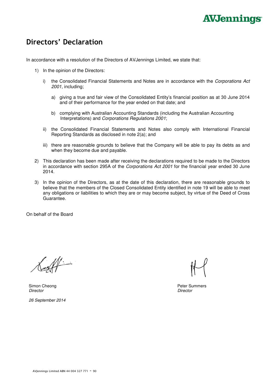# **AVJennings**

# Directors' Declaration

In accordance with a resolution of the Directors of AVJennings Limited, we state that:

- 1) In the opinion of the Directors:
	- i) the Consolidated Financial Statements and Notes are in accordance with the Corporations Act 2001, including;
		- a) giving a true and fair view of the Consolidated Entity's financial position as at 30 June 2014 and of their performance for the year ended on that date; and
		- b) complying with Australian Accounting Standards (including the Australian Accounting Interpretations) and Corporations Regulations 2001;
	- ii) the Consolidated Financial Statements and Notes also comply with International Financial Reporting Standards as disclosed in note 2(a); and
	- iii) there are reasonable grounds to believe that the Company will be able to pay its debts as and when they become due and payable.
- 2) This declaration has been made after receiving the declarations required to be made to the Directors in accordance with section 295A of the Corporations Act 2001 for the financial year ended 30 June 2014.
- 3) In the opinion of the Directors, as at the date of this declaration, there are reasonable grounds to believe that the members of the Closed Consolidated Entity identified in note 19 will be able to meet any obligations or liabilities to which they are or may become subject, by virtue of the Deed of Cross Guarantee.

On behalf of the Board

 $\mathcal{M}$ 

Simon Cheong **Director** 

26 September 2014

Peter Summers **Director**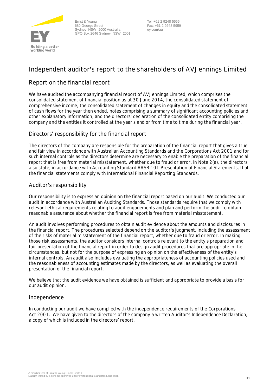

Ernst & Young 680 George Street Sydney NSW 2000 Australia GPO Box 2646 Sydney NSW 2001  Tel: +61 2 9248 5555 Fax: +61 2 9248 5959 ey.com/au

# **Independent auditor's report to the shareholders of AVJennings Limited**

# Report on the financial report

We have audited the accompanying financial report of AVJennings Limited, which comprises the consolidated statement of financial position as at 30 June 2014, the consolidated statement of comprehensive income, the consolidated statement of changes in equity and the consolidated statement of cash flows for the year then ended, notes comprising a summary of significant accounting policies and other explanatory information, and the directors' declaration of the consolidated entity comprising the company and the entities it controlled at the year's end or from time to time during the financial year.

# *Directors' responsibility for the financial report*

The directors of the company are responsible for the preparation of the financial report that gives a true and fair view in accordance with Australian Accounting Standards and the *Corporations Act 2001* and for such internal controls as the directors determine are necessary to enable the preparation of the financial report that is free from material misstatement, whether due to fraud or error. In Note 2(a), the directors also state, in accordance with Accounting Standard AASB 101 *Presentation of Financial Statements*, that the financial statements comply with *International Financial Reporting Standards*.

# *Auditor's responsibility*

Our responsibility is to express an opinion on the financial report based on our audit. We conducted our audit in accordance with Australian Auditing Standards. Those standards require that we comply with relevant ethical requirements relating to audit engagements and plan and perform the audit to obtain reasonable assurance about whether the financial report is free from material misstatement.

An audit involves performing procedures to obtain audit evidence about the amounts and disclosures in the financial report. The procedures selected depend on the auditor's judgment, including the assessment of the risks of material misstatement of the financial report, whether due to fraud or error. In making those risk assessments, the auditor considers internal controls relevant to the entity's preparation and fair presentation of the financial report in order to design audit procedures that are appropriate in the circumstances, but not for the purpose of expressing an opinion on the effectiveness of the entity's internal controls. An audit also includes evaluating the appropriateness of accounting policies used and the reasonableness of accounting estimates made by the directors, as well as evaluating the overall presentation of the financial report.

We believe that the audit evidence we have obtained is sufficient and appropriate to provide a basis for our audit opinion.

# *Independence*

In conducting our audit we have complied with the independence requirements of the *Corporations Act 2001*. We have given to the directors of the company a written Auditor's Independence Declaration, a copy of which is included in the directors' report.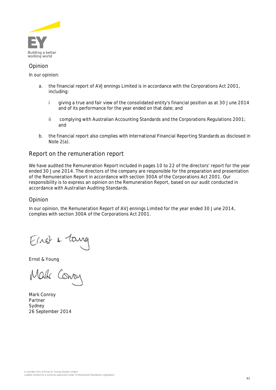

# *Opinion*

In our opinion:

- a. the financial report of AVJennings Limited is in accordance with the *Corporations Act 2001*, including:
	- i giving a true and fair view of the consolidated entity's financial position as at 30 June 2014 and of its performance for the year ended on that date; and
	- ii complying with Australian Accounting Standards and the *Corporations Regulations 2001*; and
- b. the financial report also complies with *International Financial Reporting Standards* as disclosed in Note 2(a).

# Report on the remuneration report

We have audited the Remuneration Report included in pages 10 to 22 of the directors' report for the year ended 30 June 2014. The directors of the company are responsible for the preparation and presentation of the Remuneration Report in accordance with section 300A of the *Corporations Act 2001*. Our responsibility is to express an opinion on the Remuneration Report, based on our audit conducted in accordance with Australian Auditing Standards.

### *Opinion*

In our opinion, the Remuneration Report of AVJennings Limited for the year ended 30 June 2014, complies with section 300A of the *Corporations Act 2001*.

Ernst & Young

Mak Conon

Mark Conroy Partner Sydney 26 September 2014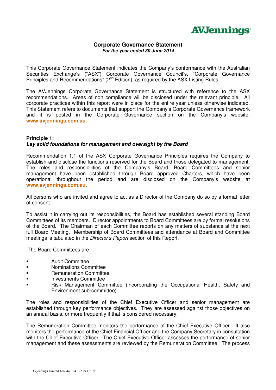

### **Corporate Governance Statement For the year ended 30 June 2014**

This Corporate Governance Statement indicates the Company's conformance with the Australian Securities Exchange's ("ASX") Corporate Governance Council's, "Corporate Governance Principles and Recommendations" (2<sup>nd</sup> Edition), as required by the ASX Listing Rules.

The AVJennings Corporate Governance Statement is structured with reference to the ASX recommendations. Areas of non compliance will be disclosed under the relevant principle. All corporate practices within this report were in place for the entire year unless otherwise indicated. This Statement refers to documents that support the Company's Corporate Governance framework and it is posted in the Corporate Governance section on the Company's website: **www.avjennings.com.au**.

### **Principle 1: Lay solid foundations for management and oversight by the Board**

Recommendation 1.1 of the ASX Corporate Governance Principles requires the Company to establish and disclose the functions reserved for the Board and those delegated to management. The roles and responsibilities of the Company's Board, Board Committees and senior management have been established through Board approved Charters, which have been operational throughout the period and are disclosed on the Company's website at **www.avjennings.com.au**.

All persons who are invited and agree to act as a Director of the Company do so by a formal letter of consent.

To assist it in carrying out its responsibilities, the Board has established several standing Board Committees of its members. Director appointments to Board Committees are by formal resolutions of the Board. The Chairman of each Committee reports on any matters of substance at the next full Board Meeting. Membership of Board Committees and attendance at Board and Committee meetings is tabulated in the *Director's Report* section of this Report.

The Board Committees are:

- **Audit Committee**
- **Nominations Committee**
- **Example 2** Remuneration Committee
- **Investments Committee**
- Risk Management Committee (incorporating the Occupational Health, Safety and Environment sub-committee)

The roles and responsibilities of the Chief Executive Officer and senior management are established through key performance objectives. They are assessed against those objectives on an annual basis, or more frequently if that is considered necessary.

The Remuneration Committee monitors the performance of the Chief Executive Officer. It also monitors the performance of the Chief Financial Officer and the Company Secretary in consultation with the Chief Executive Officer. The Chief Executive Officer assesses the performance of senior management and these assessments are reviewed by the Remuneration Committee. The process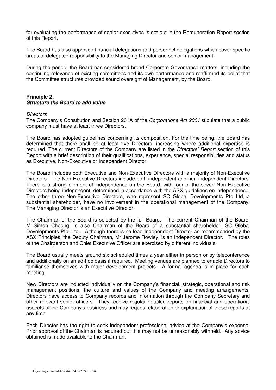for evaluating the performance of senior executives is set out in the Remuneration Report section of this Report.

The Board has also approved financial delegations and personnel delegations which cover specific areas of delegated responsibility to the Managing Director and senior management.

During the period, the Board has considered broad Corporate Governance matters, including the continuing relevance of existing committees and its own performance and reaffirmed its belief that the Committee structures provided sound oversight of Management, by the Board.

### **Principle 2: Structure the Board to add value**

### **Directors**

The Company's Constitution and Section 201A of the *Corporations Act 2001* stipulate that a public company must have at least three Directors.

The Board has adopted guidelines concerning its composition. For the time being, the Board has determined that there shall be at least five Directors, increasing where additional expertise is required. The current Directors of the Company are listed in the *Directors' Report* section of this Report with a brief description of their qualifications, experience, special responsibilities and status as Executive, Non-Executive or Independent Director.

The Board includes both Executive and Non-Executive Directors with a majority of Non-Executive Directors. The Non-Executive Directors include both independent and non-independent Directors. There is a strong element of independence on the Board, with four of the seven Non-Executive Directors being independent, determined in accordance with the ASX guidelines on independence. The other three Non-Executive Directors, who represent SC Global Developments Pte Ltd, a substantial shareholder, have no involvement in the operational management of the Company. The Managing Director is an Executive Director.

The Chairman of the Board is selected by the full Board. The current Chairman of the Board, Mr Simon Cheong, is also Chairman of the Board of a substantial shareholder, SC Global Developments Pte. Ltd.. Although there is no lead Independent Director as recommended by the ASX Principles, the Deputy Chairman, Mr Jerome Rowley, is an Independent Director. The roles of the Chairperson and Chief Executive Officer are exercised by different individuals.

The Board usually meets around six scheduled times a year either in person or by teleconference and additionally on an ad-hoc basis if required. Meeting venues are planned to enable Directors to familiarise themselves with major development projects. A formal agenda is in place for each meeting.

New Directors are inducted individually on the Company's financial, strategic, operational and risk management positions, the culture and values of the Company and meeting arrangements. Directors have access to Company records and information through the Company Secretary and other relevant senior officers. They receive regular detailed reports on financial and operational aspects of the Company's business and may request elaboration or explanation of those reports at any time.

Each Director has the right to seek independent professional advice at the Company's expense. Prior approval of the Chairman is required but this may not be unreasonably withheld. Any advice obtained is made available to the Chairman.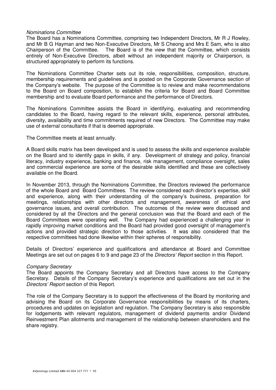### Nominations Committee

The Board has a Nominations Committee, comprising two Independent Directors, Mr R J Rowley, and Mr B G Hayman and two Non-Executive Directors, Mr S Cheong and Mrs E Sam, who is also Chairperson of the Committee. The Board is of the view that the Committee, which consists entirely of Non-Executive Directors, albeit without an independent majority or Chairperson, is structured appropriately to perform its functions.

The Nominations Committee Charter sets out its role, responsibilities, composition, structure, membership requirements and guidelines and is posted on the Corporate Governance section of the Company's website. The purpose of the Committee is to review and make recommendations to the Board on Board composition, to establish the criteria for Board and Board Committee membership and to evaluate Board performance and the performance of Directors.

The Nominations Committee assists the Board in identifying, evaluating and recommending candidates to the Board, having regard to the relevant skills, experience, personal attributes, diversity, availability and time commitments required of new Directors. The Committee may make use of external consultants if that is deemed appropriate.

The Committee meets at least annually.

A Board skills matrix has been developed and is used to assess the skills and experience available on the Board and to identify gaps in skills, if any. Development of strategy and policy, financial literacy, industry experience, banking and finance, risk management, compliance oversight, sales and commercial experience are some of the desirable skills identified and these are collectively available on the Board.

In November 2013, through the Nominations Committee, the Directors reviewed the performance of the whole Board and Board Committees. The review considered each director's expertise, skill and experience, along with their understanding of the company's business, preparation for meetings, relationships with other directors and management, awareness of ethical and governance issues, and overall contribution. The outcomes of the review were discussed and considered by all the Directors and the general conclusion was that the Board and each of the Board Committees were operating well. The Company had experienced a challenging year in rapidly improving market conditions and the Board had provided good oversight of management's actions and provided strategic direction to those activities. It was also considered that the respective committees had done likewise within their spheres of responsibility.

Details of Directors' experience and qualifications and attendance at Board and Committee Meetings are set out on pages 6 to 9 and page 23 of the Directors' Report section in this Report.

### Company Secretary

The Board appoints the Company Secretary and all Directors have access to the Company Secretary. Details of the Company Secretary's experience and qualifications are set out in the Directors' Report section of this Report.

The role of the Company Secretary is to support the effectiveness of the Board by monitoring and advising the Board on its Corporate Governance responsibilities by means of its charters, procedures and updates on legislation and regulation. The Company Secretary is also responsible for lodgements with relevant regulators, management of dividend payments and/or Dividend Reinvestment Plan allotments and management of the relationship between shareholders and the share registry.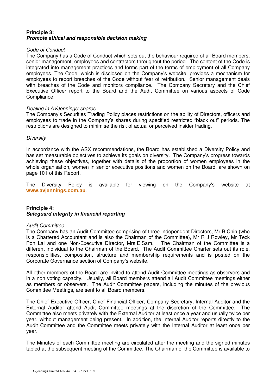## **Principle 3: Promote ethical and responsible decision making**

### Code of Conduct

The Company has a Code of Conduct which sets out the behaviour required of all Board members, senior management, employees and contractors throughout the period. The content of the Code is integrated into management practices and forms part of the terms of employment of all Company employees. The Code, which is disclosed on the Company's website, provides a mechanism for employees to report breaches of the Code without fear of retribution. Senior management deals with breaches of the Code and monitors compliance. The Company Secretary and the Chief Executive Officer report to the Board and the Audit Committee on various aspects of Code Compliance.

### Dealing in AVJennings' shares

The Company's Securities Trading Policy places restrictions on the ability of Directors, officers and employees to trade in the Company's shares during specified restricted "black out" periods. The restrictions are designed to minimise the risk of actual or perceived insider trading.

## **Diversity**

In accordance with the ASX recommendations, the Board has established a Diversity Policy and has set measurable objectives to achieve its goals on diversity. The Company's progress towards achieving these objectives, together with details of the proportion of women employees in the whole organisation, women in senior executive positions and women on the Board, are shown on page 101 of this Report.

The Diversity Policy is available for viewing on the Company's website at **www.avjennings.com.au**.

## **Principle 4: Safeguard integrity in financial reporting**

### Audit Committee

The Company has an Audit Committee comprising of three Independent Directors, Mr B Chin (who is a Chartered Accountant and is also the Chairman of the Committee), Mr R J Rowley, Mr Teck Poh Lai and one Non-Executive Director, Mrs E Sam. The Chairman of the Committee is a different individual to the Chairman of the Board. The Audit Committee Charter sets out its role, responsibilities, composition, structure and membership requirements and is posted on the Corporate Governance section of Company's website.

All other members of the Board are invited to attend Audit Committee meetings as observers and in a non voting capacity. Usually, all Board members attend all Audit Committee meetings either as members or observers. The Audit Committee papers, including the minutes of the previous Committee Meetings, are sent to all Board members.

The Chief Executive Officer, Chief Financial Officer, Company Secretary, Internal Auditor and the External Auditor attend Audit Committee meetings at the discretion of the Committee. The Committee also meets privately with the External Auditor at least once a year and usually twice per year, without management being present. In addition, the Internal Auditor reports directly to the Audit Committee and the Committee meets privately with the Internal Auditor at least once per year.

The Minutes of each Committee meeting are circulated after the meeting and the signed minutes tabled at the subsequent meeting of the Committee. The Chairman of the Committee is available to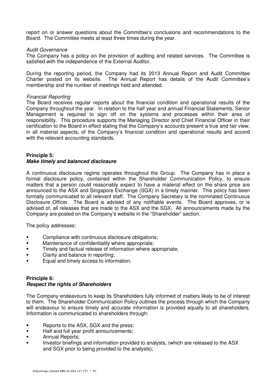report on or answer questions about the Committee's conclusions and recommendations to the Board. The Committee meets at least three times during the year.

### Audit Governance

The Company has a policy on the provision of auditing and related services. The Committee is satisfied with the independence of the External Auditor.

During the reporting period, the Company had its 2013 Annual Report and Audit Committee Charter posted on its website. The Annual Report has details of the Audit Committee's membership and the number of meetings held and attended.

### Financial Reporting

The Board receives regular reports about the financial condition and operational results of the Company throughout the year. In relation to the half year and annual Financial Statements, Senior Management is required to sign off on the systems and processes within their area of responsibility. This procedure supports the Managing Director and Chief Financial Officer in their certification to the Board in effect stating that the Company's accounts present a true and fair view, in all material aspects, of the Company's financial condition and operational results and accord with the relevant accounting standards.

### **Principle 5:**

### **Make timely and balanced disclosure**

A continuous disclosure regime operates throughout the Group. The Company has in place a formal disclosure policy, contained within the Shareholder Communication Policy, to ensure matters that a person could reasonably expect to have a material effect on the share price are announced to the ASX and Singapore Exchange (SGX) in a timely manner. This policy has been formally communicated to all relevant staff. The Company Secretary is the nominated Continuous Disclosure Officer. The Board is advised of any notifiable events. The Board approves, or is advised of, all releases that are made to the ASX and the SGX. All announcements made by the Company are posted on the Company's website in the "Shareholder" section.

The policy addresses:

- **EXECOMPLE COMPLIANCE WITH CONTINUOUS DESCASSIVE OPTICALLY**
- **EXECUTE:** Maintenance of confidentiality where appropriate;
- **Timely and factual release of information where appropriate;**
- Clarity and balance in reporting;
- **Equal and timely access to information.**

# **Principle 6:**

# **Respect the rights of Shareholders**

The Company endeavours to keep its Shareholders fully informed of matters likely to be of interest to them. The Shareholder Communication Policy outlines the process through which the Company will endeavour to ensure timely and accurate information is provided equally to all shareholders. Information is communicated to shareholders through:

- **Reports to the ASX, SGX and the press;**
- Half and full year profit announcements;
- **Annual Reports;**
- Investor briefings and information provided to analysts, (which are released to the ASX and SGX prior to being provided to the analysts);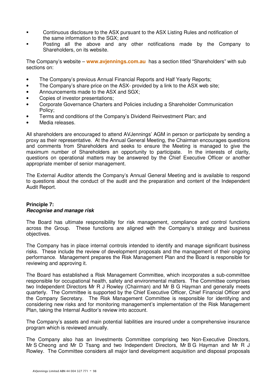- Continuous disclosure to the ASX pursuant to the ASX Listing Rules and notification of the same information to the SGX; and
- Posting all the above and any other notifications made by the Company to Shareholders, on its website.

The Company's website – **www.avjennings.com.au** has a section titled "Shareholders" with sub sections on:

- The Company's previous Annual Financial Reports and Half Yearly Reports;
- The Company's share price on the ASX- provided by a link to the ASX web site;
- Announcements made to the ASX and SGX;
- Copies of investor presentations;
- Corporate Governance Charters and Policies including a Shareholder Communication Policy;
- Terms and conditions of the Company's Dividend Reinvestment Plan; and
- Media releases.

All shareholders are encouraged to attend AVJennings' AGM in person or participate by sending a proxy as their representative. At the Annual General Meeting, the Chairman encourages questions and comments from Shareholders and seeks to ensure the Meeting is managed to give the maximum number of Shareholders an opportunity to participate. In the interests of clarity, questions on operational matters may be answered by the Chief Executive Officer or another appropriate member of senior management.

The External Auditor attends the Company's Annual General Meeting and is available to respond to questions about the conduct of the audit and the preparation and content of the Independent Audit Report.

### **Principle 7: Recognise and manage risk**

The Board has ultimate responsibility for risk management, compliance and control functions across the Group. These functions are aligned with the Company's strategy and business objectives.

The Company has in place internal controls intended to identify and manage significant business risks. These include the review of development proposals and the management of their ongoing performance. Management prepares the Risk Management Plan and the Board is responsible for reviewing and approving it.

The Board has established a Risk Management Committee, which incorporates a sub-committee responsible for occupational health, safety and environmental matters. The Committee comprises two Independent Directors Mr R J Rowley (Chairman) and Mr B G Hayman and generally meets quarterly. The Committee is supported by the Chief Executive Officer, Chief Financial Officer and the Company Secretary. The Risk Management Committee is responsible for identifying and considering new risks and for monitoring management's implementation of the Risk Management Plan, taking the Internal Auditor's review into account.

The Company's assets and main potential liabilities are insured under a comprehensive insurance program which is reviewed annually.

The Company also has an Investments Committee comprising two Non-Executive Directors, Mr S Cheong and Mr D Tsang and two Independent Directors, Mr B G Hayman and Mr R J Rowley. The Committee considers all major land development acquisition and disposal proposals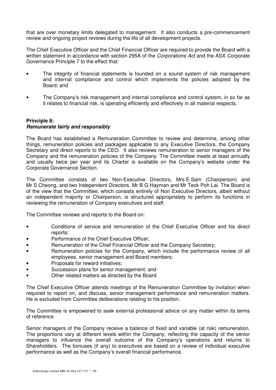that are over monetary limits delegated to management. It also conducts a pre-commencement review and ongoing project reviews during the life of all development projects.

The Chief Executive Officer and the Chief Financial Officer are required to provide the Board with a written statement in accordance with section 295A of the Corporations Act and the ASX Corporate Governance Principle 7 to the effect that:

- The integrity of financial statements is founded on a sound system of risk management and internal compliance and control which implements the policies adopted by the Board; and
- The Company's risk management and internal compliance and control system, in so far as it relates to financial risk, is operating efficiently and effectively in all material respects.

### **Principle 8: Remunerate fairly and responsibly**

The Board has established a Remuneration Committee to review and determine, among other things, remuneration policies and packages applicable to any Executive Directors, the Company Secretary and direct reports to the CEO. It also reviews remuneration to senior managers of the Company and the remuneration policies of the Company. The Committee meets at least annually and usually twice per year and its Charter is available on the Company's website under the Corporate Governance Section.

The Committee consists of two Non-Executive Directors, Mrs E Sam (Chairperson) and Mr S Cheong, and two Independent Directors, Mr B G Hayman and Mr Teck Poh Lai. The Board is of the view that the Committee, which consists entirely of Non Executive Directors, albeit without an independent majority or Chairperson, is structured appropriately to perform its functions in reviewing the remuneration of Company executives and staff.

The Committee reviews and reports to the Board on:

- Conditions of service and remuneration of the Chief Executive Officer and his direct reports;
- **Performance of the Chief Executive Officer:**
- Remuneration of the Chief Financial Officer and the Company Secretary;
- Remuneration policies for the Company, which include the performance review of all employees, senior management and Board members;
- Proposals for reward initiatives;
- Succession plans for senior management; and
- Other related matters as directed by the Board.

The Chief Executive Officer attends meetings of the Remuneration Committee by invitation when required to report on, and discuss, senior management performance and remuneration matters. He is excluded from Committee deliberations relating to his position.

The Committee is empowered to seek external professional advice on any matter within its terms of reference.

Senior managers of the Company receive a balance of fixed and variable (at risk) remuneration. The proportions vary at different levels within the Company, reflecting the capacity of the senior managers to influence the overall outcome of the Company's operations and returns to Shareholders. The bonuses (if any) to executives are based on a review of individual executive performance as well as the Company's overall financial performance.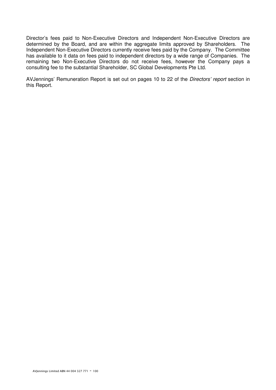Director's fees paid to Non-Executive Directors and Independent Non-Executive Directors are determined by the Board, and are within the aggregate limits approved by Shareholders. The Independent Non-Executive Directors currently receive fees paid by the Company. The Committee has available to it data on fees paid to independent directors by a wide range of Companies. The remaining two Non-Executive Directors do not receive fees, however the Company pays a consulting fee to the substantial Shareholder, SC Global Developments Pte Ltd.

AVJennings' Remuneration Report is set out on pages 10 to 22 of the Directors' report section in this Report.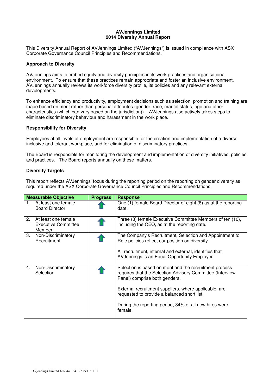### **AVJennings Limited 2014 Diversity Annual Report**

This Diversity Annual Report of AVJennings Limited ("AVJennings") is issued in compliance with ASX Corporate Governance Council Principles and Recommendations.

### **Approach to Diversity**

AVJennings aims to embed equity and diversity principles in its work practices and organisational environment. To ensure that these practices remain appropriate and foster an inclusive environment, AVJennings annually reviews its workforce diversity profile, its policies and any relevant external developments.

To enhance efficiency and productivity, employment decisions such as selection, promotion and training are made based on merit rather than personal attributes (gender, race, marital status, age and other characteristics (which can vary based on the jurisdiction)). AVJennings also actively takes steps to eliminate discriminatory behaviour and harassment in the work place.

### **Responsibility for Diversity**

Employees at all levels of employment are responsible for the creation and implementation of a diverse, inclusive and tolerant workplace, and for elimination of discriminatory practices.

The Board is responsible for monitoring the development and implementation of diversity initiatives, policies and practices. The Board reports annually on these matters.

### **Diversity Targets**

This report reflects AVJennings' focus during the reporting period on the reporting on gender diversity as required under the ASX Corporate Governance Council Principles and Recommendations.

| <b>Measurable Objective</b> |                                                             | <b>Progress</b> | <b>Response</b>                                                                                                                                                                                                                                                                                                                    |  |
|-----------------------------|-------------------------------------------------------------|-----------------|------------------------------------------------------------------------------------------------------------------------------------------------------------------------------------------------------------------------------------------------------------------------------------------------------------------------------------|--|
| $\mathbf{1}$ .              | At least one female<br><b>Board Director</b>                |                 | One (1) female Board Director of eight (8) as at the reporting<br>date.                                                                                                                                                                                                                                                            |  |
| 2.                          | At least one female<br><b>Executive Committee</b><br>Member |                 | Three (3) female Executive Committee Members of ten (10),<br>including the CEO, as at the reporting date.                                                                                                                                                                                                                          |  |
| 3.                          | Non-Discriminatory<br>Recruitment                           |                 | The Company's Recruitment, Selection and Appointment to<br>Role policies reflect our position on diversity.<br>All recruitment, internal and external, identifies that<br>AVJennings is an Equal Opportunity Employer.                                                                                                             |  |
| 4.                          | Non-Discriminatory<br>Selection                             |                 | Selection is based on merit and the recruitment process<br>requires that the Selection Advisory Committee (Interview<br>Panel) comprise both genders.<br>External recruitment suppliers, where applicable, are<br>requested to provide a balanced short list.<br>During the reporting period, 34% of all new hires were<br>female. |  |